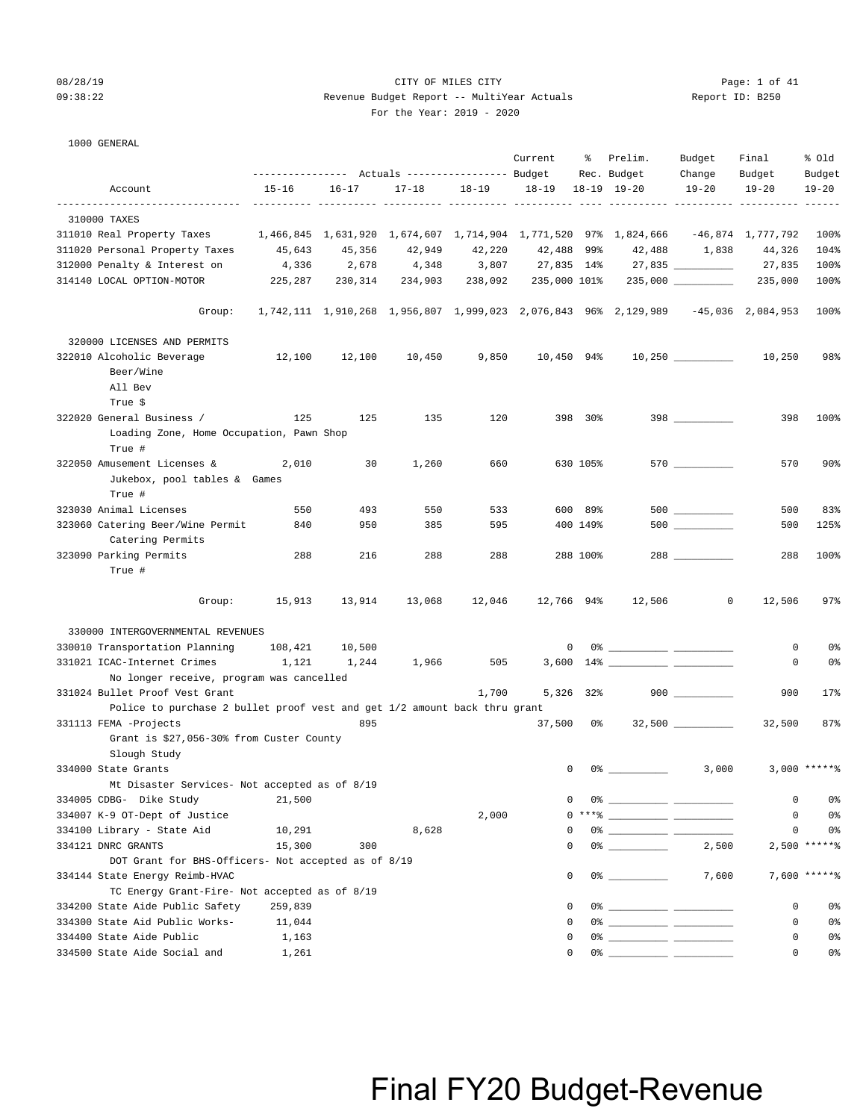### 08/28/19 CITY OF MILES CITY Page: 1 of 41 09:38:22 Revenue Budget Report -- MultiYear Actuals Report ID: B250 For the Year: 2019 - 2020

### 1000 GENERAL

|                                                                           | --------------- Actuals ---------------- Budget                 |           |               |            | Current               | ႜႜႜၟ     | Prelim.<br>Rec. Budget                                                                                                                                                                                                                                                                                                                                             | Budget<br>Change | Final<br>Budget   | % old<br>Budget |
|---------------------------------------------------------------------------|-----------------------------------------------------------------|-----------|---------------|------------|-----------------------|----------|--------------------------------------------------------------------------------------------------------------------------------------------------------------------------------------------------------------------------------------------------------------------------------------------------------------------------------------------------------------------|------------------|-------------------|-----------------|
| Account                                                                   | $15 - 16$                                                       | $16 - 17$ | $17 - 18$     | $18 - 19$  | 18-19                 |          | $18 - 19$ $19 - 20$                                                                                                                                                                                                                                                                                                                                                | $19 - 20$        | $19 - 20$         | $19 - 20$       |
|                                                                           |                                                                 |           |               | ---- ----- | ----- ---------- ---- |          |                                                                                                                                                                                                                                                                                                                                                                    |                  |                   |                 |
| 310000 TAXES                                                              |                                                                 |           |               |            |                       |          |                                                                                                                                                                                                                                                                                                                                                                    |                  |                   |                 |
| 311010 Real Property Taxes                                                | 1,466,845 1,631,920 1,674,607 1,714,904 1,771,520 97% 1,824,666 |           |               |            |                       |          |                                                                                                                                                                                                                                                                                                                                                                    |                  | -46,874 1,777,792 | 100%            |
| 311020 Personal Property Taxes                                            | 45,643                                                          | 45,356    | 42,949        | 42,220     | 42,488 99%            |          |                                                                                                                                                                                                                                                                                                                                                                    | 42,488 1,838     | 44,326            | 104%            |
| 312000 Penalty & Interest on                                              | 4,336                                                           | 2,678     | 4,348         | 3,807      |                       |          | 27,835 14% 27,835 __________                                                                                                                                                                                                                                                                                                                                       |                  | 27,835            | 100%            |
| 314140 LOCAL OPTION-MOTOR                                                 | 225,287                                                         | 230,314   |               |            |                       |          |                                                                                                                                                                                                                                                                                                                                                                    |                  | 235,000           | 100%            |
| Group:                                                                    |                                                                 |           |               |            |                       |          | 1,742,111 1,910,268 1,956,807 1,999,023 2,076,843 96% 2,129,989 -45,036 2,084,953                                                                                                                                                                                                                                                                                  |                  |                   | 100%            |
| 320000 LICENSES AND PERMITS                                               |                                                                 |           |               |            |                       |          |                                                                                                                                                                                                                                                                                                                                                                    |                  |                   |                 |
| 322010 Alcoholic Beverage<br>Beer/Wine<br>All Bev<br>True \$              | 12,100                                                          |           | 12,100 10,450 | 9,850      |                       |          |                                                                                                                                                                                                                                                                                                                                                                    |                  |                   | 98%             |
| 322020 General Business /                                                 | 125                                                             | 125       | 135           | 120        |                       | 398 30%  |                                                                                                                                                                                                                                                                                                                                                                    | $398$            | 398               | 100%            |
| Loading Zone, Home Occupation, Pawn Shop<br>True #                        |                                                                 |           |               |            |                       |          |                                                                                                                                                                                                                                                                                                                                                                    |                  |                   |                 |
| 322050 Amusement Licenses &<br>Jukebox, pool tables & Games<br>True #     | 2,010                                                           | 30        | 1,260         | 660        |                       | 630 105% |                                                                                                                                                                                                                                                                                                                                                                    | 570              | 570               | $90\%$          |
| 323030 Animal Licenses                                                    | 550                                                             | 493       | 550           | 533        |                       | 600 89%  |                                                                                                                                                                                                                                                                                                                                                                    |                  | 500               | 83%             |
| 323060 Catering Beer/Wine Permit<br>Catering Permits                      | 840                                                             | 950       | 385           | 595        |                       | 400 149% |                                                                                                                                                                                                                                                                                                                                                                    | 500 000          | 500               | 125%            |
| 323090 Parking Permits                                                    | 288                                                             | 216       | 288           | 288        |                       | 288 100% |                                                                                                                                                                                                                                                                                                                                                                    |                  | 288               | 100%            |
| True #                                                                    |                                                                 |           |               |            |                       |          |                                                                                                                                                                                                                                                                                                                                                                    |                  |                   |                 |
| Group:                                                                    | 15,913                                                          | 13,914    | 13,068        | 12,046     |                       |          | 12,766 94% 12,506                                                                                                                                                                                                                                                                                                                                                  | $\circ$          | 12,506            | 97%             |
| 330000 INTERGOVERNMENTAL REVENUES                                         |                                                                 |           |               |            |                       |          |                                                                                                                                                                                                                                                                                                                                                                    |                  |                   |                 |
| 330010 Transportation Planning                                            | 108,421                                                         | 10,500    |               |            |                       |          | $\begin{picture}(150,10) \put(0,0){\vector(1,0){100}} \put(15,0){\vector(1,0){100}} \put(15,0){\vector(1,0){100}} \put(15,0){\vector(1,0){100}} \put(15,0){\vector(1,0){100}} \put(15,0){\vector(1,0){100}} \put(15,0){\vector(1,0){100}} \put(15,0){\vector(1,0){100}} \put(15,0){\vector(1,0){100}} \put(15,0){\vector(1,0){100}} \put(15,0){\vector(1,0){100}}$ |                  | 0                 | 0 <sup>8</sup>  |
| 331021 ICAC-Internet Crimes                                               | 1,121                                                           | 1,244     | 1,966         | 505        |                       |          |                                                                                                                                                                                                                                                                                                                                                                    |                  | 0                 | 0%              |
| No longer receive, program was cancelled                                  |                                                                 |           |               |            |                       |          |                                                                                                                                                                                                                                                                                                                                                                    |                  |                   |                 |
| 331024 Bullet Proof Vest Grant                                            |                                                                 |           |               | 1,700      | 5,326 32%             |          |                                                                                                                                                                                                                                                                                                                                                                    | $900$            | 900               | 17%             |
| Police to purchase 2 bullet proof vest and get 1/2 amount back thru grant |                                                                 |           |               |            |                       |          |                                                                                                                                                                                                                                                                                                                                                                    |                  |                   |                 |
| 331113 FEMA -Projects<br>Grant is \$27,056-30% from Custer County         |                                                                 | 895       |               |            | 37,500 0%             |          |                                                                                                                                                                                                                                                                                                                                                                    |                  | 32,500            | 87%             |
| Slough Study                                                              |                                                                 |           |               |            |                       |          |                                                                                                                                                                                                                                                                                                                                                                    |                  |                   |                 |
| 334000 State Grants                                                       |                                                                 |           |               |            |                       |          | $0 \t 0$ %                                                                                                                                                                                                                                                                                                                                                         | 3,000            |                   | $3,000$ ******  |
| Mt Disaster Services- Not accepted as of 8/19                             |                                                                 |           |               |            |                       |          |                                                                                                                                                                                                                                                                                                                                                                    |                  |                   |                 |
| 334005 CDBG- Dike Study                                                   | 21,500                                                          |           |               |            | 0                     |          |                                                                                                                                                                                                                                                                                                                                                                    |                  | 0                 | 0%              |
| 334007 K-9 OT-Dept of Justice                                             |                                                                 |           |               | 2,000      |                       |          | $0***$ $\frac{1}{1}$                                                                                                                                                                                                                                                                                                                                               |                  | $\mathbf 0$       | 0%              |
| 334100 Library - State Aid                                                | 10,291                                                          |           | 8,628         |            | 0                     |          |                                                                                                                                                                                                                                                                                                                                                                    |                  | 0                 | 0 <sup>8</sup>  |
| 334121 DNRC GRANTS                                                        | 15,300                                                          | 300       |               |            | $\Omega$              |          | $0$ $\frac{1}{2}$ $\frac{1}{2}$ $\frac{1}{2}$ $\frac{1}{2}$ $\frac{1}{2}$ $\frac{1}{2}$ $\frac{1}{2}$ $\frac{1}{2}$ $\frac{1}{2}$ $\frac{1}{2}$ $\frac{1}{2}$ $\frac{1}{2}$ $\frac{1}{2}$ $\frac{1}{2}$ $\frac{1}{2}$ $\frac{1}{2}$ $\frac{1}{2}$ $\frac{1}{2}$ $\frac{1}{2}$ $\frac{1}{2}$ $\frac{1}{2}$ $\frac{1}{2$                                             | 2,500            |                   | $2,500$ *****%  |
| DOT Grant for BHS-Officers- Not accepted as of 8/19                       |                                                                 |           |               |            |                       |          |                                                                                                                                                                                                                                                                                                                                                                    |                  |                   |                 |
| 334144 State Energy Reimb-HVAC                                            |                                                                 |           |               |            | 0                     |          |                                                                                                                                                                                                                                                                                                                                                                    | 7,600            |                   | $7,600$ *****%  |
| TC Energy Grant-Fire- Not accepted as of 8/19                             |                                                                 |           |               |            |                       |          |                                                                                                                                                                                                                                                                                                                                                                    |                  |                   |                 |
| 334200 State Aide Public Safety                                           | 259,839                                                         |           |               |            | 0                     |          |                                                                                                                                                                                                                                                                                                                                                                    |                  | 0                 | 0%              |
| 334300 State Aid Public Works-                                            | 11,044                                                          |           |               |            | 0                     |          |                                                                                                                                                                                                                                                                                                                                                                    |                  | 0                 | 0%              |
| 334400 State Aide Public                                                  | 1,163                                                           |           |               |            | 0                     |          |                                                                                                                                                                                                                                                                                                                                                                    |                  | 0                 | 0%              |
| 334500 State Aide Social and                                              | 1,261                                                           |           |               |            | 0                     |          |                                                                                                                                                                                                                                                                                                                                                                    |                  | $\mathbf 0$       | 0%              |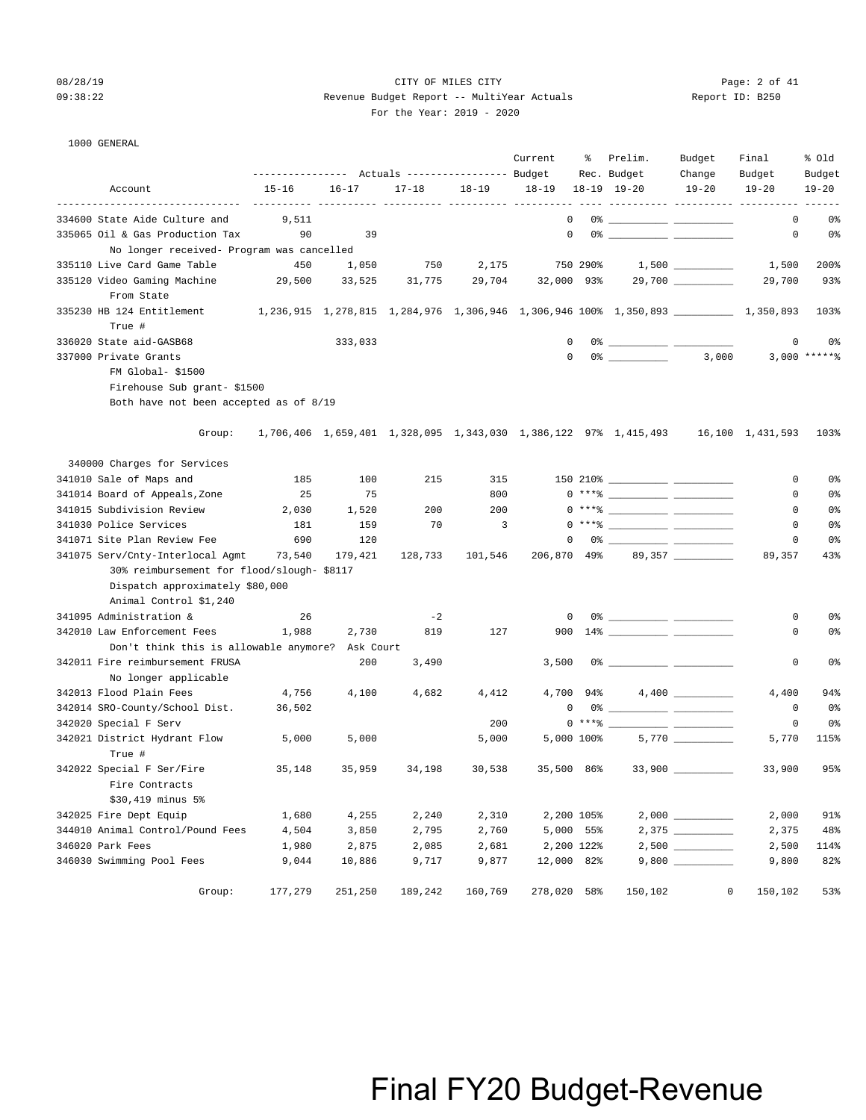### 08/28/19 CITY OF MILES CITY Page: 2 of 41 09:38:22 Revenue Budget Report -- MultiYear Actuals Report ID: B250 For the Year: 2019 - 2020

| 1000 GENERAL |  |
|--------------|--|

|                                                                              | ----------------                                                                       |           | Actuals ----------------- Budget |           | Current      | ႜ          | Prelim.<br>Rec. Budget                                                                                                                                                                                                                                                                                                   | Budget<br>Change     | Final<br>Budget | % 0ld<br>Budget |
|------------------------------------------------------------------------------|----------------------------------------------------------------------------------------|-----------|----------------------------------|-----------|--------------|------------|--------------------------------------------------------------------------------------------------------------------------------------------------------------------------------------------------------------------------------------------------------------------------------------------------------------------------|----------------------|-----------------|-----------------|
| Account                                                                      | $15 - 16$                                                                              | $16 - 17$ | $17 - 18$                        | $18 - 19$ | $18 - 19$    |            | 18-19 19-20                                                                                                                                                                                                                                                                                                              | $19 - 20$            | $19 - 20$       | $19 - 20$       |
| 334600 State Aide Culture and                                                | 9,511                                                                                  |           |                                  |           | $\mathbf{0}$ |            |                                                                                                                                                                                                                                                                                                                          |                      | 0               | 0%              |
| 335065 Oil & Gas Production Tax<br>No longer received- Program was cancelled | 90                                                                                     | 39        |                                  |           | $^{\circ}$   |            |                                                                                                                                                                                                                                                                                                                          |                      | $\mathbf 0$     | 0%              |
| 335110 Live Card Game Table                                                  | 450                                                                                    | 1,050     | 750                              | 2,175     |              | 750 290%   |                                                                                                                                                                                                                                                                                                                          | $1,500$ _________    | 1,500           | 200%            |
| 335120 Video Gaming Machine                                                  | 29,500                                                                                 | 33,525    | 31,775                           | 29,704    | 32,000 93%   |            |                                                                                                                                                                                                                                                                                                                          | 29,700 _________     | 29,700          | 93%             |
| From State                                                                   |                                                                                        |           |                                  |           |              |            |                                                                                                                                                                                                                                                                                                                          |                      |                 |                 |
| 335230 HB 124 Entitlement<br>True #                                          | $1,236,915$ $1,278,815$ $1,284,976$ $1,306,946$ $1,306,946$ $100\%$ $1,350,893$ $\_\_$ |           |                                  |           |              |            |                                                                                                                                                                                                                                                                                                                          |                      |                 | 103%            |
| 336020 State aid-GASB68                                                      |                                                                                        | 333,033   |                                  |           | 0            |            |                                                                                                                                                                                                                                                                                                                          |                      | 0               | 0 <sup>°</sup>  |
| 337000 Private Grants                                                        |                                                                                        |           |                                  |           | $\mathbf 0$  |            | $0\%$ 3,000                                                                                                                                                                                                                                                                                                              |                      |                 | $3,000$ *****%  |
| FM Global- \$1500                                                            |                                                                                        |           |                                  |           |              |            |                                                                                                                                                                                                                                                                                                                          |                      |                 |                 |
| Firehouse Sub grant-\$1500                                                   |                                                                                        |           |                                  |           |              |            |                                                                                                                                                                                                                                                                                                                          |                      |                 |                 |
| Both have not been accepted as of 8/19                                       |                                                                                        |           |                                  |           |              |            |                                                                                                                                                                                                                                                                                                                          |                      |                 |                 |
| Group:                                                                       |                                                                                        |           |                                  |           |              |            | 1,706,406 1,659,401 1,328,095 1,343,030 1,386,122 97% 1,415,493 16,100 1,431,593                                                                                                                                                                                                                                         |                      |                 | 103%            |
| 340000 Charges for Services                                                  |                                                                                        |           |                                  |           |              |            |                                                                                                                                                                                                                                                                                                                          |                      |                 |                 |
| 341010 Sale of Maps and                                                      | 185                                                                                    | 100       | 215                              | 315       |              |            |                                                                                                                                                                                                                                                                                                                          |                      | 0               | 0%              |
| 341014 Board of Appeals, Zone                                                | 25                                                                                     | 75        |                                  | 800       |              |            | $0***$ $\frac{1}{2}$ $\frac{1}{2}$ $\frac{1}{2}$ $\frac{1}{2}$ $\frac{1}{2}$ $\frac{1}{2}$ $\frac{1}{2}$ $\frac{1}{2}$ $\frac{1}{2}$ $\frac{1}{2}$ $\frac{1}{2}$ $\frac{1}{2}$ $\frac{1}{2}$ $\frac{1}{2}$ $\frac{1}{2}$ $\frac{1}{2}$ $\frac{1}{2}$ $\frac{1}{2}$ $\frac{1}{2}$ $\frac{1}{2}$ $\frac{1}{2}$ $\frac{1}{$ |                      | 0               | 0 <sup>°</sup>  |
| 341015 Subdivision Review                                                    | 2,030                                                                                  | 1,520     | 200                              | 200       |              |            | $0***$ $\frac{1}{2}$ $\frac{1}{2}$ $\frac{1}{2}$ $\frac{1}{2}$ $\frac{1}{2}$ $\frac{1}{2}$ $\frac{1}{2}$ $\frac{1}{2}$ $\frac{1}{2}$ $\frac{1}{2}$ $\frac{1}{2}$ $\frac{1}{2}$ $\frac{1}{2}$ $\frac{1}{2}$ $\frac{1}{2}$ $\frac{1}{2}$ $\frac{1}{2}$ $\frac{1}{2}$ $\frac{1}{2}$ $\frac{1}{2}$ $\frac{1}{2}$ $\frac{1}{$ |                      | 0               | 0 <sup>°</sup>  |
| 341030 Police Services                                                       | 181                                                                                    | 159       | 70                               | 3         |              |            | $0***$ $\frac{20}{10}$                                                                                                                                                                                                                                                                                                   |                      | 0               | 0 <sup>°</sup>  |
| 341071 Site Plan Review Fee                                                  | 690                                                                                    | 120       |                                  |           | $^{\circ}$   |            |                                                                                                                                                                                                                                                                                                                          |                      | 0               | 0 <sup>°</sup>  |
| 341075 Serv/Cnty-Interlocal Agmt                                             | 73,540                                                                                 | 179,421   | 128,733                          | 101,546   | 206,870 49%  |            |                                                                                                                                                                                                                                                                                                                          | 89,357 __________    | 89,357          | 43%             |
| 30% reimbursement for flood/slough- \$8117                                   |                                                                                        |           |                                  |           |              |            |                                                                                                                                                                                                                                                                                                                          |                      |                 |                 |
| Dispatch approximately \$80,000                                              |                                                                                        |           |                                  |           |              |            |                                                                                                                                                                                                                                                                                                                          |                      |                 |                 |
| Animal Control \$1,240                                                       |                                                                                        |           |                                  |           |              |            |                                                                                                                                                                                                                                                                                                                          |                      |                 |                 |
| 341095 Administration &                                                      | 26                                                                                     |           | $-2$                             |           | $\mathbf 0$  |            |                                                                                                                                                                                                                                                                                                                          |                      | 0               | 0%              |
| 342010 Law Enforcement Fees                                                  | 1,988                                                                                  | 2,730     | 819                              | 127       |              |            |                                                                                                                                                                                                                                                                                                                          |                      | 0               | 0%              |
| Don't think this is allowable anymore? Ask Court                             |                                                                                        |           |                                  |           |              |            |                                                                                                                                                                                                                                                                                                                          |                      |                 |                 |
| 342011 Fire reimbursement FRUSA                                              |                                                                                        | 200       | 3,490                            |           | 3,500        |            |                                                                                                                                                                                                                                                                                                                          |                      | 0               | 0 <sup>°</sup>  |
| No longer applicable                                                         |                                                                                        |           |                                  |           |              |            |                                                                                                                                                                                                                                                                                                                          |                      |                 |                 |
| 342013 Flood Plain Fees                                                      | 4,756                                                                                  | 4,100     | 4,682                            | 4,412     |              |            |                                                                                                                                                                                                                                                                                                                          |                      | 4,400           | 94%             |
| 342014 SRO-County/School Dist.                                               | 36,502                                                                                 |           |                                  |           | 0            |            | 0% ____________ ___________                                                                                                                                                                                                                                                                                              |                      | 0               | 0%              |
| 342020 Special F Serv                                                        |                                                                                        |           |                                  | 200       |              |            | $0***$ $\frac{1}{1}$                                                                                                                                                                                                                                                                                                     |                      | $\mathbf 0$     | 0 <sup>°</sup>  |
| 342021 District Hydrant Flow                                                 | 5,000                                                                                  | 5,000     |                                  | 5,000     |              |            | 5,000 100%                                                                                                                                                                                                                                                                                                               | $5,770$ __________   | 5,770           | 115%            |
| True #                                                                       |                                                                                        |           |                                  |           |              |            |                                                                                                                                                                                                                                                                                                                          |                      |                 |                 |
| 342022 Special F Ser/Fire                                                    | 35,148                                                                                 | 35,959    | 34,198                           | 30,538    | 35,500 86%   |            |                                                                                                                                                                                                                                                                                                                          | $33,900$ ___________ | 33,900          | 95%             |
| Fire Contracts                                                               |                                                                                        |           |                                  |           |              |            |                                                                                                                                                                                                                                                                                                                          |                      |                 |                 |
| \$30,419 minus 5%                                                            |                                                                                        |           |                                  |           |              |            |                                                                                                                                                                                                                                                                                                                          |                      |                 |                 |
| 342025 Fire Dept Equip                                                       | 1,680                                                                                  | 4,255     | 2,240                            | 2,310     |              | 2,200 105% |                                                                                                                                                                                                                                                                                                                          |                      | 2,000           | 91%             |
| 344010 Animal Control/Pound Fees                                             | 4,504                                                                                  | 3,850     | 2,795                            | 2,760     | 5,000 55%    |            |                                                                                                                                                                                                                                                                                                                          |                      | 2,375           | 48%             |
| 346020 Park Fees                                                             | 1,980                                                                                  | 2,875     | 2,085                            | 2,681     | 2,200 122%   |            |                                                                                                                                                                                                                                                                                                                          |                      | 2,500           | 114%            |
| 346030 Swimming Pool Fees                                                    | 9,044                                                                                  | 10,886    | 9,717                            | 9,877     | 12,000 82%   |            |                                                                                                                                                                                                                                                                                                                          |                      | 9,800           | 82%             |
| Group:                                                                       | 177,279                                                                                | 251,250   | 189,242                          | 160,769   | 278,020 58%  |            | 150,102                                                                                                                                                                                                                                                                                                                  | 0                    | 150,102         | 53%             |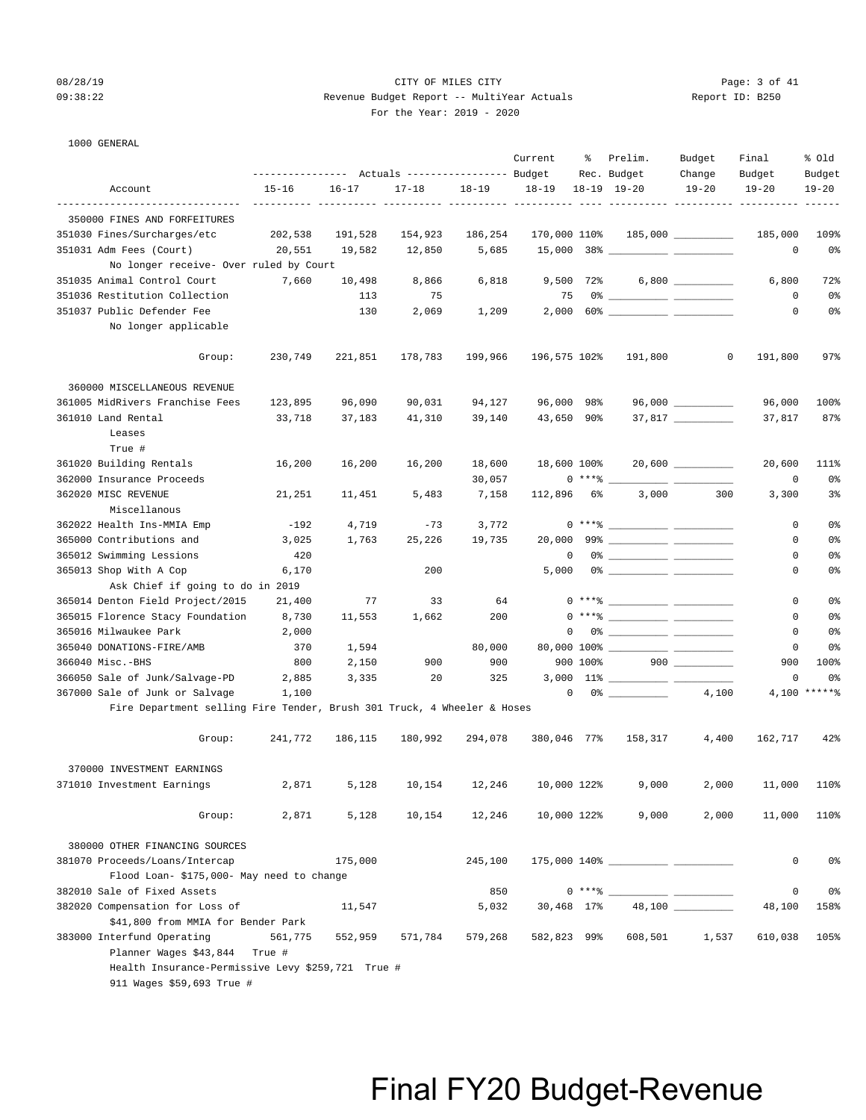### 08/28/19 Page: 3 of 41 09:38:22 Revenue Budget Report -- MultiYear Actuals Report ID: B250 For the Year: 2019 - 2020

|                                                                                    | ---------------    Actuals ----------------    Budget |           |                     |           | Current              | ႜ          | Prelim.<br>Rec. Budget                                                                                                                                                                                                                                                                                                                                                                                                                                                                                                                                | Budget<br>Change    | Final<br>Budget   | % old<br>Budget |
|------------------------------------------------------------------------------------|-------------------------------------------------------|-----------|---------------------|-----------|----------------------|------------|-------------------------------------------------------------------------------------------------------------------------------------------------------------------------------------------------------------------------------------------------------------------------------------------------------------------------------------------------------------------------------------------------------------------------------------------------------------------------------------------------------------------------------------------------------|---------------------|-------------------|-----------------|
| Account                                                                            | $15 - 16$                                             | $16 - 17$ | $17 - 18$           | $18 - 19$ | $18 - 19$            |            | $18 - 19$ $19 - 20$                                                                                                                                                                                                                                                                                                                                                                                                                                                                                                                                   | $19 - 20$           | $19 - 20$         | $19 - 20$       |
| -------------------------------                                                    |                                                       |           |                     |           | ---- ---------- ---- |            |                                                                                                                                                                                                                                                                                                                                                                                                                                                                                                                                                       |                     |                   |                 |
| 350000 FINES AND FORFEITURES                                                       |                                                       |           |                     |           |                      |            |                                                                                                                                                                                                                                                                                                                                                                                                                                                                                                                                                       |                     |                   |                 |
| 351030 Fines/Surcharges/etc                                                        | 202,538                                               | 191,528   | 154,923             | 186,254   | 170,000 110%         |            |                                                                                                                                                                                                                                                                                                                                                                                                                                                                                                                                                       | $185,000$ _________ | 185,000           | 109%            |
| 351031 Adm Fees (Court)                                                            | 20,551                                                | 19,582    | 12,850              | 5,685     |                      |            |                                                                                                                                                                                                                                                                                                                                                                                                                                                                                                                                                       |                     | $\circ$           | 0%              |
| No longer receive- Over ruled by Court                                             |                                                       |           |                     |           |                      |            |                                                                                                                                                                                                                                                                                                                                                                                                                                                                                                                                                       |                     |                   |                 |
| 351035 Animal Control Court                                                        | 7,660                                                 | 10,498    | 8,866               | 6,818     |                      |            | $9,500$ 72% 6,800 _________                                                                                                                                                                                                                                                                                                                                                                                                                                                                                                                           |                     | 6,800             | 72%             |
| 351036 Restitution Collection                                                      |                                                       | 113       | 75                  |           | 75                   |            |                                                                                                                                                                                                                                                                                                                                                                                                                                                                                                                                                       |                     | 0                 | 0%              |
| 351037 Public Defender Fee<br>No longer applicable                                 |                                                       | 130       | 2,069               | 1,209     | 2,000                |            |                                                                                                                                                                                                                                                                                                                                                                                                                                                                                                                                                       |                     | 0                 | 0%              |
|                                                                                    |                                                       |           |                     |           |                      |            |                                                                                                                                                                                                                                                                                                                                                                                                                                                                                                                                                       |                     |                   |                 |
| Group:                                                                             | 230,749                                               | 221,851   | 178,783             | 199,966   | 196,575 102%         |            | 191,800                                                                                                                                                                                                                                                                                                                                                                                                                                                                                                                                               | 0                   | 191,800           | 97%             |
| 360000 MISCELLANEOUS REVENUE                                                       |                                                       |           |                     |           |                      |            |                                                                                                                                                                                                                                                                                                                                                                                                                                                                                                                                                       |                     |                   |                 |
| 361005 MidRivers Franchise Fees                                                    | 123,895                                               | 96,090    | 90,031              | 94,127    | 96,000 98%           |            |                                                                                                                                                                                                                                                                                                                                                                                                                                                                                                                                                       | $96,000$ __________ | 96,000            | 100%            |
| 361010 Land Rental                                                                 | 33,718                                                | 37,183    | 41,310              | 39,140    | 43,650 90%           |            |                                                                                                                                                                                                                                                                                                                                                                                                                                                                                                                                                       |                     | 37,817            | 87%             |
| Leases<br>True #                                                                   |                                                       |           |                     |           |                      |            |                                                                                                                                                                                                                                                                                                                                                                                                                                                                                                                                                       |                     |                   |                 |
| 361020 Building Rentals                                                            | 16,200                                                | 16,200    | 16,200              | 18,600    | 18,600 100%          |            |                                                                                                                                                                                                                                                                                                                                                                                                                                                                                                                                                       |                     | 20,600            | 111%            |
| 362000 Insurance Proceeds                                                          |                                                       |           |                     |           |                      | $0***$ $*$ |                                                                                                                                                                                                                                                                                                                                                                                                                                                                                                                                                       |                     | $\circ$           |                 |
|                                                                                    |                                                       |           |                     | 30,057    |                      |            |                                                                                                                                                                                                                                                                                                                                                                                                                                                                                                                                                       |                     |                   | 0%              |
| 362020 MISC REVENUE<br>Miscellanous                                                | 21,251                                                | 11,451    | 5,483               | 7,158     | 112,896              | 6%         | 3,000                                                                                                                                                                                                                                                                                                                                                                                                                                                                                                                                                 | 300                 | 3,300             | 3%              |
| 362022 Health Ins-MMIA Emp                                                         | -192                                                  | 4,719     | $-73$               | 3,772     |                      |            |                                                                                                                                                                                                                                                                                                                                                                                                                                                                                                                                                       |                     | 0                 | 0%              |
|                                                                                    |                                                       |           | 25,226              |           |                      |            |                                                                                                                                                                                                                                                                                                                                                                                                                                                                                                                                                       |                     |                   |                 |
| 365000 Contributions and                                                           | 3,025                                                 | 1,763     |                     | 19,735    |                      |            |                                                                                                                                                                                                                                                                                                                                                                                                                                                                                                                                                       |                     | 0                 | 0%              |
| 365012 Swimming Lessions                                                           | 420                                                   |           |                     |           | 0                    |            |                                                                                                                                                                                                                                                                                                                                                                                                                                                                                                                                                       |                     | 0                 | 0%              |
| 365013 Shop With A Cop                                                             | 6,170                                                 |           | 200                 |           | 5,000                |            |                                                                                                                                                                                                                                                                                                                                                                                                                                                                                                                                                       |                     | 0                 | 0%              |
| Ask Chief if going to do in 2019                                                   |                                                       | 77        |                     |           |                      |            |                                                                                                                                                                                                                                                                                                                                                                                                                                                                                                                                                       |                     | 0                 |                 |
| 365014 Denton Field Project/2015                                                   | 21,400                                                |           | 33                  | 64        |                      |            | $0***$ $\frac{20}{100}$                                                                                                                                                                                                                                                                                                                                                                                                                                                                                                                               |                     |                   | 0%              |
| 365015 Florence Stacy Foundation                                                   | 8,730                                                 | 11,553    | 1,662               | 200       |                      |            | $0***$ $\frac{1}{1}$                                                                                                                                                                                                                                                                                                                                                                                                                                                                                                                                  |                     | 0                 | 0 <sup>8</sup>  |
| 365016 Milwaukee Park                                                              | 2,000                                                 |           |                     |           | $\mathbf 0$          |            |                                                                                                                                                                                                                                                                                                                                                                                                                                                                                                                                                       |                     | 0                 | 0 <sup>8</sup>  |
| 365040 DONATIONS-FIRE/AMB                                                          | 370                                                   | 1,594     |                     | 80,000    |                      |            |                                                                                                                                                                                                                                                                                                                                                                                                                                                                                                                                                       |                     | 0                 | 0%              |
| 366040 Misc.-BHS                                                                   | 800                                                   | 2,150     | 900                 | 900       |                      | 900 100%   |                                                                                                                                                                                                                                                                                                                                                                                                                                                                                                                                                       | $900$               | 900               | 100%            |
| 366050 Sale of Junk/Salvage-PD                                                     | 2,885                                                 | 3,335     | 20                  | 325       |                      |            |                                                                                                                                                                                                                                                                                                                                                                                                                                                                                                                                                       |                     | 0                 | 0%              |
| 367000 Sale of Junk or Salvage                                                     | 1,100                                                 |           |                     |           | $\mathbf 0$          |            |                                                                                                                                                                                                                                                                                                                                                                                                                                                                                                                                                       | 4,100               |                   | 4,100 ******    |
| Fire Department selling Fire Tender, Brush 301 Truck, 4 Wheeler & Hoses            |                                                       |           |                     |           |                      |            |                                                                                                                                                                                                                                                                                                                                                                                                                                                                                                                                                       |                     |                   |                 |
| Group:                                                                             | 241,772                                               | 186,115   | 180,992             | 294,078   | 380,046 77%          |            | 158,317                                                                                                                                                                                                                                                                                                                                                                                                                                                                                                                                               | 4,400               | 162,717           | 42%             |
| 370000 INVESTMENT EARNINGS                                                         |                                                       |           |                     |           |                      |            |                                                                                                                                                                                                                                                                                                                                                                                                                                                                                                                                                       |                     |                   |                 |
| 371010 Investment Earnings                                                         | 2,871                                                 |           | 5,128 10,154 12,246 |           | 10,000 122%          |            | 9,000                                                                                                                                                                                                                                                                                                                                                                                                                                                                                                                                                 |                     | 2,000 11,000 110% |                 |
| Group:                                                                             | 2,871                                                 | 5,128     | 10,154              | 12,246    | 10,000 122%          |            | 9,000                                                                                                                                                                                                                                                                                                                                                                                                                                                                                                                                                 | 2,000               | 11,000            | 110%            |
| 380000 OTHER FINANCING SOURCES                                                     |                                                       |           |                     |           |                      |            |                                                                                                                                                                                                                                                                                                                                                                                                                                                                                                                                                       |                     |                   |                 |
| 381070 Proceeds/Loans/Intercap                                                     |                                                       | 175,000   |                     | 245,100   |                      |            |                                                                                                                                                                                                                                                                                                                                                                                                                                                                                                                                                       |                     | 0                 | 0%              |
| Flood Loan- \$175,000- May need to change                                          |                                                       |           |                     |           |                      |            |                                                                                                                                                                                                                                                                                                                                                                                                                                                                                                                                                       |                     |                   |                 |
| 382010 Sale of Fixed Assets                                                        |                                                       |           |                     | 850       |                      |            | $0***$ $\longleftarrow$ $\longleftarrow$ $\longleftarrow$ $\longleftarrow$ $\longleftarrow$ $\longleftarrow$ $\longleftarrow$ $\longleftarrow$ $\longleftarrow$ $\longleftarrow$ $\longleftarrow$ $\longleftarrow$ $\longleftarrow$ $\longleftarrow$ $\longleftarrow$ $\longleftarrow$ $\longleftarrow$ $\longleftarrow$ $\longleftarrow$ $\longleftarrow$ $\longleftarrow$ $\longleftarrow$ $\longleftarrow$ $\longleftarrow$ $\longleftarrow$ $\longleftarrow$ $\longleftarrow$ $\longleftarrow$ $\longleftarrow$ $\longleftarrow$ $\longleftarrow$ |                     | 0                 | 0%              |
| 382020 Compensation for Loss of                                                    |                                                       | 11,547    |                     | 5,032     | 30,468 17%           |            |                                                                                                                                                                                                                                                                                                                                                                                                                                                                                                                                                       |                     | 48,100            | 158%            |
| \$41,800 from MMIA for Bender Park                                                 |                                                       |           |                     |           |                      |            |                                                                                                                                                                                                                                                                                                                                                                                                                                                                                                                                                       |                     |                   |                 |
| 383000 Interfund Operating                                                         | 561,775                                               | 552,959   | 571,784             | 579,268   |                      |            | 582,823 99% 608,501                                                                                                                                                                                                                                                                                                                                                                                                                                                                                                                                   | 1,537               | 610,038           | 105%            |
| Planner Wages \$43,844 True #<br>Health Insurance-Permissive Levy \$259,721 True # |                                                       |           |                     |           |                      |            |                                                                                                                                                                                                                                                                                                                                                                                                                                                                                                                                                       |                     |                   |                 |
| 911 Wages \$59,693 True #                                                          |                                                       |           |                     |           |                      |            |                                                                                                                                                                                                                                                                                                                                                                                                                                                                                                                                                       |                     |                   |                 |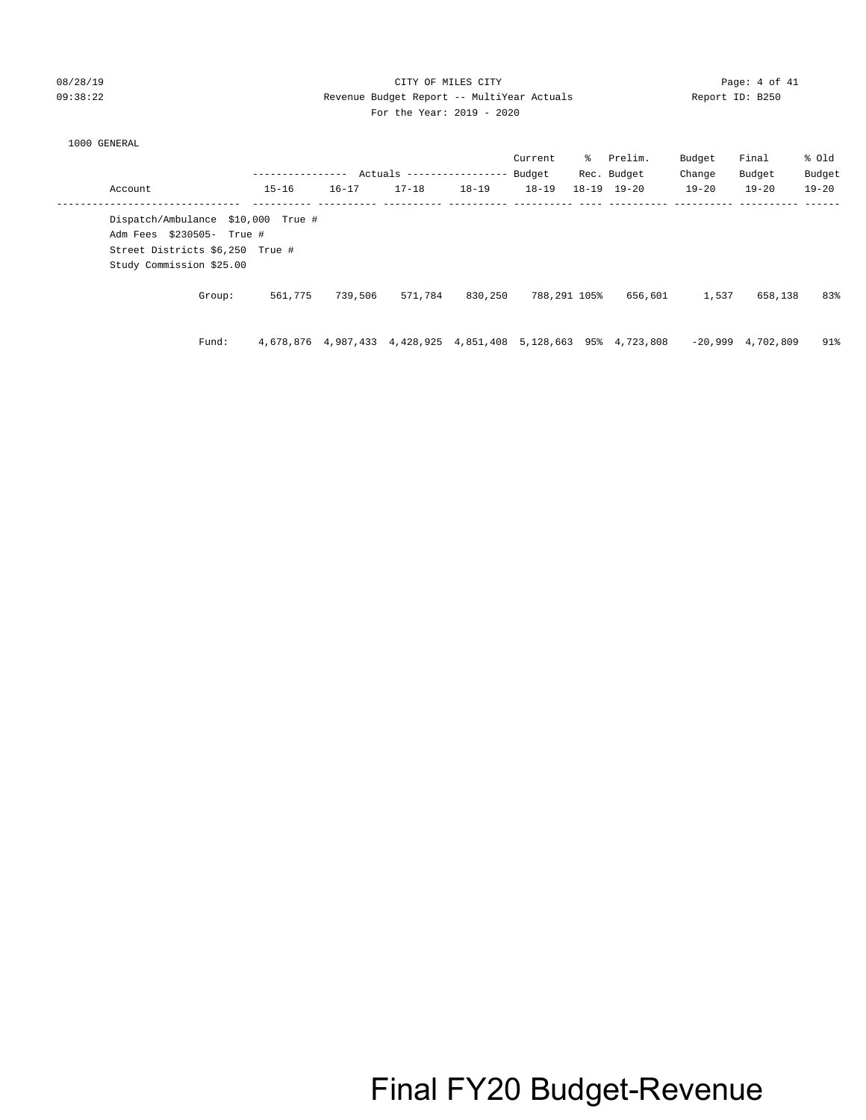## 08/28/19 CITY OF MILES CITY Page: 4 of 41 09:38:22 Revenue Budget Report -- MultiYear Actuals Report ID: B250 For the Year: 2019 - 2020

|                                                                                                                                |           |                                                                 | Actuals ----------------- |           | Current<br>Budget | ႜႜႜ | Prelim.<br>Rec. Budget | Budget<br>Change | Final<br>Budget     | % old<br>Budget |
|--------------------------------------------------------------------------------------------------------------------------------|-----------|-----------------------------------------------------------------|---------------------------|-----------|-------------------|-----|------------------------|------------------|---------------------|-----------------|
| Account                                                                                                                        | $15 - 16$ | $16 - 17$                                                       | $17 - 18$                 | $18 - 19$ | $18 - 19$         |     | $18 - 19$ $19 - 20$    | $19 - 20$        | $19 - 20$           | $19 - 20$       |
| Dispatch/Ambulance \$10,000 True #<br>Adm Fees \$230505- True #<br>Street Districts \$6,250 True #<br>Study Commission \$25.00 |           |                                                                 |                           |           |                   |     |                        |                  |                     |                 |
| Group:                                                                                                                         | 561,775   | 739,506                                                         | 571,784                   | 830,250   | 788,291 105%      |     | 656,601                | 1,537            | 658,138             | 83%             |
| Fund:                                                                                                                          |           | 4,678,876 4,987,433 4,428,925 4,851,408 5,128,663 95% 4,723,808 |                           |           |                   |     |                        |                  | $-20.999$ 4.702.809 | 91%             |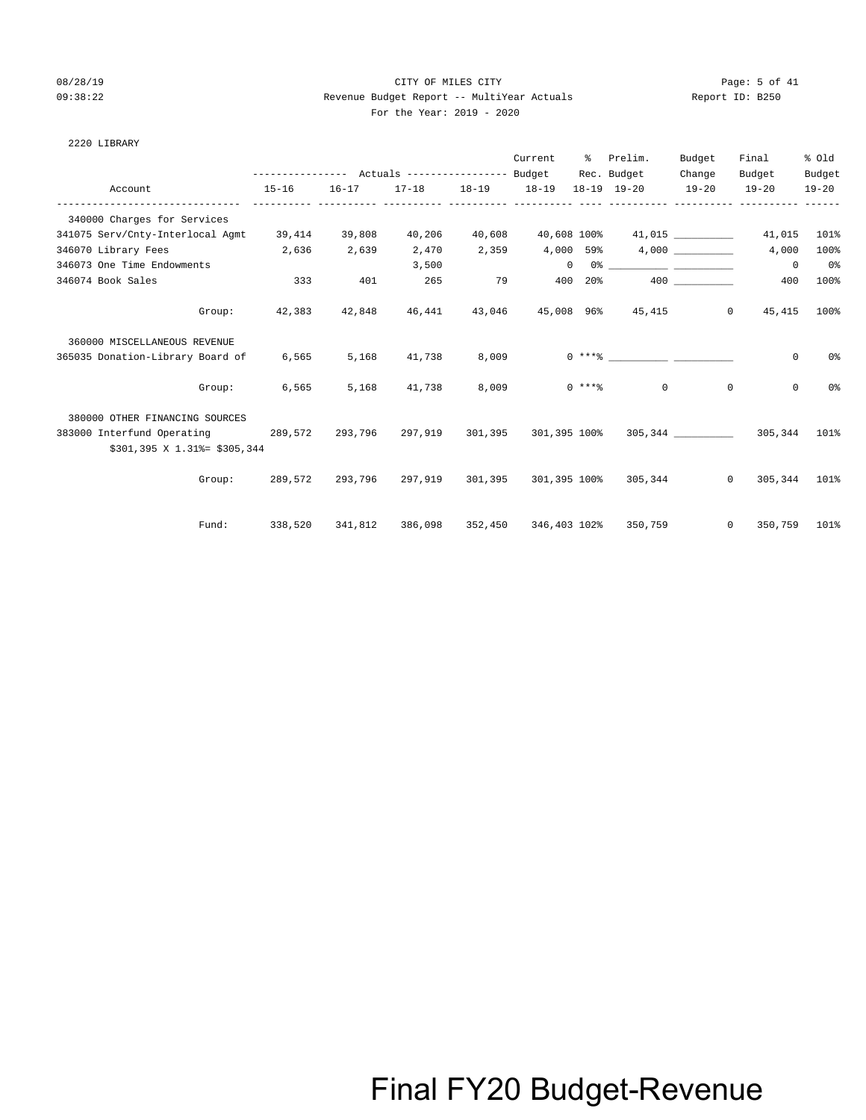## 08/28/19 Page: 5 of 41 09:38:22 Revenue Budget Report -- MultiYear Actuals Report ID: B250 For the Year: 2019 - 2020

| For the Year: 2019 - 2 |  |
|------------------------|--|
|------------------------|--|

| 2220 LIBRARY |  |
|--------------|--|
|--------------|--|

|                                    |                                                       |               |        |       | Current         | ႜၟ     | Prelim.                                                                                                                                                                                                                          | Budget | Final                             | % old          |
|------------------------------------|-------------------------------------------------------|---------------|--------|-------|-----------------|--------|----------------------------------------------------------------------------------------------------------------------------------------------------------------------------------------------------------------------------------|--------|-----------------------------------|----------------|
|                                    | ---------------    Actuals ----------------    Budget |               |        |       |                 |        | Rec. Budget                                                                                                                                                                                                                      | Change | Budget                            | Budget         |
| Account                            | $15 - 16$                                             | $16 - 17$     |        |       |                 |        | $17-18$ 18-19 18-19 18-19 19-20 19-20 19-20                                                                                                                                                                                      |        |                                   | $19 - 20$      |
| 340000 Charges for Services        |                                                       |               |        |       |                 |        |                                                                                                                                                                                                                                  |        |                                   |                |
| 341075 Serv/Cnty-Interlocal Agmt   |                                                       | 39,414 39,808 | 40,206 |       |                 |        | 40,608 40,608 100% 41,015 41,015 41,015                                                                                                                                                                                          |        |                                   | 101%           |
| 346070 Library Fees                | 2,636                                                 | 2,639         | 2,470  |       | 2,359 4,000 59% |        |                                                                                                                                                                                                                                  | 4,000  | 4,000                             | 100%           |
| 346073 One Time Endowments         |                                                       |               | 3,500  |       | $\Omega$        |        | $0\frac{1}{2}$ . The contract of the contract of the contract of the contract of the contract of the contract of the contract of the contract of the contract of the contract of the contract of the contract of the contract of |        | $\overline{0}$                    | 0 <sup>8</sup> |
| 346074 Book Sales                  | 333                                                   | 401           | 265    |       | 79 400          | $20\%$ |                                                                                                                                                                                                                                  |        | 400                               | 100%           |
| Group:                             | 42,383                                                | 42,848        | 46,441 |       |                 |        | 43,046 45,008 96% 45,415                                                                                                                                                                                                         |        | $\overline{0}$<br>45,415          | 100%           |
| 360000 MISCELLANEOUS REVENUE       |                                                       |               |        |       |                 |        |                                                                                                                                                                                                                                  |        |                                   |                |
| 365035 Donation-Library Board of   | 6,565                                                 | 5,168         | 41,738 | 8,009 |                 |        |                                                                                                                                                                                                                                  |        | $\mathbf 0$                       | 0%             |
| Group:                             | 6,565                                                 | 5,168         | 41,738 | 8,009 |                 |        | $0 \; * * *$ 8 0                                                                                                                                                                                                                 |        | $\circ$<br>$\mathbf 0$            | 0%             |
| 380000 OTHER FINANCING SOURCES     |                                                       |               |        |       |                 |        |                                                                                                                                                                                                                                  |        |                                   |                |
| 383000 Interfund Operating 289,572 |                                                       |               |        |       |                 |        | 293,796 297,919 301,395 301,395 100% 305,344 2000 305,344 101%                                                                                                                                                                   |        |                                   |                |
| \$301,395 X 1.31% = \$305,344      |                                                       |               |        |       |                 |        |                                                                                                                                                                                                                                  |        |                                   |                |
|                                    |                                                       |               |        |       |                 |        | Group: 289,572 293,796 297,919 301,395 301,395 100% 305,344                                                                                                                                                                      |        | $\circ$<br>305,344 101%           |                |
| Fund:                              | 338,520                                               | 341,812       |        |       |                 |        | 386,098 352,450 346,403 102% 350,759                                                                                                                                                                                             |        | $0 \qquad \qquad$<br>350,759 101% |                |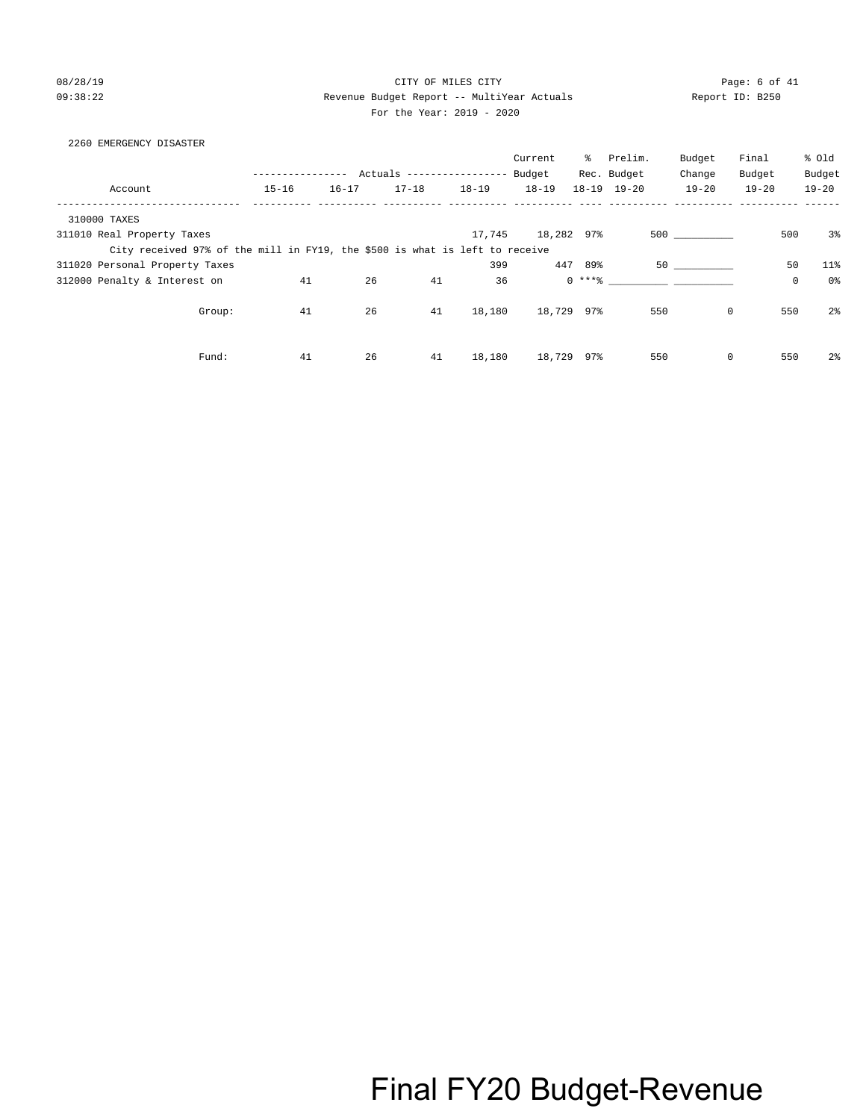08/28/19 CITY OF MILES CITY Page: 6 of 41 09:38:22 Revenue Budget Report -- MultiYear Actuals Report ID: B250 For the Year: 2019 - 2020

## 2260 EMERGENCY DISASTER

|                                                                             |           |           |           |                            | Current    |         | % Prelim.           | Budget    | Final       | % Old          |
|-----------------------------------------------------------------------------|-----------|-----------|-----------|----------------------------|------------|---------|---------------------|-----------|-------------|----------------|
|                                                                             |           |           |           | Actuals ------------------ | Budget     |         | Rec. Budget         | Change    | Budget      | Budget         |
| Account                                                                     | $15 - 16$ | $16 - 17$ | $17 - 18$ | $18 - 19$                  | $18 - 19$  |         | $18 - 19$ $19 - 20$ | $19 - 20$ | $19 - 20$   | $19 - 20$      |
| 310000 TAXES                                                                |           |           |           |                            |            |         |                     |           |             |                |
| 311010 Real Property Taxes                                                  |           |           |           | 17,745                     | 18,282 97% |         |                     | 500 000   | 500         | $3\%$          |
| City received 97% of the mill in FY19, the \$500 is what is left to receive |           |           |           |                            |            |         |                     |           |             |                |
| 311020 Personal Property Taxes                                              |           |           |           | 399                        |            | 447 89% |                     | 50 30 31  | 50          | $11$ %         |
| 312000 Penalty & Interest on                                                | 41        | 26        | 41        | 36                         |            | $0***8$ |                     |           | $\mathsf 0$ | 0%             |
| Group:                                                                      | 41        | 26        | 41        | 18,180                     | 18,729 97% |         | 550                 | 0         | 550         | 2 <sup>°</sup> |
| Fund:                                                                       | 41        | 26        | 41        | 18,180                     | 18,729     | 97%     | 550                 | 0         | 550         | $2\frac{6}{9}$ |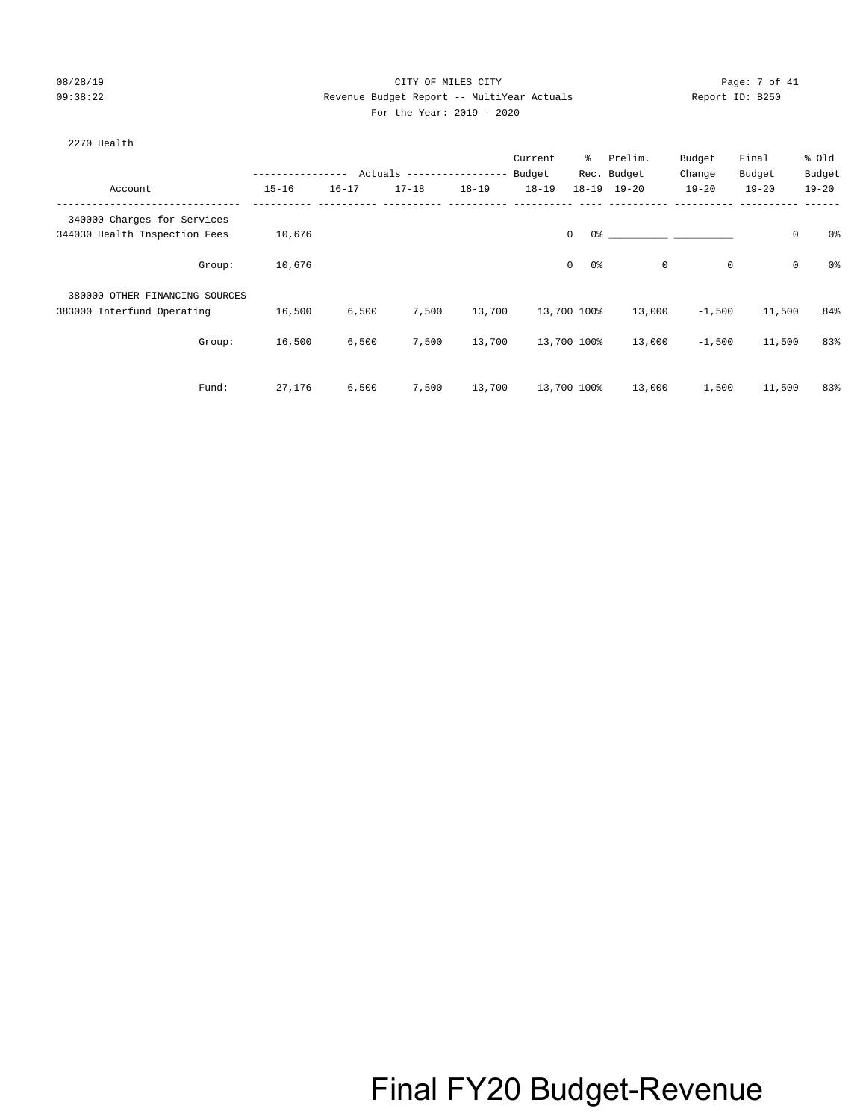### 08/28/19 Page: 7 of 41 09:38:22 Revenue Budget Report -- MultiYear Actuals Report ID: B250  $2020$

383000 Interfund Operating 16,500 6,500 7,500 13,700 13,700 100% 13,000 -1,500 11,500 84%

Group: 16,500 6,500 7,500 13,700 13,700 100% 13,000 -1,500 11,500 83%

Fund: 27,176 6,500 7,500 13,700 13,700 100% 13,000 -1,500 11,500 83%

| For the Year: 2019 |  |
|--------------------|--|
|--------------------|--|

| 2270 Health                    |           |           |                            |           | Current   | ိ       | Prelim.             | Budget    | Final     |            | % Old          |
|--------------------------------|-----------|-----------|----------------------------|-----------|-----------|---------|---------------------|-----------|-----------|------------|----------------|
|                                |           |           | Actuals ------------------ |           | Budget    |         | Rec. Budget         | Change    | Budget    |            | Budget         |
| Account                        | $15 - 16$ | $16 - 17$ | $17 - 18$                  | $18 - 19$ | $18 - 19$ |         | $18 - 19$ $19 - 20$ | $19 - 20$ | $19 - 20$ |            | $19 - 20$      |
| 340000 Charges for Services    |           |           |                            |           |           |         |                     |           |           |            |                |
| 344030 Health Inspection Fees  | 10,676    |           |                            |           |           | 0<br>0% |                     |           |           | $^{\circ}$ | 0 <sup>°</sup> |
| Group:                         | 10,676    |           |                            |           |           | 0<br>0% |                     | $\circ$   | $\circ$   | $\circ$    | 0 <sup>°</sup> |
| 380000 OTHER FINANCING SOURCES |           |           |                            |           |           |         |                     |           |           |            |                |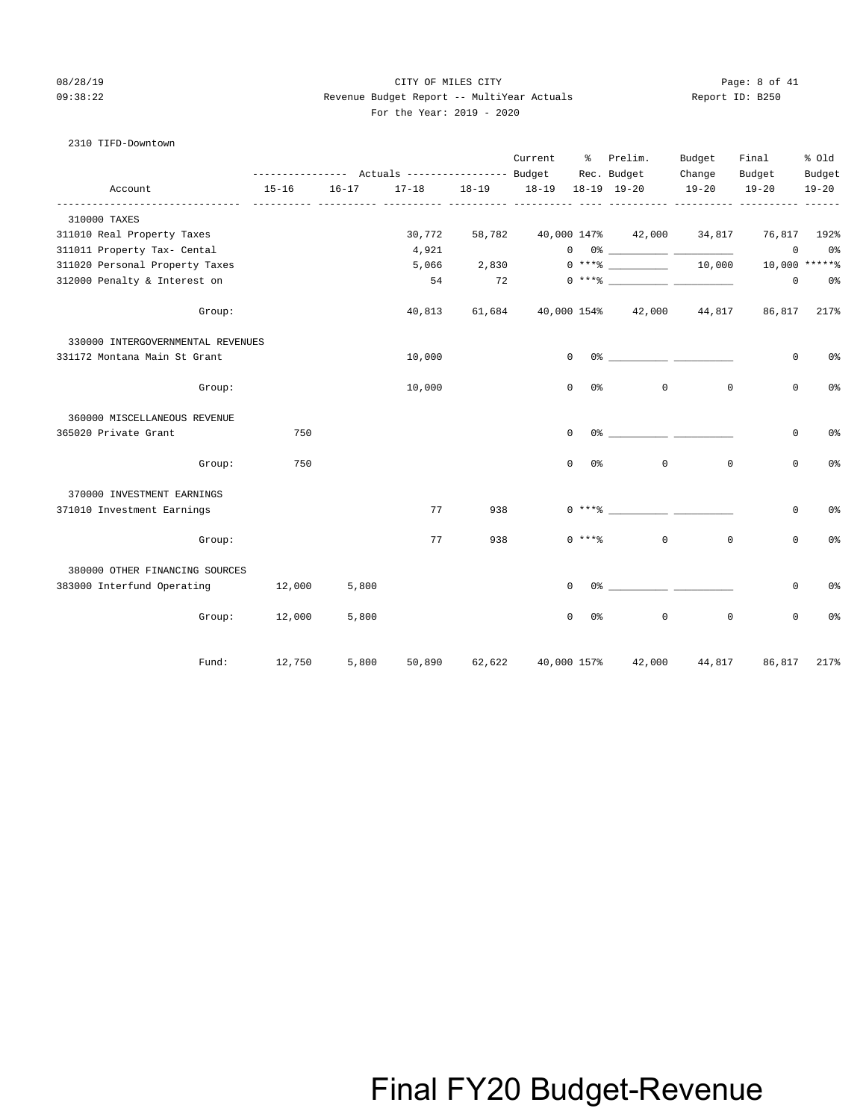### 08/28/19 CITY OF MILES CITY Page: 8 of 41 09:38:22 Revenue Budget Report -- MultiYear Actuals Report ID: B250 For the Year: 2019 - 2020

## 2310 TIFD-Downtown

|                                   |                                                                          |           |             |                               | Current | ႜႜႜ                            | Prelim.                                                                                                                                                                                                                                                                                                                                                            | Budget              | Final               | % old               |
|-----------------------------------|--------------------------------------------------------------------------|-----------|-------------|-------------------------------|---------|--------------------------------|--------------------------------------------------------------------------------------------------------------------------------------------------------------------------------------------------------------------------------------------------------------------------------------------------------------------------------------------------------------------|---------------------|---------------------|---------------------|
| Account                           | --------------- Actuals ---------------- Budget Rec. Budget<br>$15 - 16$ | $16 - 17$ |             | 17-18 18-19 18-19 18-19 19-20 |         |                                |                                                                                                                                                                                                                                                                                                                                                                    | Change<br>$19 - 20$ | Budget<br>$19 - 20$ | Budget<br>$19 - 20$ |
|                                   | -----------                                                              |           | ----- ----- |                               |         |                                |                                                                                                                                                                                                                                                                                                                                                                    |                     |                     |                     |
| 310000 TAXES                      |                                                                          |           |             |                               |         |                                |                                                                                                                                                                                                                                                                                                                                                                    |                     |                     |                     |
| 311010 Real Property Taxes        |                                                                          |           | 30,772      | 58,782                        |         |                                | 40,000 147% 42,000 34,817                                                                                                                                                                                                                                                                                                                                          |                     | 76,817              | 192%                |
| 311011 Property Tax- Cental       |                                                                          |           | 4,921       |                               |         |                                | $\begin{picture}(150,10) \put(0,0){\vector(1,0){100}} \put(15,0){\vector(1,0){100}} \put(15,0){\vector(1,0){100}} \put(15,0){\vector(1,0){100}} \put(15,0){\vector(1,0){100}} \put(15,0){\vector(1,0){100}} \put(15,0){\vector(1,0){100}} \put(15,0){\vector(1,0){100}} \put(15,0){\vector(1,0){100}} \put(15,0){\vector(1,0){100}} \put(15,0){\vector(1,0){100}}$ |                     | $\mathbf 0$         | 0%                  |
| 311020 Personal Property Taxes    |                                                                          |           | 5,066       | 2,830                         |         |                                | $0***$ $10,000$                                                                                                                                                                                                                                                                                                                                                    |                     |                     | 10,000 ******       |
| 312000 Penalty & Interest on      |                                                                          |           | 54          |                               | 72      |                                |                                                                                                                                                                                                                                                                                                                                                                    |                     | $\mathbf{0}$        | 0 %                 |
| Group:                            |                                                                          |           | 40,813      | 61,684                        |         |                                | 40,000 154% 42,000 44,817                                                                                                                                                                                                                                                                                                                                          |                     |                     | 86,817 217%         |
| 330000 INTERGOVERNMENTAL REVENUES |                                                                          |           |             |                               |         |                                |                                                                                                                                                                                                                                                                                                                                                                    |                     |                     |                     |
| 331172 Montana Main St Grant      |                                                                          |           | 10,000      |                               |         | $\mathbf{0}$                   |                                                                                                                                                                                                                                                                                                                                                                    |                     | $\mathbf 0$         | 0 <sup>8</sup>      |
| Group:                            |                                                                          |           | 10,000      |                               |         | 0 <sup>°</sup><br>$\mathbf{0}$ | $\circ$                                                                                                                                                                                                                                                                                                                                                            | $\mathbf 0$         | $\mathbf 0$         | 0 <sup>°</sup>      |
| 360000 MISCELLANEOUS REVENUE      |                                                                          |           |             |                               |         |                                |                                                                                                                                                                                                                                                                                                                                                                    |                     |                     |                     |
| 365020 Private Grant              | 750                                                                      |           |             |                               |         | $\circ$                        |                                                                                                                                                                                                                                                                                                                                                                    |                     | 0                   | 0%                  |
| Group:                            | 750                                                                      |           |             |                               |         | $\Omega$<br>0%                 | $\mathbf 0$                                                                                                                                                                                                                                                                                                                                                        | $\mathbf 0$         | $\mathbf 0$         | 0 <sup>8</sup>      |
| 370000 INVESTMENT EARNINGS        |                                                                          |           |             |                               |         |                                |                                                                                                                                                                                                                                                                                                                                                                    |                     |                     |                     |
| 371010 Investment Earnings        |                                                                          |           | 77          | 938                           |         | $0***$ $*$                     |                                                                                                                                                                                                                                                                                                                                                                    |                     | $\mathbf 0$         | 0 <sup>°</sup>      |
| Group:                            |                                                                          |           | 77          | 938                           |         | $0 \times + * *$               | $\circ$                                                                                                                                                                                                                                                                                                                                                            | $\mathbf 0$         | $\mathbf 0$         | 0%                  |
| 380000 OTHER FINANCING SOURCES    |                                                                          |           |             |                               |         |                                |                                                                                                                                                                                                                                                                                                                                                                    |                     |                     |                     |
| 383000 Interfund Operating 12,000 |                                                                          | 5,800     |             |                               |         | $\Omega$                       | $0$ %                                                                                                                                                                                                                                                                                                                                                              |                     | $\mathbf 0$         | 0 <sup>°</sup>      |
|                                   | Group: 12,000                                                            | 5,800     |             |                               |         | $\Omega$<br>0%                 | $\mathbf 0$                                                                                                                                                                                                                                                                                                                                                        | $\mathbf 0$         | $\mathbf 0$         | 0 <sup>°</sup>      |
| Fund:                             | 12,750                                                                   | 5,800     | 50,890      | 62,622                        |         | 40,000 157%                    | 42,000                                                                                                                                                                                                                                                                                                                                                             | 44,817              | 86,817              | 217%                |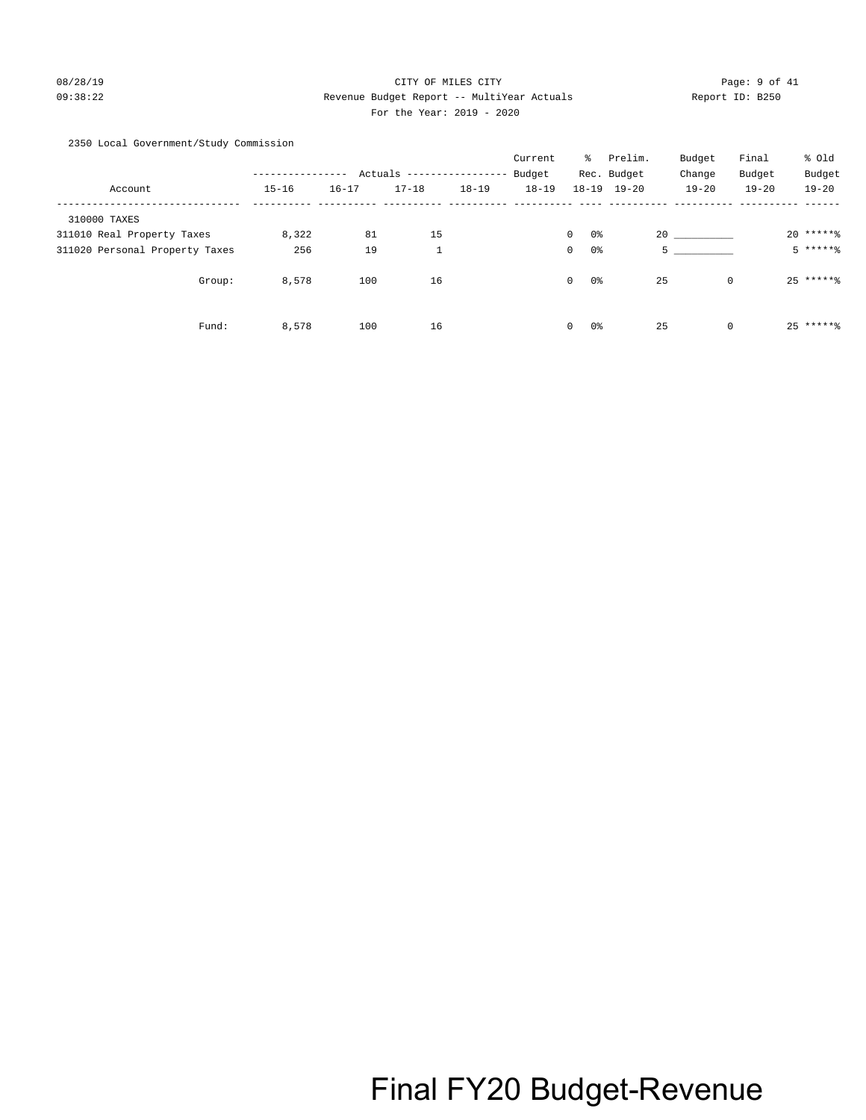## 08/28/19 CITY OF MILES CITY Page: 9 of 41 09:38:22 Revenue Budget Report -- MultiYear Actuals Report ID: B250 For the Year: 2019 - 2020

### 2350 Local Government/Study Commission

|                                |           |           |                         |           | Current   | ိ                              | Prelim.     | Budget    | Final       | % Old     |
|--------------------------------|-----------|-----------|-------------------------|-----------|-----------|--------------------------------|-------------|-----------|-------------|-----------|
|                                |           |           | Actuals --------------- |           | Budget    |                                | Rec. Budget | Change    | Budget      | Budget    |
| Account                        | $15 - 16$ | $16 - 17$ | $17 - 18$               | $18 - 19$ | $18 - 19$ | $18 - 19$                      | $19 - 20$   | $19 - 20$ | $19 - 20$   | $19 - 20$ |
| 310000 TAXES                   |           |           |                         |           |           |                                |             |           |             |           |
| 311010 Real Property Taxes     | 8,322     | 81        | 15                      |           |           | 0%<br>$\mathbf{0}$             |             | 20        |             | $20****$  |
| 311020 Personal Property Taxes | 256       | 19        | $\mathbf{1}$            |           |           | 0 <sup>o</sup><br>$\mathbf{0}$ |             | 5         |             | $5****8$  |
| Group:                         | 8,578     | 100       | 16                      |           |           | $\mathbf{0}$<br>0%             |             | 25        | $\mathbf 0$ | $25****$  |
| Fund:                          | 8,578     | 100       | 16                      |           |           | 0%<br>$\mathbf{0}$             |             | 25        | $\mathbf 0$ | $25****$  |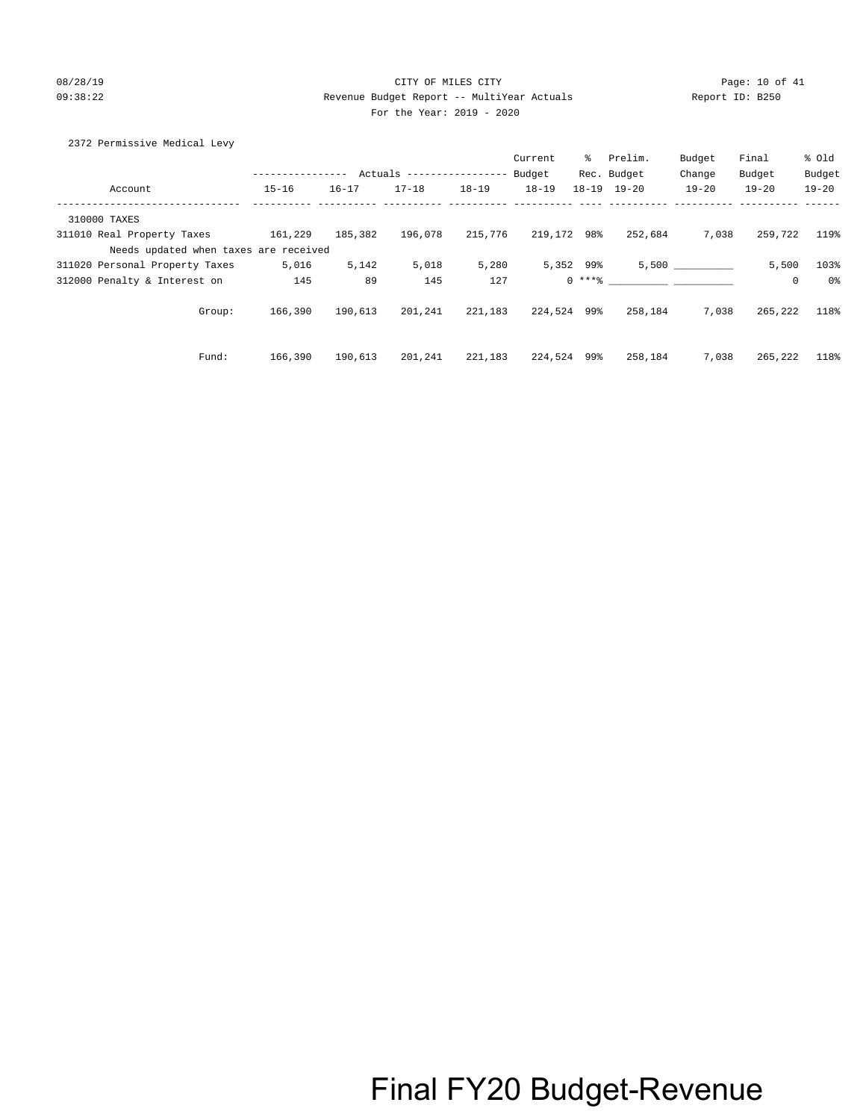## 08/28/19 CITY OF MILES CITY Page: 10 of 41 09:38:22 Revenue Budget Report -- MultiYear Actuals Report ID: B250 For the Year: 2019 - 2020

## 2372 Permissive Medical Levy

|                                       |                  |           |                            |           | Current     | ွေ          | Prelim.             | Budget    | Final       | % Old     |
|---------------------------------------|------------------|-----------|----------------------------|-----------|-------------|-------------|---------------------|-----------|-------------|-----------|
|                                       | ---------------- |           | Actuals ------------------ |           | Budget      |             | Rec. Budget         | Change    | Budget      | Budget    |
| Account                               | $15 - 16$        | $16 - 17$ | $17 - 18$                  | $18 - 19$ | $18 - 19$   |             | $18 - 19$ $19 - 20$ | $19 - 20$ | $19 - 20$   | $19 - 20$ |
| 310000 TAXES                          |                  |           |                            |           |             |             |                     |           |             |           |
| 311010 Real Property Taxes            | 161,229          | 185,382   | 196,078                    | 215,776   | 219,172 98% |             | 252,684             | 7,038     | 259,722     | 119%      |
| Needs updated when taxes are received |                  |           |                            |           |             |             |                     |           |             |           |
| 311020 Personal Property Taxes        | 5,016            | 5,142     | 5,018                      | 5,280     |             | 5,352 99%   |                     | 5,500     | 5,500       | 103%      |
| 312000 Penalty & Interest on          | 145              | 89        | 145                        | 127       |             | $0$ *** $%$ |                     |           | $\mathbf 0$ | 0%        |
| Group:                                | 166,390          | 190,613   | 201,241                    | 221,183   | 224,524 99% |             | 258,184             | 7,038     | 265,222     | 118%      |
| Fund:                                 | 166,390          | 190,613   | 201,241                    | 221,183   | 224,524 99% |             | 258,184             | 7,038     | 265,222     | 118%      |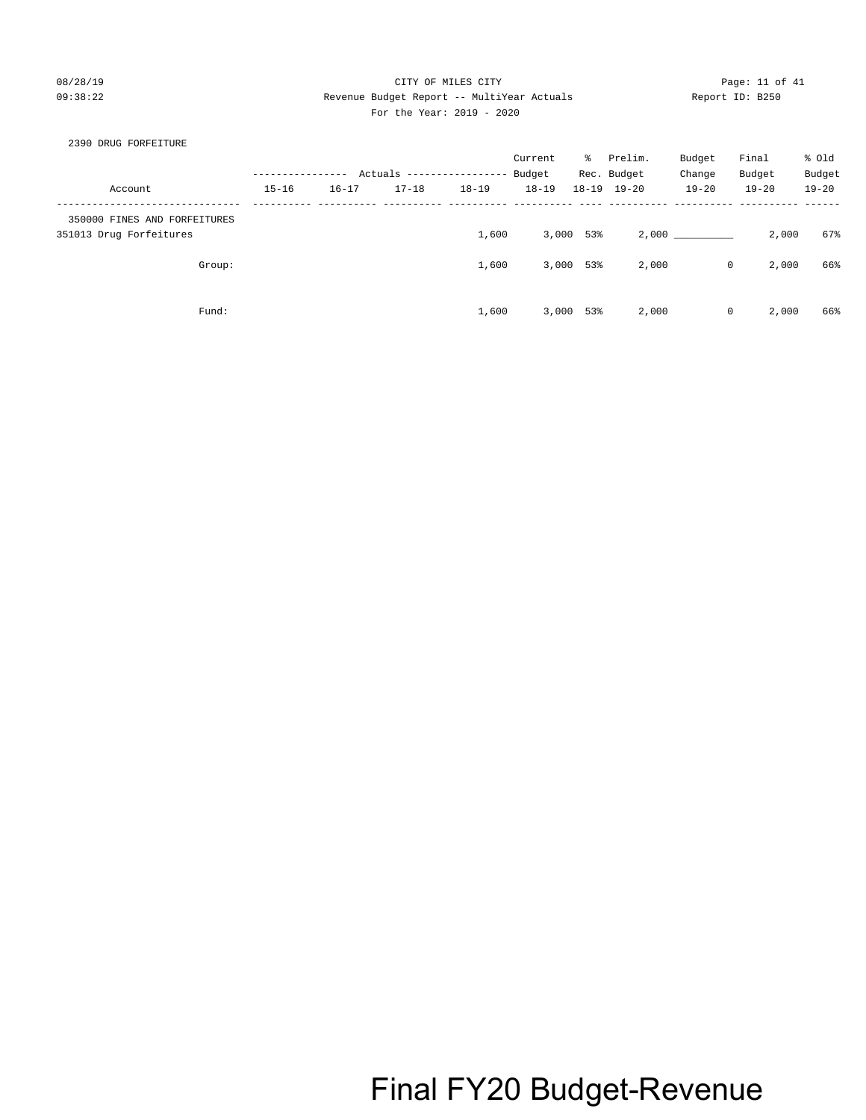### 08/28/19 CITY OF MILES CITY Page: 11 of 41 09:38:22 Revenue Budget Report -- MultiYear Actuals Report ID: B250 For the Year: 2019 - 2020

### 2390 DRUG FORFEITURE

|                                                         |           |           |                           |           | Current   | ိ         | Prelim.             | Budget    | Final                | % Old     |
|---------------------------------------------------------|-----------|-----------|---------------------------|-----------|-----------|-----------|---------------------|-----------|----------------------|-----------|
|                                                         |           |           | Actuals ----------------- |           | Budget    |           | Rec. Budget         | Change    | Budget               | Budget    |
| Account                                                 | $15 - 16$ | $16 - 17$ | $17 - 18$                 | $18 - 19$ | $18 - 19$ |           | $18 - 19$ $19 - 20$ | $19 - 20$ | $19 - 20$            | $19 - 20$ |
| 350000 FINES AND FORFEITURES<br>351013 Drug Forfeitures |           |           |                           | 1,600     |           | 3,000 53% |                     | 2,000 200 | 2,000                | 67%       |
| Group:                                                  |           |           |                           | 1,600     | 3,000     | 53%       | 2,000               |           | $\mathbf 0$<br>2,000 | 66%       |
| Fund:                                                   |           |           |                           | 1,600     | 3,000     | 53%       | 2,000               |           | 2,000<br>$\mathbf 0$ | 66%       |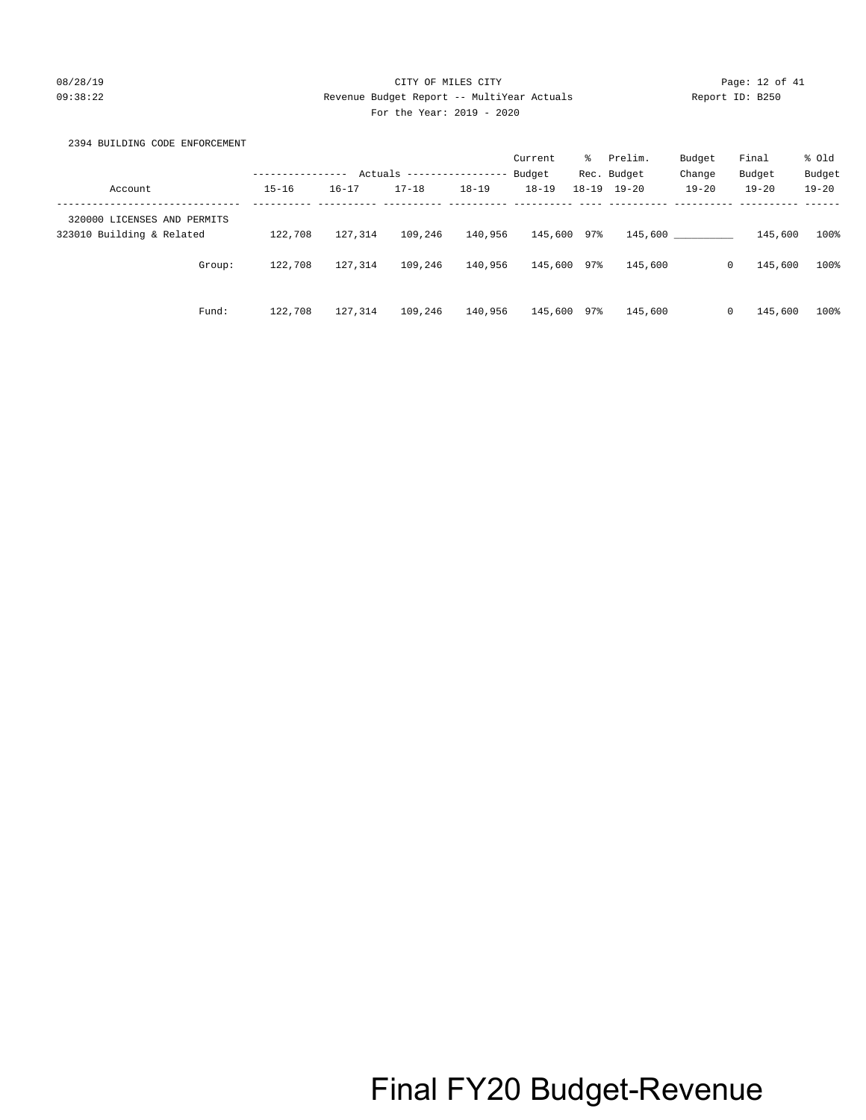## 08/28/19 CITY OF MILES CITY Page: 12 of 41 09:38:22 Revenue Budget Report -- MultiYear Actuals Report ID: B250 For the Year: 2019 - 2020

## 2394 BUILDING CODE ENFORCEMENT

|                                                          |           |           |           |                   | Current   | ిం  | Prelim.             | Budget    | Final                   | % old     |
|----------------------------------------------------------|-----------|-----------|-----------|-------------------|-----------|-----|---------------------|-----------|-------------------------|-----------|
|                                                          |           | Actuals   |           | ----------------- | Budget    |     | Rec. Budget         | Change    | Budget                  | Budget    |
| Account                                                  | $15 - 16$ | $16 - 17$ | $17 - 18$ | $18 - 19$         | $18 - 19$ |     | $18 - 19$ $19 - 20$ | $19 - 20$ | $19 - 20$               | $19 - 20$ |
| 320000 LICENSES AND PERMITS<br>323010 Building & Related | 122,708   | 127,314   | 109,246   | 140,956           | 145,600   | 97% | 145,600             |           | 145,600                 | 100%      |
| Group:                                                   | 122,708   | 127,314   | 109,246   | 140,956           | 145,600   | 97% | 145,600             |           | 145,600<br>$\mathbf{0}$ | 100%      |
| Fund:                                                    | 122,708   | 127,314   | 109,246   | 140,956           | 145,600   | 97% | 145,600             |           | 145,600<br>0            | 100%      |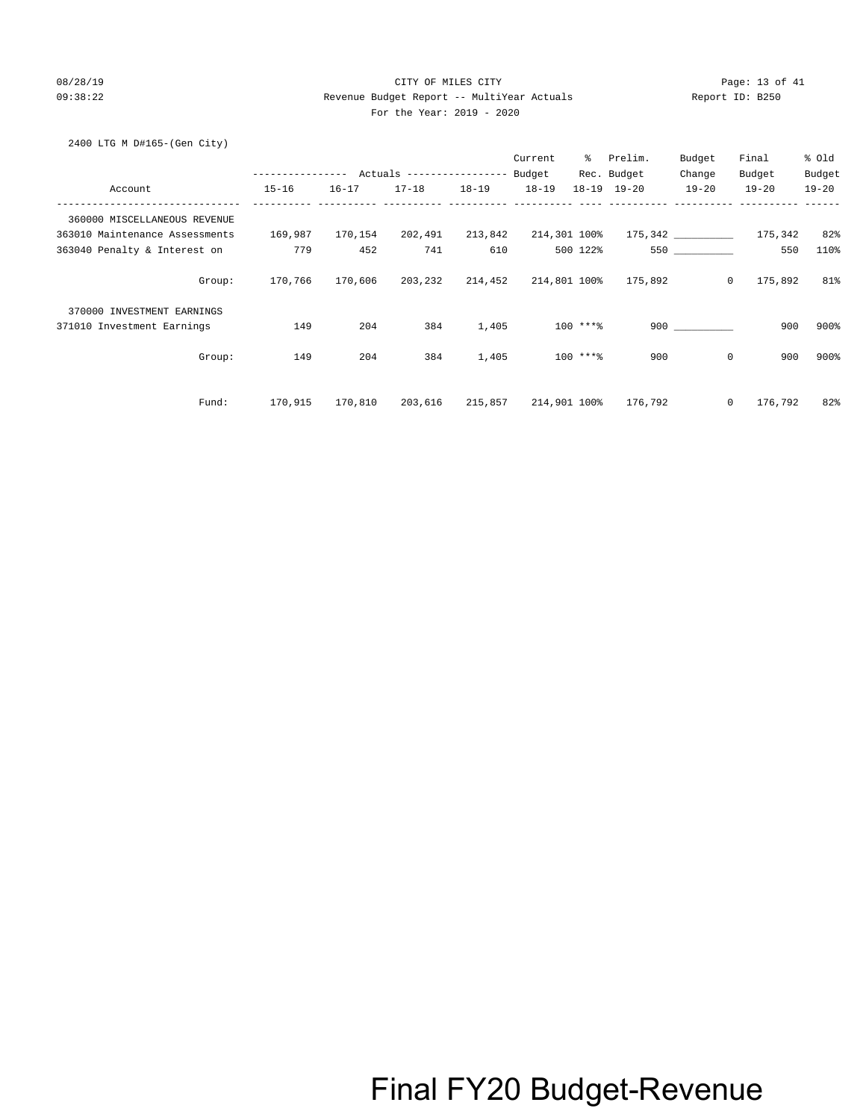## 08/28/19 CITY OF MILES CITY Page: 13 of 41 09:38:22 Revenue Budget Report -- MultiYear Actuals Report ID: B250 For the Year: 2019 - 2020

### 2400 LTG M D#165-(Gen City)

|                                |           |         |                              |       | Current |            | % Prelim.                                                  | Budget         | Final           | % old     |
|--------------------------------|-----------|---------|------------------------------|-------|---------|------------|------------------------------------------------------------|----------------|-----------------|-----------|
|                                |           |         |                              |       |         |            | Rec. Budget                                                | Change         | Budget          | Budget    |
| Account                        | $15 - 16$ |         | 16-17 17-18 18-19 18-19      |       |         |            | 18-19 19-20                                                | $19 - 20$      | $19 - 20$       | $19 - 20$ |
| 360000 MISCELLANEOUS REVENUE   |           |         |                              |       |         |            |                                                            |                |                 |           |
| 363010 Maintenance Assessments | 169,987   |         |                              |       |         |            |                                                            |                | 175,342 175,342 | 82%       |
| 363040 Penalty & Interest on   | 779       | 452     | 741                          | 610   |         | 500 122%   |                                                            |                | 550             | 110%      |
| Group:                         |           |         |                              |       |         |            | 170,766  170,606  203,232  214,452  214,801  100%  175,892 | $\overline{0}$ | 175,892         | 81%       |
| 370000 INVESTMENT EARNINGS     |           |         |                              |       |         |            |                                                            |                |                 |           |
| 371010 Investment Earnings     | 149       | 204     | 384                          | 1,405 |         | 100 ****   |                                                            | 900            | 900             | 900%      |
| Group:                         | 149       | 204     | 384                          | 1,405 |         | $100$ ***% | 900                                                        | $\mathbf{0}$   | 900             | 900%      |
| Fund:                          | 170,915   | 170,810 | 203,616 215,857 214,901 100% |       |         |            | 176,792                                                    | $\circ$        | 176,792         | 82%       |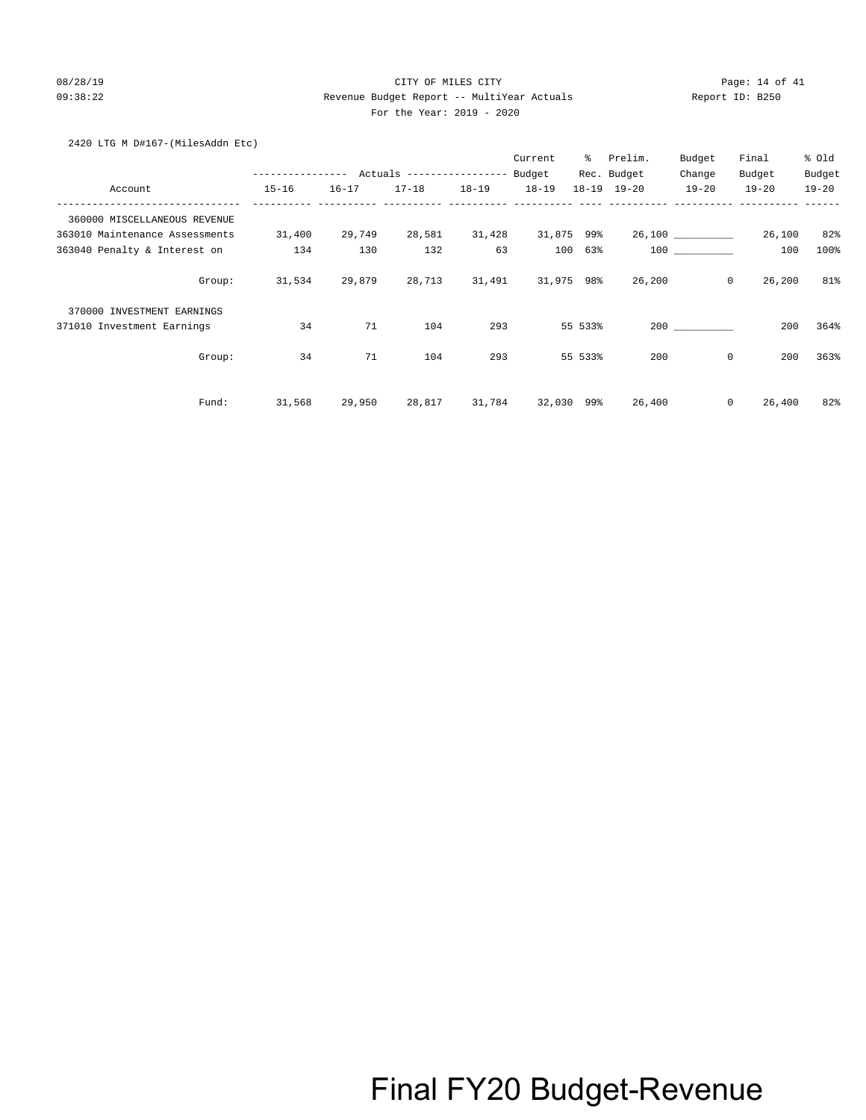## 08/28/19 CITY OF MILES CITY Page: 14 of 41 09:38:22 Revenue Budget Report -- MultiYear Actuals Report ID: B250 For the Year: 2019 - 2020

### 2420 LTG M D#167-(MilesAddn Etc)

|                                |                  |           |                                  |           | Current    | ៖       | Prelim.             | Budget           | Final     | % old     |
|--------------------------------|------------------|-----------|----------------------------------|-----------|------------|---------|---------------------|------------------|-----------|-----------|
|                                | ---------------- |           | Actuals ----------------- Budget |           |            |         | Rec. Budget         | Change           | Budget    | Budget    |
| Account                        | $15 - 16$        | $16 - 17$ | $17 - 18$                        | $18 - 19$ | $18 - 19$  |         | $18 - 19$ $19 - 20$ | $19 - 20$        | $19 - 20$ | $19 - 20$ |
| 360000 MISCELLANEOUS REVENUE   |                  |           |                                  |           |            |         |                     |                  |           |           |
| 363010 Maintenance Assessments | 31,400           | 29,749    | 28,581                           | 31,428    | 31,875 99% |         |                     | 26,100 _________ | 26,100    | 82%       |
| 363040 Penalty & Interest on   | 134              | 130       | 132                              | 63        | 100        | 63%     |                     | 100              | 100       | 100%      |
| Group:                         | 31,534           | 29,879    | 28,713                           | 31,491    | 31,975 98% |         | 26,200              | $\circ$          | 26,200    | 81%       |
| 370000 INVESTMENT EARNINGS     |                  |           |                                  |           |            |         |                     |                  |           |           |
| 371010 Investment Earnings     | 34               | 71        | 104                              | 293       |            | 55 533% |                     | 200              | 200       | 364%      |
| Group:                         | 34               | 71        | 104                              | 293       |            | 55 533% | 200                 | $\mathbf 0$      | 200       | 363%      |
| Fund:                          | 31,568           | 29,950    | 28,817                           | 31,784    | 32,030 99% |         | 26,400              | $\mathbf{0}$     | 26,400    | 82%       |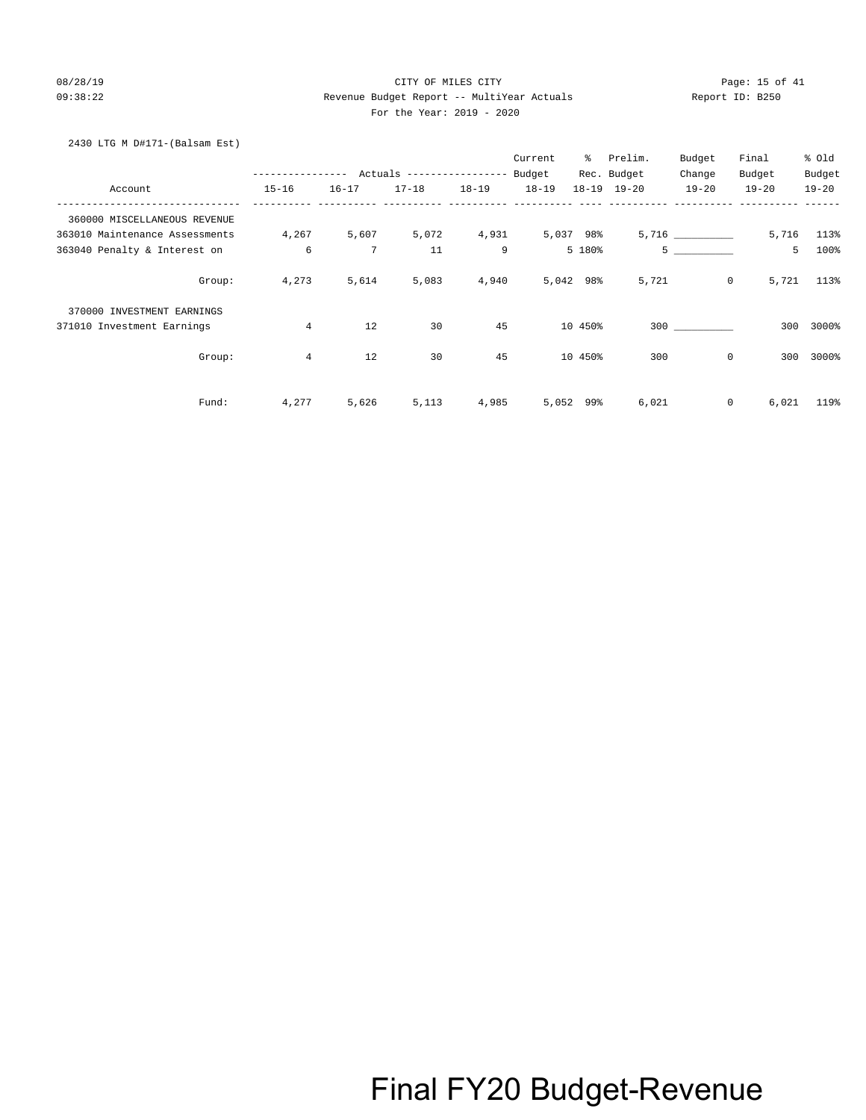## 08/28/19 Page: 15 of 41 09:38:22 Revenue Budget Report -- MultiYear Actuals Report ID: B250 For the Year: 2019 - 2020

## 2430 LTG M D#171-(Balsam Est)

|                                |                                           |                 |             |       | Current   | ႜႜႜၟ      | Prelim.     | Budget         | Final     | % Old      |
|--------------------------------|-------------------------------------------|-----------------|-------------|-------|-----------|-----------|-------------|----------------|-----------|------------|
|                                | --------------- Actuals ----------------- |                 |             |       | Budget    |           | Rec. Budget | Change         | Budget    | Budget     |
| Account                        | $15 - 16$                                 | $16 - 17$       | 17-18 18-19 |       | $18 - 19$ |           | 18-19 19-20 | $19 - 20$      | $19 - 20$ | $19 - 20$  |
| 360000 MISCELLANEOUS REVENUE   |                                           |                 |             |       |           |           |             |                |           |            |
| 363010 Maintenance Assessments | 4,267                                     | 5,607           | 5,072       | 4,931 | 5,037 98% |           |             | 5,716          |           | 5,716 113% |
| 363040 Penalty & Interest on   | 6                                         | $7\phantom{.0}$ | 11          | 9     |           | 5 180%    |             | 5 <sub>5</sub> | 5         | 100%       |
| Group:                         | 4,273                                     | 5,614           | 5,083       | 4,940 | 5,042 98% |           | 5,721       | $\circ$        | 5,721     | 113%       |
| 370000 INVESTMENT EARNINGS     |                                           |                 |             |       |           |           |             |                |           |            |
| 371010 Investment Earnings     | $\overline{4}$                            | 12              | 30          | 45    |           | 10 450%   |             | 300            | 300       | 3000%      |
| Group:                         | $\overline{4}$                            | 12              | 30          | 45    |           | 10 450%   | 300         | $\mathbf 0$    | 300       | 3000%      |
| Fund:                          | 4,277                                     | 5,626           | 5,113       | 4,985 |           | 5,052 99% | 6,021       | $\circ$        | 6,021     | 119%       |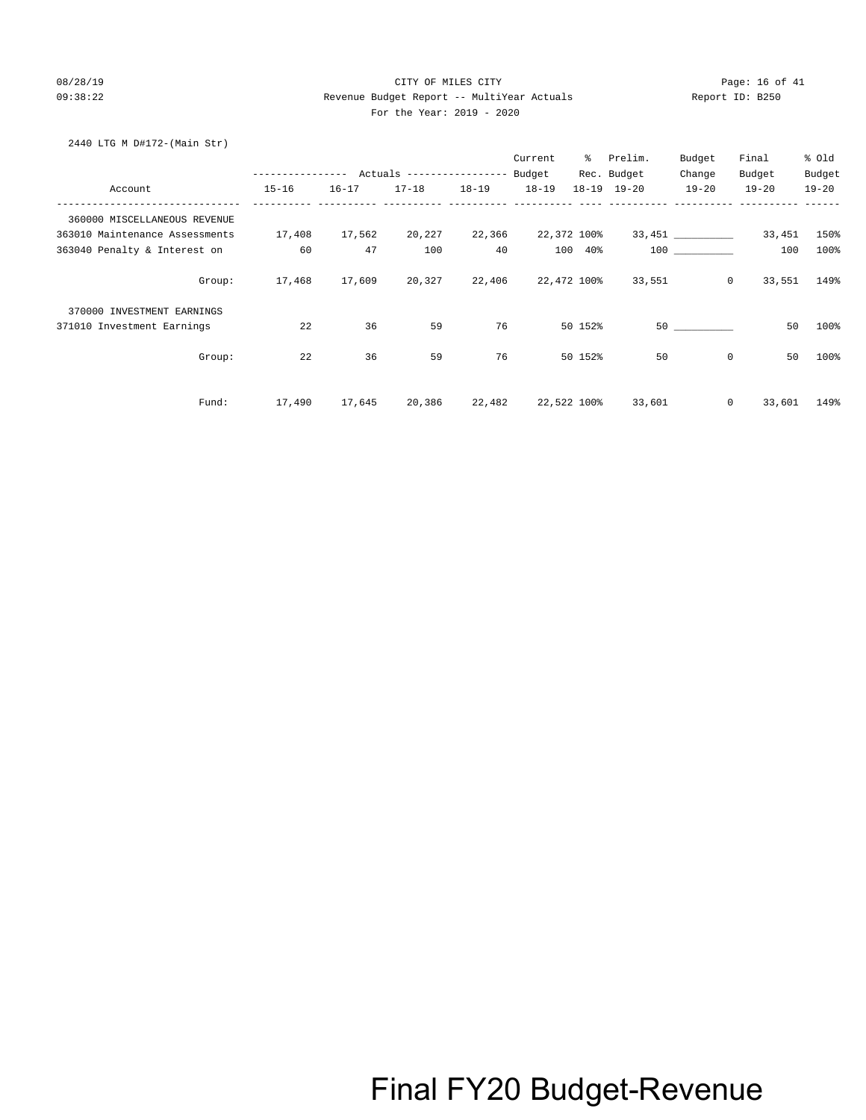## 08/28/19 CITY OF MILES CITY Page: 16 of 41 09:38:22 Revenue Budget Report -- MultiYear Actuals Report ID: B250 For the Year: 2019 - 2020

### 2440 LTG M D#172-(Main Str)

|                                |                                           |               |                           |           | Current     | ိ       | Prelim.             | Budget         | Final     | % old     |
|--------------------------------|-------------------------------------------|---------------|---------------------------|-----------|-------------|---------|---------------------|----------------|-----------|-----------|
|                                | --------------- Actuals ----------------- |               |                           |           | Budget      |         | Rec. Budget         | Change         | Budget    | Budget    |
| Account                        | $15 - 16$                                 | $16 - 17$     | $17 - 18$                 | $18 - 19$ | $18 - 19$   |         | $18 - 19$ $19 - 20$ | $19 - 20$      | $19 - 20$ | $19 - 20$ |
| 360000 MISCELLANEOUS REVENUE   |                                           |               |                           |           |             |         |                     |                |           |           |
| 363010 Maintenance Assessments | 17,408                                    | 17,562        | 20,227                    | 22,366    | 22,372 100% |         |                     | 33,451         | 33,451    | 150%      |
| 363040 Penalty & Interest on   | 60                                        | 47            | 100                       | 40        |             | 100 40% |                     | 100 000        | 100       | 100%      |
| Group:                         |                                           | 17,468 17,609 | 20,327 22,406 22,472 100% |           |             |         | 33,551              | $\overline{0}$ | 33,551    | 149%      |
| 370000 INVESTMENT EARNINGS     |                                           |               |                           |           |             |         |                     |                |           |           |
| 371010 Investment Earnings     | 22                                        | 36            | 59                        | 76        |             | 50 152% |                     |                | 50        | 100%      |
| Group:                         | 22                                        | 36            | 59                        | 76        |             | 50 152% | 50                  | $\mathbf 0$    | 50        | 100%      |
| Fund:                          | 17,490                                    | 17,645        | 20,386                    | 22,482    | 22,522 100% |         | 33,601              | $\mathbf{0}$   | 33,601    | 149%      |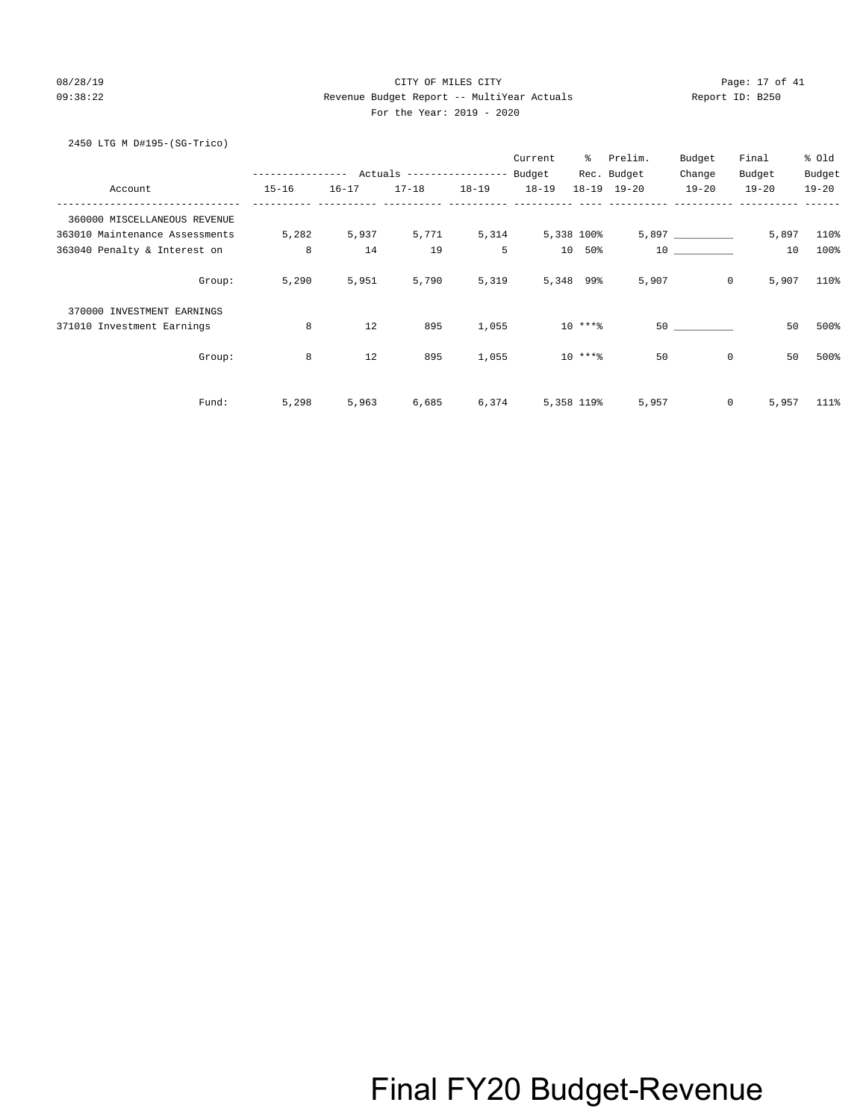## 08/28/19 CITY OF MILES CITY Page: 17 of 41 09:38:22 Revenue Budget Report -- MultiYear Actuals Report ID: B250 For the Year: 2019 - 2020

## 2450 LTG M D#195-(SG-Trico)

|                                |             |           |                                  |           | Current    | ႜႜ       | Prelim.             | Budget      | Final     | % Old     |
|--------------------------------|-------------|-----------|----------------------------------|-----------|------------|----------|---------------------|-------------|-----------|-----------|
|                                | ----------- |           | Actuals ----------------- Budget |           |            |          | Rec. Budget         | Change      | Budget    | Budget    |
| Account                        | $15 - 16$   | $16 - 17$ | $17 - 18$                        | $18 - 19$ | $18 - 19$  |          | $18 - 19$ $19 - 20$ | $19 - 20$   | $19 - 20$ | $19 - 20$ |
| 360000 MISCELLANEOUS REVENUE   |             |           |                                  |           |            |          |                     |             |           |           |
| 363010 Maintenance Assessments | 5,282       | 5,937     | 5,771                            | 5,314     | 5,338 100% |          |                     | 5,897       | 5,897     | 110%      |
| 363040 Penalty & Interest on   | 8           | 14        | 19                               | 5         | 10         | 50%      |                     | 10          | 10        | 100%      |
| Group:                         | 5,290       | 5,951     | 5,790                            | 5,319     | 5,348 99%  |          | 5,907               | $\mathbf 0$ | 5,907     | 110%      |
| 370000 INVESTMENT EARNINGS     |             |           |                                  |           |            |          |                     |             |           |           |
| 371010 Investment Earnings     | 8           | 12        | 895                              | 1,055     |            | $10***8$ |                     | 50          | 50        | 500%      |
| Group:                         | 8           | 12        | 895                              | 1,055     |            | $10***8$ | 50                  | $\mathbf 0$ | 50        | 500%      |
| Fund:                          | 5,298       | 5,963     | 6,685                            | 6,374     | 5,358 119% |          | 5,957               | 0           | 5,957     | 111%      |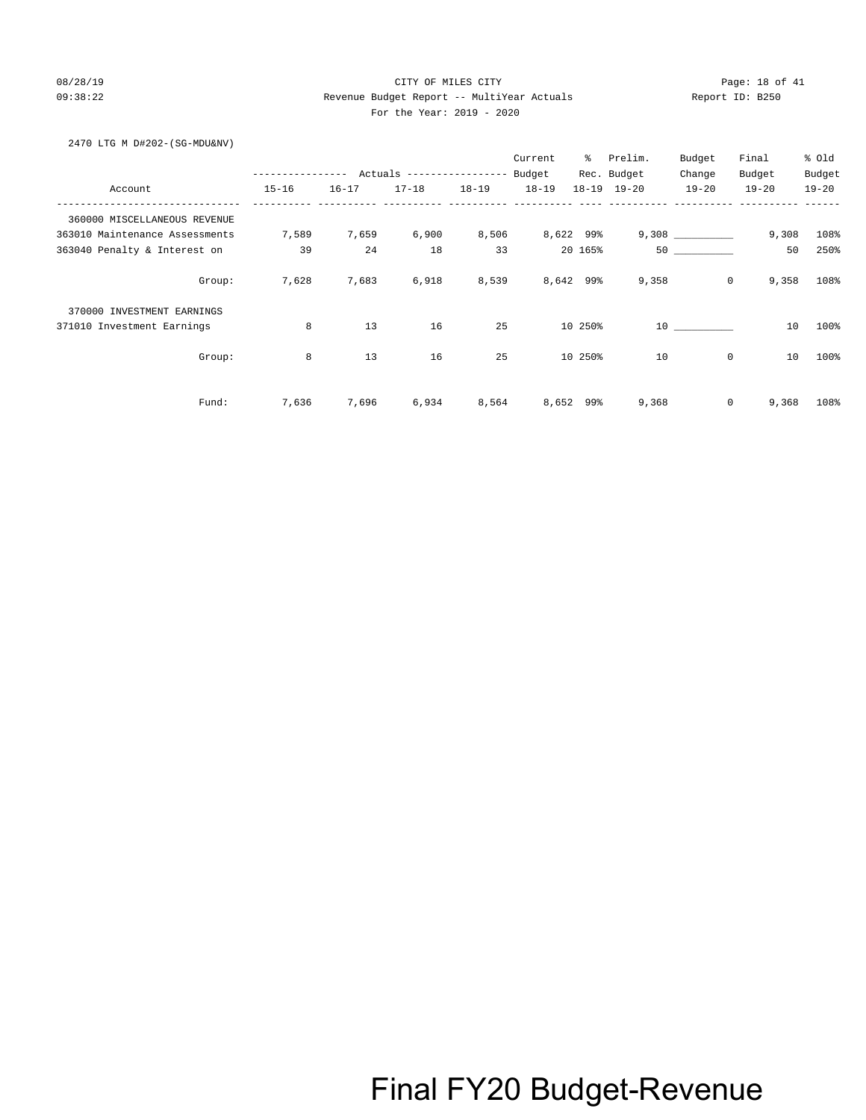## 08/28/19 CITY OF MILES CITY Page: 18 of 41 09:38:22 Revenue Budget Report -- MultiYear Actuals Report ID: B250 For the Year: 2019 - 2020

### 2470 LTG M D#202-(SG-MDU&NV)

|                                |           |           |                                                 |           | Current   | ႜ         | Prelim.     | Budget    | Final            | % Old     |
|--------------------------------|-----------|-----------|-------------------------------------------------|-----------|-----------|-----------|-------------|-----------|------------------|-----------|
|                                |           |           | --------------- Actuals ---------------- Budget |           |           |           | Rec. Budget | Change    | Budget           | Budget    |
| Account                        | $15 - 16$ | $16 - 17$ | $17 - 18$                                       | $18 - 19$ | $18 - 19$ |           | 18-19 19-20 | $19 - 20$ | $19 - 20$        | $19 - 20$ |
| 360000 MISCELLANEOUS REVENUE   |           |           |                                                 |           |           |           |             |           |                  |           |
| 363010 Maintenance Assessments | 7,589     | 7,659     | 6,900                                           | 8,506     | 8,622 99% |           |             |           | 9,308            | 108%      |
| 363040 Penalty & Interest on   | 39        | 24        | 18                                              | 33        |           | 20 165%   |             | 50        | 50               | 250%      |
| Group:                         | 7,628     | 7,683     | 6,918                                           | 8,539     | 8,642 99% |           | 9,358       |           | $\circ$<br>9,358 | 108%      |
| 370000 INVESTMENT EARNINGS     |           |           |                                                 |           |           |           |             |           |                  |           |
| 371010 Investment Earnings     | 8         | 13        | 16                                              | 25        |           | 10 250%   |             | 10        | 10               | 100%      |
| Group:                         | 8         | 13        | 16                                              | 25        |           | 10 250%   | 10          |           | 0<br>10          | 100%      |
| Fund:                          | 7,636     | 7,696     | 6,934                                           | 8,564     |           | 8,652 99% | 9,368       |           | 0<br>9,368       | 108%      |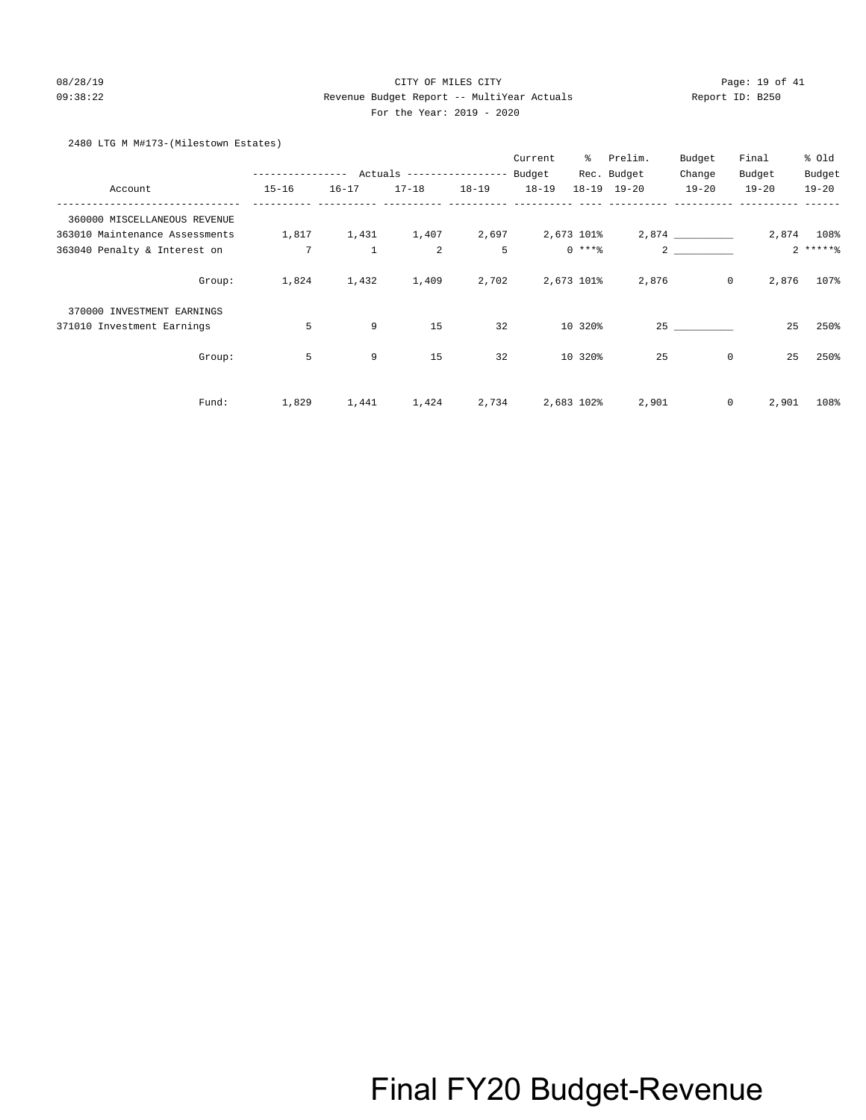## 08/28/19 CITY OF MILES CITY Page: 19 of 41 09:38:22 Revenue Budget Report -- MultiYear Actuals Report ID: B250 For the Year: 2019 - 2020

## 2480 LTG M M#173-(Milestown Estates)

|                                |                  |              |                            |           | Current   | ⊱           | Prelim.             | Budget         | Final     | % old      |
|--------------------------------|------------------|--------------|----------------------------|-----------|-----------|-------------|---------------------|----------------|-----------|------------|
|                                | ---------------- |              | Actuals ------------------ |           | Budget    |             | Rec. Budget         | Change         | Budget    | Budget     |
| Account                        | $15 - 16$        | $16 - 17$    | $17 - 18$                  | $18 - 19$ | $18 - 19$ |             | $18 - 19$ $19 - 20$ | $19 - 20$      | $19 - 20$ | $19 - 20$  |
| 360000 MISCELLANEOUS REVENUE   |                  |              |                            |           |           |             |                     |                |           |            |
| 363010 Maintenance Assessments | 1,817            | 1,431        | 1,407                      | 2,697     |           | 2,673 101%  |                     | 2,874          |           | 2,874 108% |
| 363040 Penalty & Interest on   | $7\overline{ }$  | $\mathbf{1}$ | 2                          | 5         |           | $0$ *** $%$ |                     | $\overline{2}$ |           | $2****$    |
| Group:                         | 1,824            | 1,432        | 1,409                      | 2,702     |           | 2,673 101%  | 2,876               | $\mathsf{O}$   | 2,876     | 107%       |
| 370000 INVESTMENT EARNINGS     |                  |              |                            |           |           |             |                     |                |           |            |
| 371010 Investment Earnings     | 5                | 9            | 15                         | 32        |           | 10 320%     |                     | 25             | 25        | 250%       |
| Group:                         | 5                | 9            | 15                         | 32        |           | 10 320%     | 25                  | 0              | 25        | 250%       |
| Fund:                          | 1,829            | 1,441        | 1,424                      | 2,734     |           | 2,683 102%  | 2,901               | 0              | 2,901     | 108%       |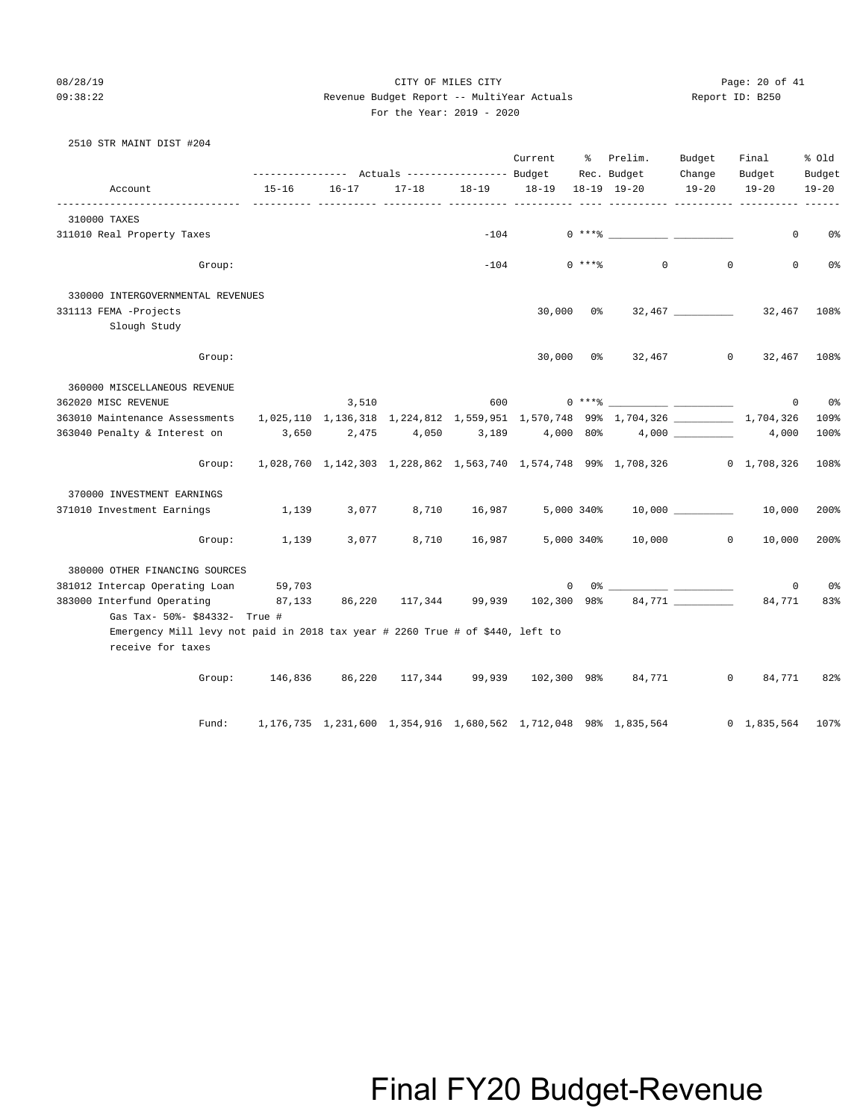08/28/19 Page: 20 of 41 09:38:22 Revenue Budget Report -- MultiYear Actuals Report ID: B250 For the Year: 2019 - 2020

## 2510 STR MAINT DIST #204

|                                                                                                                                                |                                                                             |           | ---------- Actuals ---------------- Budget |             | Current | ိ           | Prelim.<br>Rec. Budget                                                      | Budget<br>Change | Final<br>Budget     | % old<br>Budget |
|------------------------------------------------------------------------------------------------------------------------------------------------|-----------------------------------------------------------------------------|-----------|--------------------------------------------|-------------|---------|-------------|-----------------------------------------------------------------------------|------------------|---------------------|-----------------|
| Account                                                                                                                                        | $15 - 16$                                                                   | $16 - 17$ | $17 - 18$                                  | 18-19 18-19 |         |             | 18-19 19-20                                                                 | $19 - 20$        | $19 - 20$           | $19 - 20$       |
| 310000 TAXES                                                                                                                                   |                                                                             |           |                                            |             |         |             |                                                                             |                  |                     |                 |
| 311010 Real Property Taxes                                                                                                                     |                                                                             |           |                                            | $-104$      |         |             | $0***8$                                                                     |                  | $\mathbf{0}$        | 0%              |
| Group:                                                                                                                                         |                                                                             |           |                                            | $-104$      |         | $0$ *** $%$ | $\overline{0}$                                                              | $\Omega$         | $\Omega$            | 0%              |
| 330000 INTERGOVERNMENTAL REVENUES                                                                                                              |                                                                             |           |                                            |             |         |             |                                                                             |                  |                     |                 |
| 331113 FEMA -Projects                                                                                                                          |                                                                             |           |                                            |             | 30,000  | 0 %         |                                                                             |                  | 32,467              | 108%            |
| Slough Study                                                                                                                                   |                                                                             |           |                                            |             |         |             |                                                                             |                  |                     |                 |
| Group:                                                                                                                                         |                                                                             |           |                                            |             |         |             | 30,000 0% 32,467 0                                                          |                  | 32,467              | 108%            |
| 360000 MISCELLANEOUS REVENUE                                                                                                                   |                                                                             |           |                                            |             |         |             |                                                                             |                  |                     |                 |
| 362020 MISC REVENUE                                                                                                                            |                                                                             | 3,510     |                                            | 600         |         |             | $0***$ $\frac{20}{10}$                                                      |                  | $\circ$             | 0%              |
| 363010 Maintenance Assessments    1,025,110    1,136,318    1,224,812    1,559,951    1,570,748    99%    1,704,326    __________    1,704,326 |                                                                             |           |                                            |             |         |             |                                                                             |                  |                     | 109%            |
| 363040 Penalty & Interest on                                                                                                                   | 3,650                                                                       | 2,475     | 4,050                                      | 3,189       |         |             | $4,000$ 80% $4,000$ 4.000 $4,000$                                           |                  |                     | 100%            |
| Group:                                                                                                                                         | 1,028,760 1,142,303 1,228,862 1,563,740 1,574,748 99% 1,708,326 0 1,708,326 |           |                                            |             |         |             |                                                                             |                  |                     | 108%            |
| 370000 INVESTMENT EARNINGS                                                                                                                     |                                                                             |           |                                            |             |         |             |                                                                             |                  |                     |                 |
| 371010 Investment Earnings                                                                                                                     | 1,139                                                                       | 3,077     | 8,710                                      | 16,987      |         |             | 5,000 340% 10,000 10,000                                                    |                  |                     | 200%            |
| Group:                                                                                                                                         | 1,139                                                                       | 3,077     | 8,710                                      | 16,987      |         | 5,000 340%  | 10,000                                                                      | $\sim$ 0         | 10,000              | 200%            |
| 380000 OTHER FINANCING SOURCES                                                                                                                 |                                                                             |           |                                            |             |         |             |                                                                             |                  |                     |                 |
| 381012 Intercap Operating Loan 59,703                                                                                                          |                                                                             |           |                                            |             | 0       |             |                                                                             |                  | $\mathbf 0$         | 0%              |
| 383000 Interfund Operating                                                                                                                     | 87,133                                                                      |           | 86,220 117,344 99,939                      |             |         |             | $102,300$ 98% 84,771 _________                                              |                  | 84,771              | 83%             |
| Gas Tax- 50%- \$84332- True #                                                                                                                  |                                                                             |           |                                            |             |         |             |                                                                             |                  |                     |                 |
| Emergency Mill levy not paid in 2018 tax year # 2260 True # of \$440, left to<br>receive for taxes                                             |                                                                             |           |                                            |             |         |             |                                                                             |                  |                     |                 |
| Group:                                                                                                                                         |                                                                             |           |                                            |             |         |             | 146,836 86,220 117,344 99,939 102,300 98% 84,771                            | $\mathbf{0}$     | 84,771              | 82%             |
| Fund:                                                                                                                                          |                                                                             |           |                                            |             |         |             | 1, 176, 735 1, 231, 600 1, 354, 916 1, 680, 562 1, 712, 048 98% 1, 835, 564 |                  | $0 \quad 1,835,564$ | 107%            |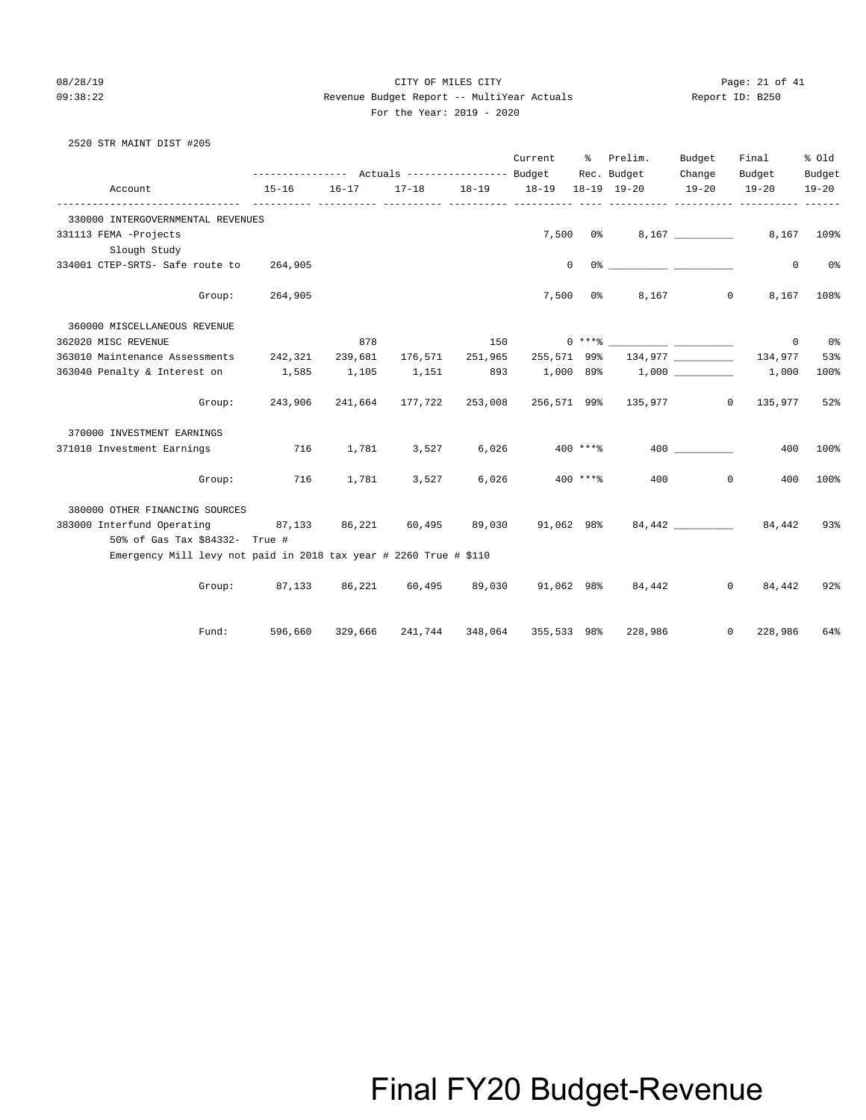### 08/28/19 Page: 21 of 41 09:38:22 Revenue Budget Report -- MultiYear Actuals Report ID: B250 For the Year: 2019 - 2020

| 2520 STR MAINT DIST #205                                                      |                                                             |           |                 |       |                                   |          |                                       |              |                           |            |
|-------------------------------------------------------------------------------|-------------------------------------------------------------|-----------|-----------------|-------|-----------------------------------|----------|---------------------------------------|--------------|---------------------------|------------|
|                                                                               |                                                             |           |                 |       | Current % Prelim.                 |          |                                       | Budget       | Final                     | % Old      |
|                                                                               | --------------- Actuals ---------------- Budget Rec. Budget |           |                 |       |                                   |          |                                       | Change       | Budget                    | Budget     |
| Account                                                                       | $15 - 16$                                                   | $16 - 17$ |                 |       | 17-18  18-19  18-19  18-19  19-20 |          |                                       | $19 - 20$    | $19 - 20$                 | $19 - 20$  |
| 330000 INTERGOVERNMENTAL REVENUES                                             |                                                             |           |                 |       |                                   |          |                                       |              |                           |            |
| 331113 FEMA -Projects                                                         |                                                             |           |                 |       | 7,500                             |          | $0\%$ 8, 167                          |              |                           | 8,167 109% |
| Slough Study                                                                  |                                                             |           |                 |       |                                   |          |                                       |              |                           |            |
| 334001 CTEP-SRTS- Safe route to 264,905                                       |                                                             |           |                 |       | $^{\circ}$                        |          |                                       |              | $\circ$                   | 0%         |
| Group:                                                                        | 264,905                                                     |           |                 |       |                                   | 7,500 0% |                                       | 8,167        | $\circ$<br>8,167          | 108%       |
| 360000 MISCELLANEOUS REVENUE                                                  |                                                             |           |                 |       |                                   |          |                                       |              |                           |            |
| 362020 MISC REVENUE                                                           |                                                             | 878       |                 |       |                                   |          |                                       |              | $\mathbf{0}$              | 0%         |
| 363010 Maintenance Assessments 242,321                                        |                                                             | 239,681   | 176,571 251,965 |       | 255,571 99%                       |          |                                       | 134,977      | 134,977                   | 53%        |
| 363040 Penalty & Interest on 1,585                                            |                                                             | 1,105     | 1,151           |       |                                   |          | 893 1,000 89% 1,000 1,000             |              | 1,000                     | 100%       |
|                                                                               | Group: 243,906                                              |           | 241,664 177,722 |       |                                   |          | 253,008 256,571 99% 135,977 0 135,977 |              |                           | 52%        |
| 370000 INVESTMENT EARNINGS                                                    |                                                             |           |                 |       |                                   |          |                                       |              |                           |            |
| 371010 Investment Earnings                                                    | 716                                                         | 1,781     | 3,527           | 6.026 | $400$ ****                        |          |                                       | 400          | 400                       | 100%       |
| Group:                                                                        | 716                                                         | 1,781     | 3,527           |       | $6.026$ $400$ $***$ $*$           |          | 400                                   | $\mathbf{0}$ | 400                       | 100%       |
| 380000 OTHER FINANCING SOURCES                                                |                                                             |           |                 |       |                                   |          |                                       |              |                           |            |
| 383000 Interfund Operating 87,133 86,221 60,495 89,030 91,062 98% 84,442 2000 |                                                             |           |                 |       |                                   |          |                                       |              |                           | 93%        |
| 50% of Gas Tax \$84332- True #                                                |                                                             |           |                 |       |                                   |          |                                       |              |                           |            |
| Emergency Mill levy not paid in 2018 tax year # 2260 True # \$110             |                                                             |           |                 |       |                                   |          |                                       |              |                           |            |
|                                                                               | Group: 87,133 86,221 60,495 89,030 91,062 98% 84,442        |           |                 |       |                                   |          |                                       |              | $\mathbf{0}$<br>84,442    | 92%        |
| Fund:                                                                         | 596,660                                                     |           | 329,666 241,744 |       | 348,064 355,533 98%               |          | 228,986                               |              | $\overline{0}$<br>228,986 | 64%        |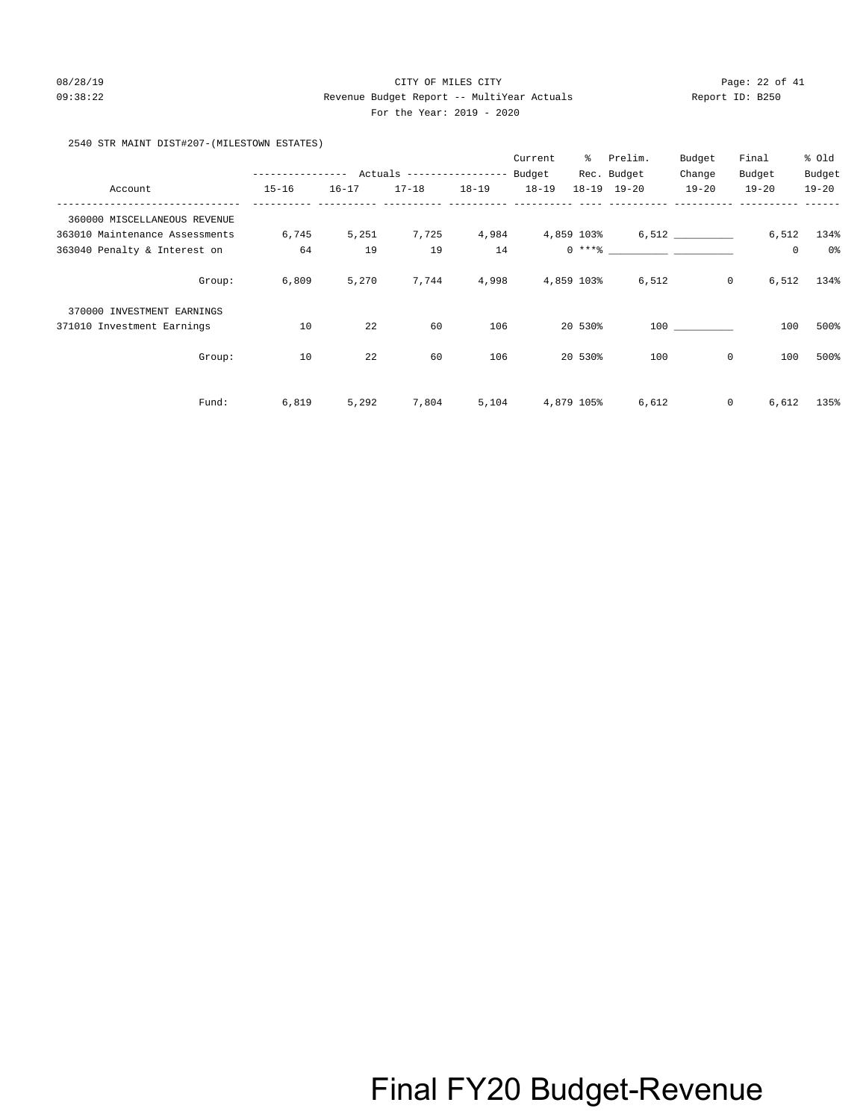## 08/28/19 Page: 22 of 41 09:38:22 Revenue Budget Report -- MultiYear Actuals Report ID: B250 For the Year: 2019 - 2020

2540 STR MAINT DIST#207-(MILESTOWN ESTATES)

|                                |                  |           |                            |           | Current    | ွေ         | Prelim.                                                               | Budget         | Final     | % Old     |
|--------------------------------|------------------|-----------|----------------------------|-----------|------------|------------|-----------------------------------------------------------------------|----------------|-----------|-----------|
|                                | ---------------- |           | Actuals ------------------ |           | Budget     |            | Rec. Budget                                                           | Change         | Budget    | Budget    |
| Account                        | $15 - 16$        | $16 - 17$ | $17 - 18$                  | $18 - 19$ | $18 - 19$  |            | $18 - 19$ $19 - 20$                                                   | $19 - 20$      | $19 - 20$ | $19 - 20$ |
| 360000 MISCELLANEOUS REVENUE   |                  |           |                            |           |            |            |                                                                       |                |           |           |
| 363010 Maintenance Assessments | 6,745            | 5,251     | 7,725                      | 4,984     | 4,859 103% |            |                                                                       | 6,512          | 6,512     | 134%      |
| 363040 Penalty & Interest on   | 64               | 19        | 19                         | 14        |            |            | $0 \xrightarrow{***}$ $\overline{\phantom{}}$ $\overline{\phantom{}}$ |                | 0         | $0\,$     |
| Group:                         | 6,809            | 5,270     | 7,744                      | 4,998     |            | 4,859 103% | 6,512                                                                 | $\overline{0}$ | 6,512     | 134%      |
| 370000 INVESTMENT EARNINGS     |                  |           |                            |           |            |            |                                                                       |                |           |           |
| 371010 Investment Earnings     | 10               | 22        | 60                         | 106       |            | 20 530%    |                                                                       | 100 000        | 100       | 500%      |
| Group:                         | 10               | 22        | 60                         | 106       |            | 20 530%    | 100                                                                   | $\mathbf 0$    | 100       | 500%      |
| Fund:                          | 6,819            | 5,292     | 7,804                      | 5,104     |            | 4,879 105% | 6,612                                                                 | $\circ$        | 6,612     | 135%      |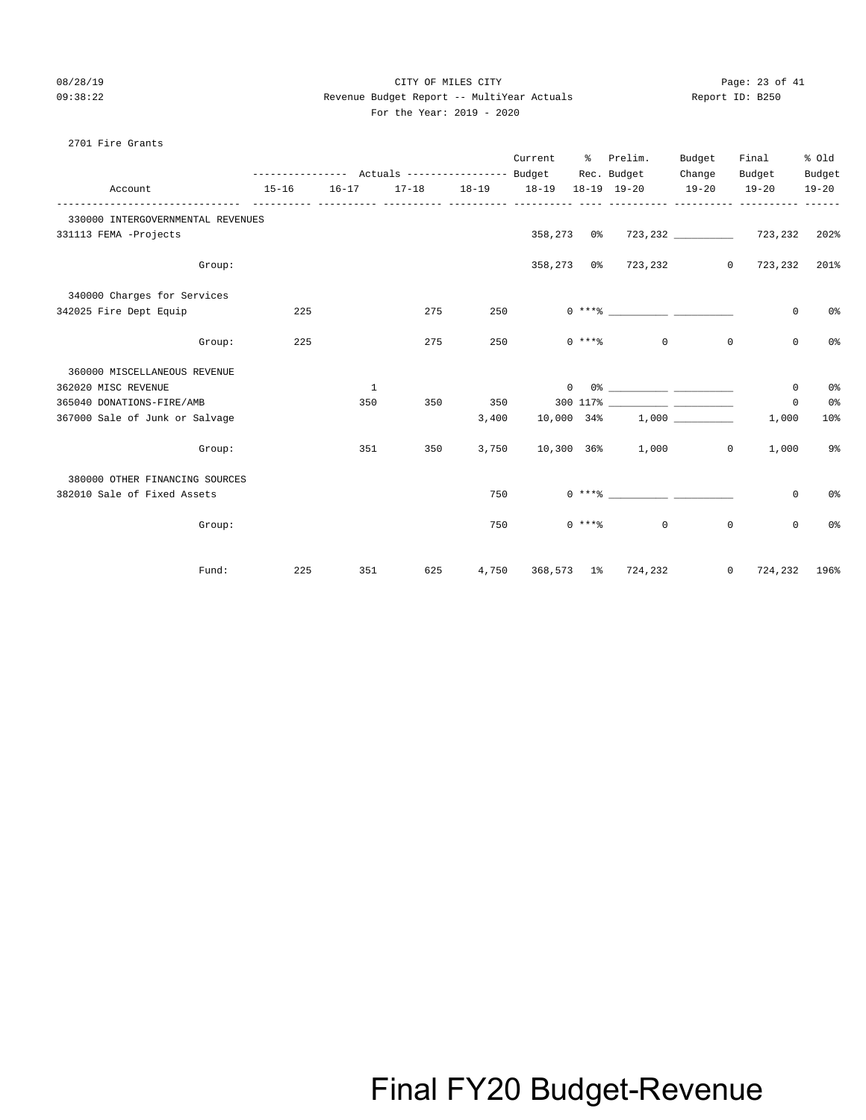2701 Fire Grants

### 08/28/19 Page: 23 of 41 09:38:22 Revenue Budget Report -- MultiYear Actuals Report ID: B250 For the Year: 2019 - 2020

|                                   |           |           |     |                   | Current    | ႜ | Prelim.                        | Budget       | Final                             | % old           |
|-----------------------------------|-----------|-----------|-----|-------------------|------------|---|--------------------------------|--------------|-----------------------------------|-----------------|
|                                   |           |           |     |                   |            |   | Rec. Budget                    | Change       | Budget                            | Budget          |
| Account                           | $15 - 16$ | $16 - 17$ |     | 17-18 18-19 18-19 |            |   | 18-19 19-20 19-20              |              | $19 - 20$                         | $19 - 20$       |
| 330000 INTERGOVERNMENTAL REVENUES |           |           |     |                   |            |   |                                |              |                                   |                 |
| 331113 FEMA -Projects             |           |           |     |                   |            |   |                                |              |                                   |                 |
| Group:                            |           |           |     |                   |            |   |                                |              | 358,273 0% 723,232 0 723,232 201% |                 |
| 340000 Charges for Services       |           |           |     |                   |            |   |                                |              |                                   |                 |
| 342025 Fire Dept Equip            | 225       |           | 275 | 250               |            |   | $0***8$                        |              | 0                                 | 0%              |
| Group:                            | 225       |           | 275 | 250               |            |   | $\Omega$<br>$0 \times + *$ $*$ | $\mathbf{0}$ | $\mathbf 0$                       | 0 <sup>o</sup>  |
| 360000 MISCELLANEOUS REVENUE      |           |           |     |                   |            |   |                                |              |                                   |                 |
| 362020 MISC REVENUE               |           | 1         |     |                   | $\Omega$   |   |                                |              | 0                                 | 0%              |
| 365040 DONATIONS-FIRE/AMB         |           | 350       | 350 | 350               |            |   |                                |              | 0                                 | 0%              |
| 367000 Sale of Junk or Salvage    |           |           |     | 3,400             | 10,000 34% |   |                                | 1,000        | 1,000                             | 10 <sup>8</sup> |
| Group:                            |           | 351       | 350 | 3,750             |            |   | 10,300 36% 1,000               | $\circ$      | 1,000                             | 9%              |
| 380000 OTHER FINANCING SOURCES    |           |           |     |                   |            |   |                                |              |                                   |                 |
| 382010 Sale of Fixed Assets       |           |           |     | 750               |            |   | $0***$ $\frac{20}{10}$         |              | 0                                 | 0%              |

Group: 750 0 \*\*\*% 0 0 0 0%

Fund: 225 351 625 4,750 368,573 1% 724,232 0 724,232 196%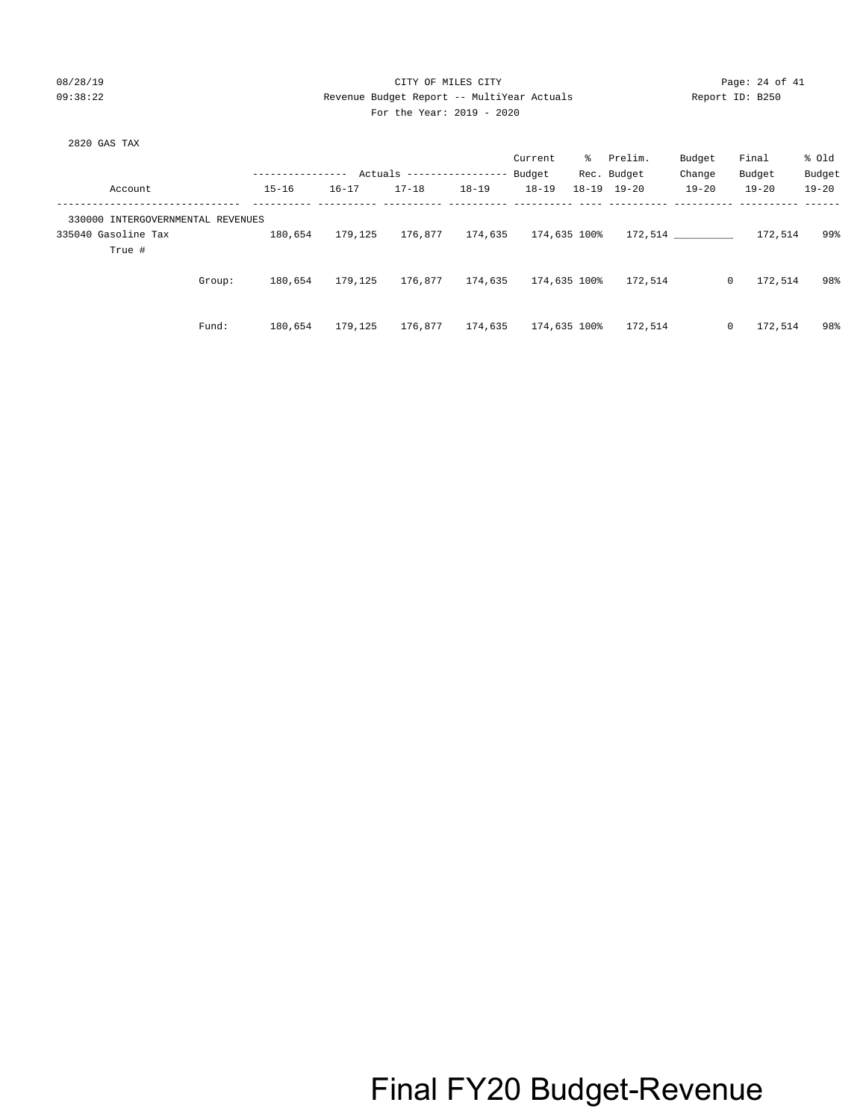## 08/28/19 Page: 24 of 41<br>
08/28/19 Payanua Buddet Penort -- MultiVear Actuals 09:38:22 Revenue Budget Report -- MultiYear Actuals Report -- Multi For the Year: 2019 - 2020

| Report ID: B250 |  |
|-----------------|--|
|                 |  |

| 2820 GAS | TAX |
|----------|-----|
|          |     |

|                                   |        |                  |           |                            |           | Current      | ႜႜ           | Prelim.             | Budget    | Final                   | % old     |
|-----------------------------------|--------|------------------|-----------|----------------------------|-----------|--------------|--------------|---------------------|-----------|-------------------------|-----------|
|                                   |        | ---------------- |           | Actuals ------------------ |           | Budget       |              | Rec. Budget         | Change    | Budget                  | Budget    |
| Account                           |        | $15 - 16$        | $16 - 17$ | $17 - 18$                  | $18 - 19$ | $18 - 19$    |              | $18 - 19$ $19 - 20$ | $19 - 20$ | $19 - 20$               | $19 - 20$ |
| 330000 INTERGOVERNMENTAL REVENUES |        |                  |           |                            |           |              |              |                     |           |                         |           |
| 335040 Gasoline Tax               |        | 180,654          | 179,125   | 176,877                    | 174,635   |              | 174,635 100% |                     | 172.514   | 172,514                 | 99%       |
| True #                            |        |                  |           |                            |           |              |              |                     |           |                         |           |
|                                   | Group: | 180,654          | 179,125   | 176,877                    | 174,635   |              | 174,635 100% | 172.514             |           | $\mathbf{0}$<br>172,514 | 98%       |
|                                   |        |                  |           |                            |           |              |              |                     |           |                         |           |
|                                   | Fund:  | 180,654          | 179,125   | 176,877                    | 174,635   | 174,635 100% |              | 172,514             |           | 172,514<br>$\mathbf{0}$ | 98%       |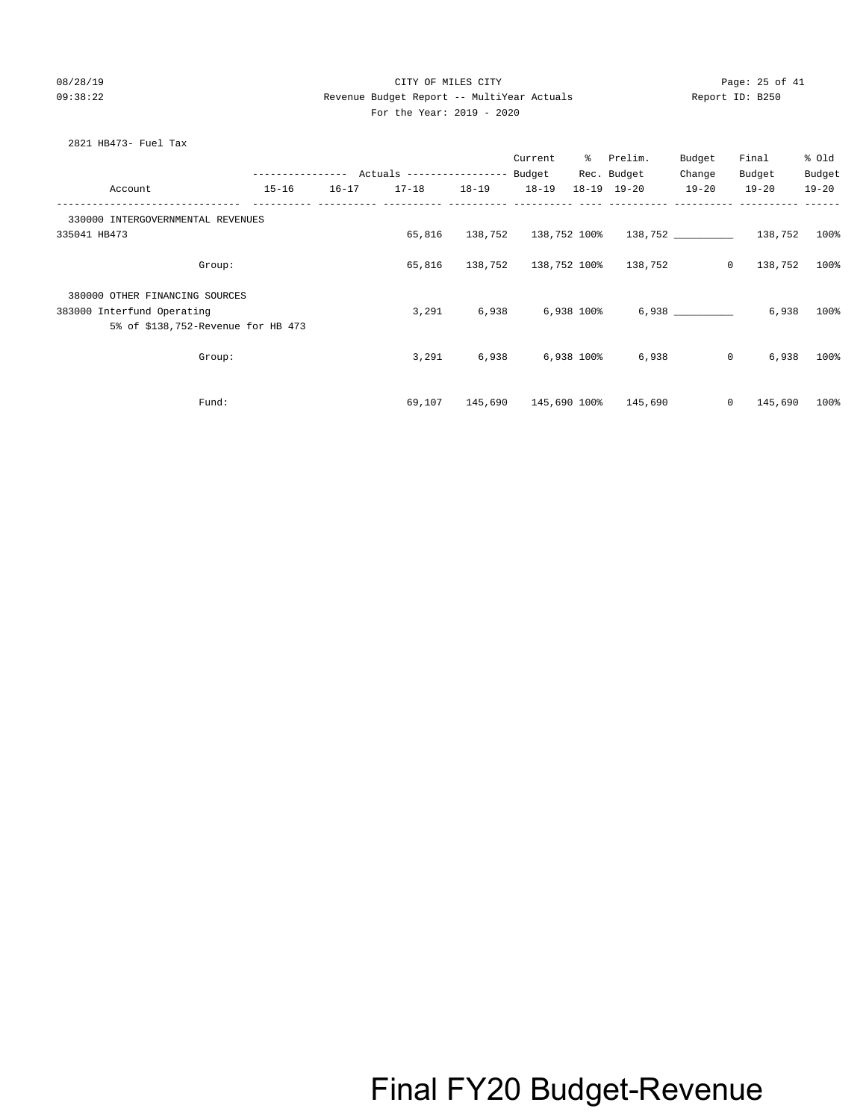### 08/28/19 Page: 25 of 41 09:38:22 Revenue Budget Report -- MultiYear Actuals Report ID: B250 For the Year: 2019 - 2020

### 2821 HB473- Fuel Tax

|                                    |           |           |                     | Current              | ႜႜၟ | Prelim.                                 | Budget         | Final                | % old        |
|------------------------------------|-----------|-----------|---------------------|----------------------|-----|-----------------------------------------|----------------|----------------------|--------------|
|                                    |           |           |                     |                      |     | Rec. Budget                             | Change         | Budget               | Budget       |
| Account                            | $15 - 16$ | $16 - 17$ | 17-18  18-19  18-19 |                      |     | 18-19 19-20                             | $19 - 20$      | $19 - 20$            | $19 - 20$    |
| 330000 INTERGOVERNMENTAL REVENUES  |           |           |                     |                      |     |                                         |                |                      |              |
| 335041 HB473                       |           |           | 65,816              | 138,752 138,752 100% |     |                                         |                | 138,752 138,752 100% |              |
| Group:                             |           |           |                     |                      |     | 65,816  138,752  138,752  100%  138,752 | $\overline{0}$ | 138,752 100%         |              |
| 380000 OTHER FINANCING SOURCES     |           |           |                     |                      |     |                                         |                |                      |              |
| 383000 Interfund Operating         |           |           | 3,291               | 6,938 6,938 100%     |     |                                         | 6,938          |                      | 6,938 100%   |
| 5% of \$138,752-Revenue for HB 473 |           |           |                     |                      |     |                                         |                |                      |              |
| Group:                             |           |           | 3,291               | 6,938 6,938 100%     |     | 6,938                                   | $\overline{0}$ |                      | $6,938$ 100% |
|                                    |           |           |                     |                      |     |                                         |                |                      |              |
| Fund:                              |           |           | 69,107              | 145,690 145,690 100% |     | 145,690                                 | $\mathbf{0}$   | 145,690              | $100\%$      |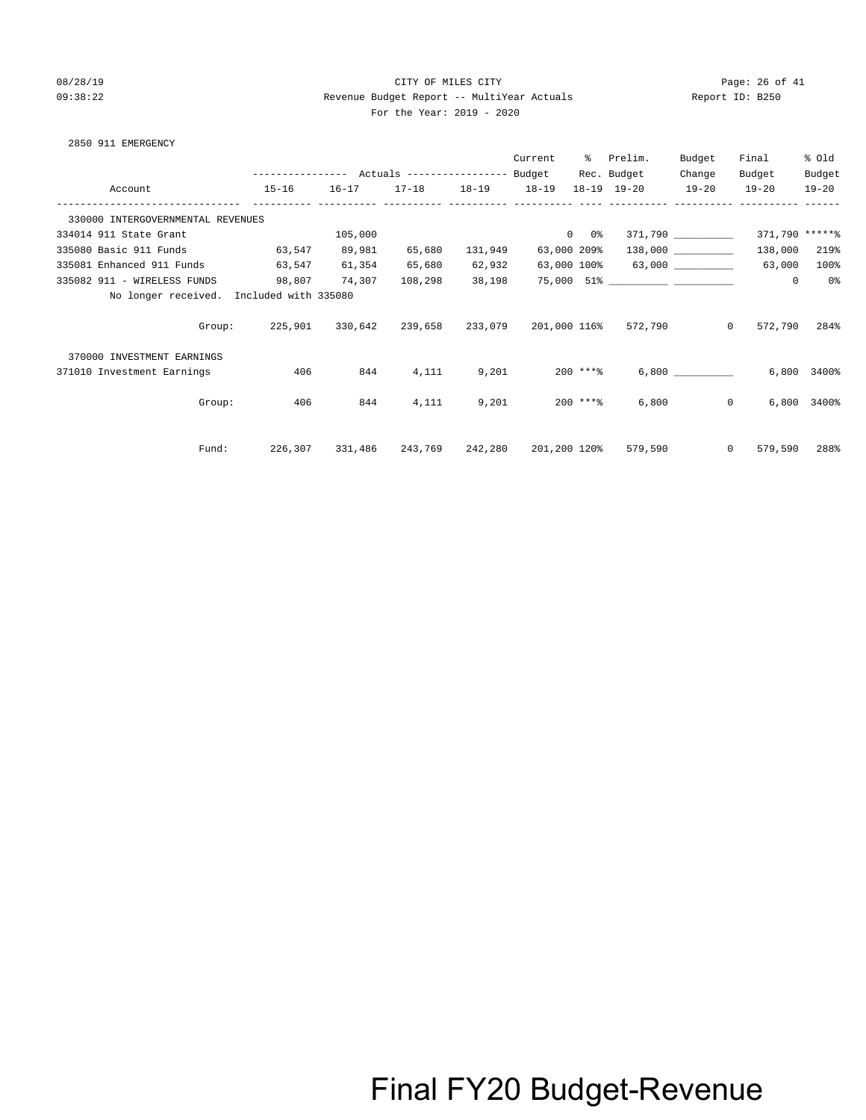## 08/28/19 Page: 26 of 41 09:38:22 Revenue Budget Report -- MultiYear Actuals Report ID: B250 For the Year: 2019 - 2020

|  | For the Year: 201 |  |
|--|-------------------|--|
|  |                   |  |

| 2850 911 EMERGENCY |  |  |
|--------------------|--|--|
|                    |  |  |

|                                          |                                                                |         |                         |         | Current     | ိ          | Prelim.                                              | Budget             | Final                    | % Old          |
|------------------------------------------|----------------------------------------------------------------|---------|-------------------------|---------|-------------|------------|------------------------------------------------------|--------------------|--------------------------|----------------|
|                                          |                                                                |         |                         |         |             |            | Rec. Budget                                          | Change             | Budget                   | Budget         |
| Account                                  | $15 - 16$                                                      |         | 16-17 17-18 18-19 18-19 |         |             |            | 18-19 19-20 19-20 19-20                              |                    |                          | $19 - 20$      |
| 330000 INTERGOVERNMENTAL REVENUES        |                                                                |         |                         |         |             |            |                                                      |                    |                          |                |
| 334014 911 State Grant                   |                                                                | 105,000 |                         |         | $0 \t 0$ %  |            |                                                      | 371,790 __________ | 371,790 *****%           |                |
| 335080 Basic 911 Funds                   | 63,547                                                         | 89,981  | 65,680                  | 131,949 | 63,000 209% |            |                                                      | 138,000            | 138,000                  | 219%           |
| 335081 Enhanced 911 Funds                | 63,547                                                         | 61,354  | 65,680                  | 62,932  |             |            | 63,000 100% 63,000                                   |                    | 63,000                   | 100%           |
| 335082 911 - WIRELESS FUNDS              | 98,807 74,307                                                  |         | 108,298                 | 38,198  |             |            |                                                      |                    | $\circ$                  | 0 <sup>8</sup> |
| No longer received. Included with 335080 |                                                                |         |                         |         |             |            |                                                      |                    |                          |                |
| Group:                                   | 225,901   330,642   239,658   233,079   201,000 116%   572,790 |         |                         |         |             |            |                                                      |                    | $\Omega$<br>572,790 284% |                |
| 370000 INVESTMENT EARNINGS               |                                                                |         |                         |         |             |            |                                                      |                    |                          |                |
| 371010 Investment Earnings               | 406                                                            | 844     | 4,111                   | 9,201   |             | $200$ ***% |                                                      | 6,800              |                          | 6,800 3400%    |
| Group:                                   | 406                                                            | 844     | 4,111                   |         | 9,201       | 200 ****   |                                                      | 6,800              | $0 \qquad \qquad$        | 6,800 3400%    |
| Fund:                                    |                                                                |         |                         |         |             |            | 226,307 331,486 243,769 242,280 201,200 120% 579,590 | $\circ$            | 579,590                  | 288%           |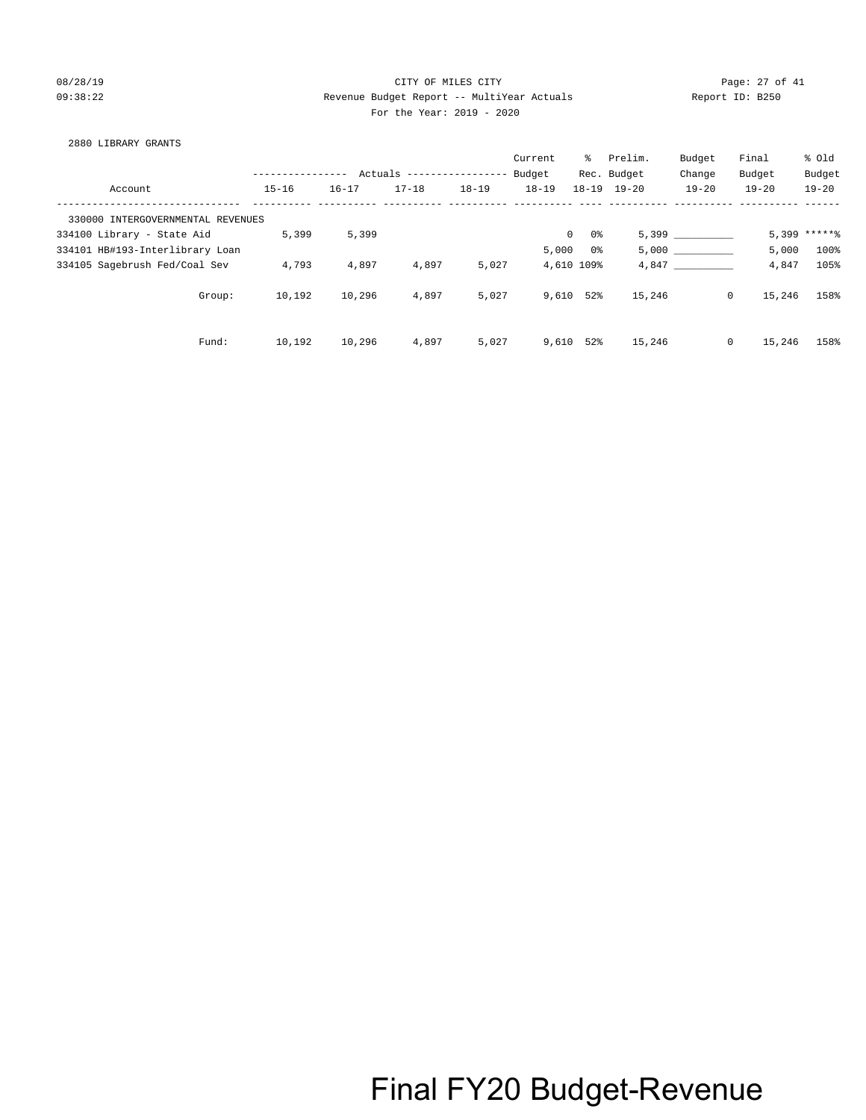### 08/28/19 Page: 27 of 41 09:38:22 Revenue Budget Report -- MultiYear Actuals Report ID: B250 For the Year: 2019 - 2020

### 2880 LIBRARY GRANTS

|                                   |               |           |                           |           | Current   | ႜွ                 | Prelim.             | Budget    | Final             | % old           |
|-----------------------------------|---------------|-----------|---------------------------|-----------|-----------|--------------------|---------------------|-----------|-------------------|-----------------|
|                                   | ------------- |           | Actuals ----------------- |           | Budget    |                    | Rec. Budget         | Change    | Budget            | Budget          |
| Account                           | $15 - 16$     | $16 - 17$ | $17 - 18$                 | $18 - 19$ | $18 - 19$ |                    | $18 - 19$ $19 - 20$ | $19 - 20$ | $19 - 20$         | $19 - 20$       |
| 330000 INTERGOVERNMENTAL REVENUES |               |           |                           |           |           |                    |                     |           |                   |                 |
| 334100 Library - State Aid        | 5,399         | 5,399     |                           |           |           | $\mathbf{0}$<br>0% |                     | 5,399     |                   | $5,399$ ***** } |
| 334101 HB#193-Interlibrary Loan   |               |           |                           |           | 5,000     | 0 %                |                     | 5,000     | 5,000             | 100%            |
| 334105 Sagebrush Fed/Coal Sev     | 4,793         | 4,897     | 4,897                     | 5,027     |           | 4,610 109%         |                     | 4,847     | 4,847             | 105%            |
| Group:                            | 10,192        | 10,296    | 4,897                     | 5,027     | 9,610     | 52%                | 15,246              |           | $\circ$<br>15,246 | 158%            |
| Fund:                             | 10,192        | 10,296    | 4,897                     | 5,027     | 9,610     | 52%                | 15,246              |           | $\circ$<br>15,246 | 158%            |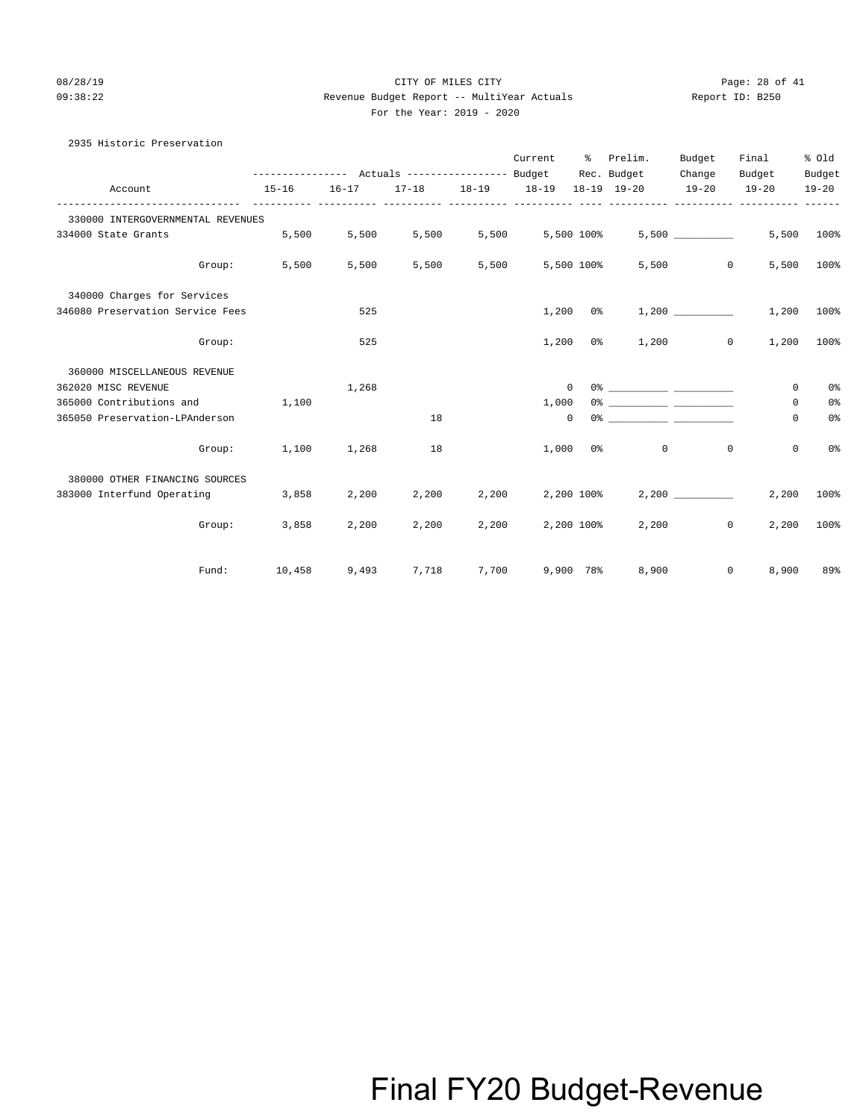## 08/28/19 Page: 28 of 41 09:38:22 Revenue Budget Report -- MultiYear Actuals Report ID: B250 For the Year: 2019 - 2020

|  | For the Year: 201 |  |
|--|-------------------|--|
|  |                   |  |

| 2935 Historic Preservation        |                                                             |             |       |       |                  |               |                   |           |                   |                |
|-----------------------------------|-------------------------------------------------------------|-------------|-------|-------|------------------|---------------|-------------------|-----------|-------------------|----------------|
|                                   |                                                             |             |       |       |                  |               | Current % Prelim. | Budget    | Final             | % old          |
|                                   | --------------- Actuals ---------------- Budget Rec. Budget |             |       |       |                  |               |                   | Change    | Budget            | Budget         |
| Account                           | 15-16 16-17 17-18 18-19 18-19 18-19 19-20 19-20 19-20 19-20 |             |       |       |                  |               |                   |           |                   |                |
| 330000 INTERGOVERNMENTAL REVENUES |                                                             |             |       |       |                  |               |                   |           |                   |                |
| 334000 State Grants               |                                                             | 5,500 5,500 | 5,500 |       | 5,500 5,500 100% |               |                   | 5,500     |                   | 5,500 100%     |
| Group:                            | 5,500                                                       | 5,500       | 5,500 | 5,500 |                  | 5,500 100%    |                   | $5,500$ 0 |                   | 5,500 100%     |
| 340000 Charges for Services       |                                                             |             |       |       |                  |               |                   |           |                   |                |
| 346080 Preservation Service Fees  |                                                             | 525         |       |       |                  | $1,200$ $0$ % |                   |           | 1,200             | $100\%$        |
| Group:                            |                                                             | 525         |       |       |                  | $1,200$ $0$ % |                   | 1,200     | $\circ$<br>1,200  | 100%           |
| 360000 MISCELLANEOUS REVENUE      |                                                             |             |       |       |                  |               |                   |           |                   |                |
| 362020 MISC REVENUE               |                                                             | 1,268       |       |       | $\overline{0}$   |               |                   |           | $\mathbf{0}$      | 0 <sup>o</sup> |
| 365000 Contributions and 1.100    |                                                             |             |       |       | 1,000            |               |                   |           | 0                 | 0%             |
| 365050 Preservation-LPAnderson    |                                                             |             | 18    |       | $\mathbf{0}$     |               |                   |           | 0                 | 0%             |
| Group:                            | 1,100                                                       | 1,268       | 18    |       | 1,000            |               | $\circ$<br>$0\%$  |           | 0<br>$\mathbf{0}$ | 0%             |
| 380000 OTHER FINANCING SOURCES    |                                                             |             |       |       |                  |               |                   |           |                   |                |
| 383000 Interfund Operating 3,858  |                                                             | 2,200       | 2,200 |       | 2,200 2,200 100% |               |                   | 2.200     | 2,200             | 100%           |
|                                   | Group: 3,858                                                | 2,200       | 2,200 | 2,200 | 2,200 100%       |               |                   | 2,200     | $\circ$<br>2,200  | $100\%$        |
| Fund:                             | 10,458                                                      | 9,493       | 7,718 |       | 7,700 9,900 78%  |               | 8,900             |           | $\circ$<br>8,900  | 89%            |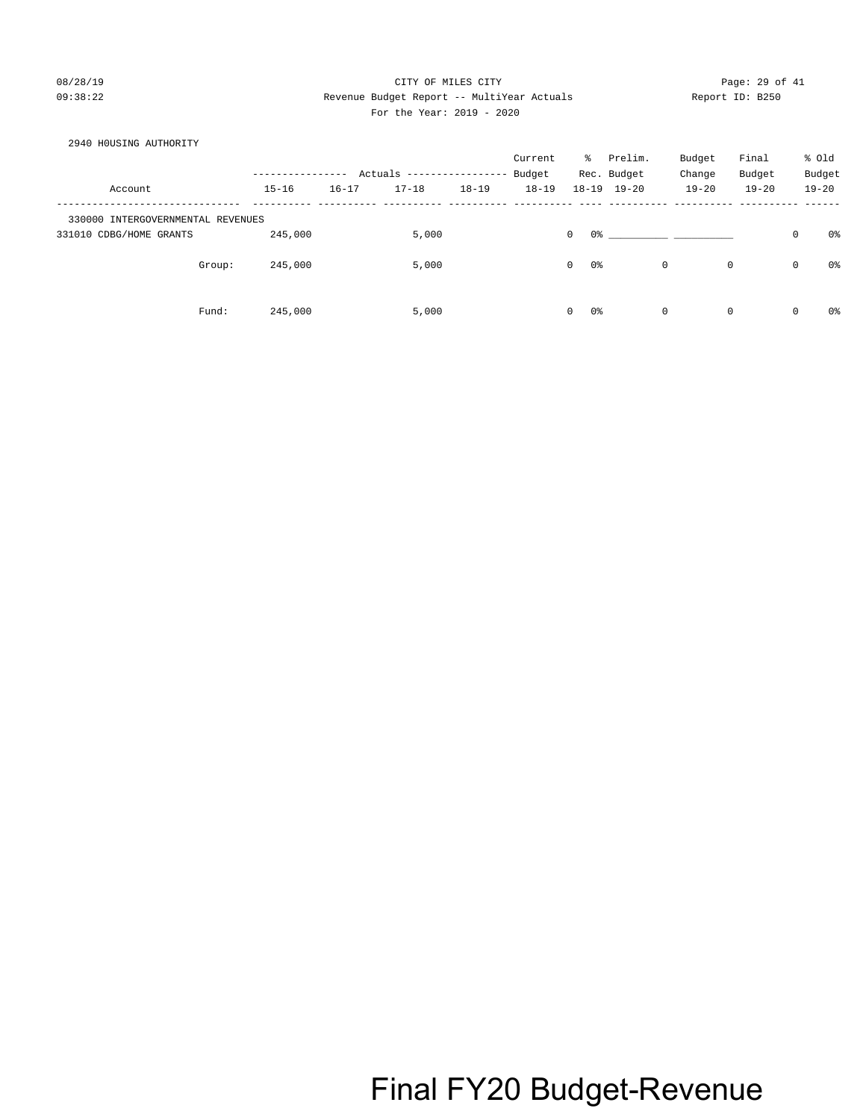### 08/28/19 Page: 29 of 41 09:38:22 Revenue Budget Report -- MultiYear Actuals Report ID: B250 For the Year: 2019 - 2020

## 2940 H0USING AUTHORITY Current % Prelim. Budget Final % Old ---------------- Actuals ----------------- Budget Rec. Budget Change Budget Budget Account 15-16 16-17 17-18 18-19 18-19 18-19 19-20 19-20 19-20 19-20 ------------------------------- ---------- ---------- ---------- ---------- ---------- ---- ---------- ---------- ---------- ------ 330000 INTERGOVERNMENTAL REVENUES 331010 CDBG/HOME GRANTS 245,000 5,000 0 0% \_\_\_\_\_\_\_\_\_\_ \_\_\_\_\_\_\_\_\_\_ 0 0% Group:  $245,000$  5,000 0 0% 0 0 0 0% 0 0 0% Fund: 245,000 5,000 0 0% 0 0 0 0%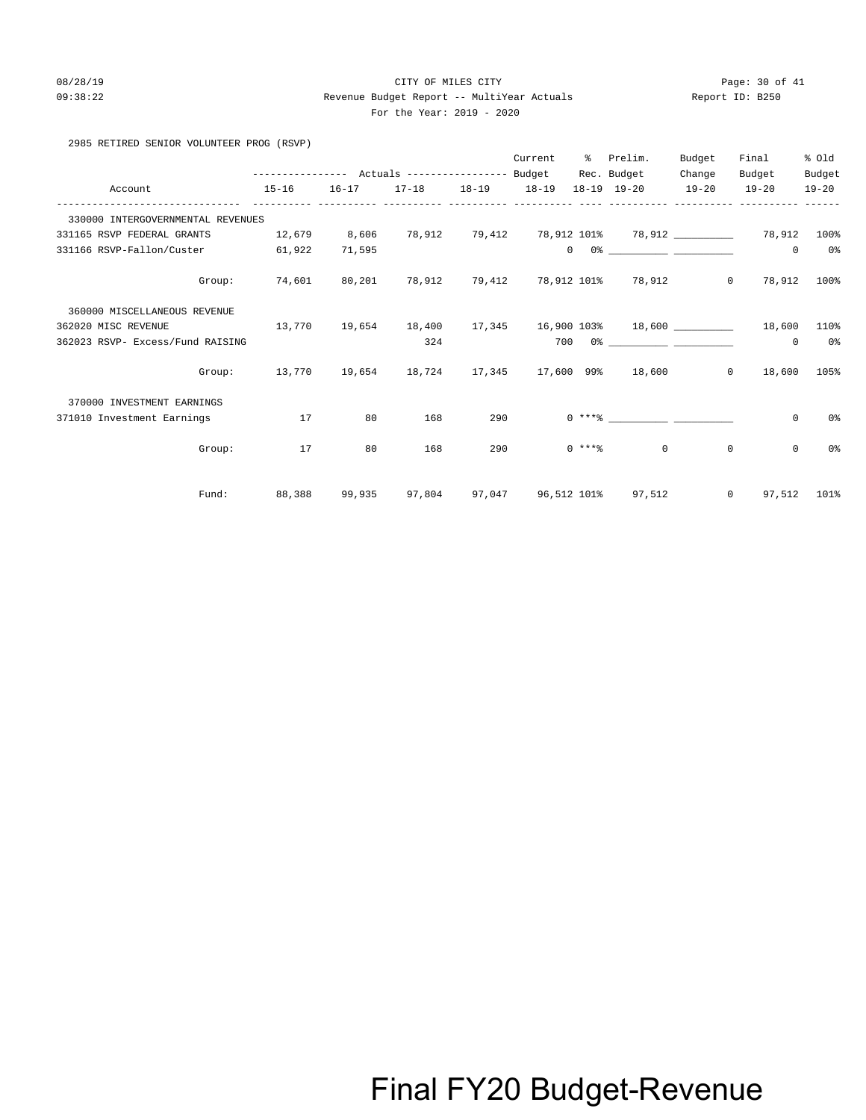### 08/28/19 Page: 30 of 41 09:38:22 Revenue Budget Report -- MultiYear Actuals Report ID: B250 For the Year: 2019 - 2020

## 2985 RETIRED SENIOR VOLUNTEER PROG (RSVP)

|                                   |                                                                                                   |           |                   |     | Current | % Prelim.                                                                                                                                                                                                                                                                                                                                                          | Budget  | Final           | % old          |
|-----------------------------------|---------------------------------------------------------------------------------------------------|-----------|-------------------|-----|---------|--------------------------------------------------------------------------------------------------------------------------------------------------------------------------------------------------------------------------------------------------------------------------------------------------------------------------------------------------------------------|---------|-----------------|----------------|
|                                   |                                                                                                   |           |                   |     |         | Rec. Budget                                                                                                                                                                                                                                                                                                                                                        | Change  | Budget          | Budget         |
| Account                           | $15 - 16$                                                                                         | $16 - 17$ | 17-18 18-19 18-19 |     |         | 18-19 19-20 19-20                                                                                                                                                                                                                                                                                                                                                  |         | $19 - 20$       | $19 - 20$      |
| 330000 INTERGOVERNMENTAL REVENUES |                                                                                                   |           |                   |     |         |                                                                                                                                                                                                                                                                                                                                                                    |         |                 |                |
| 331165 RSVP FEDERAL GRANTS        | 12,679 8,606                                                                                      |           |                   |     |         | 78,912          79,412          78,912          101%          78,912          ___________     78,912          100%                                                                                                                                                                                                                                                 |         |                 |                |
| 331166 RSVP-Fallon/Custer         | 61,922                                                                                            | 71,595    |                   |     |         | $\begin{picture}(180,10) \put(0,0){\vector(1,0){100}} \put(10,0){\vector(1,0){100}} \put(10,0){\vector(1,0){100}} \put(10,0){\vector(1,0){100}} \put(10,0){\vector(1,0){100}} \put(10,0){\vector(1,0){100}} \put(10,0){\vector(1,0){100}} \put(10,0){\vector(1,0){100}} \put(10,0){\vector(1,0){100}} \put(10,0){\vector(1,0){100}} \put(10,0){\vector(1,0){100}}$ |         | $\Omega$        | 0 <sup>o</sup> |
|                                   | Group: 74,601                                                                                     | 80,201    |                   |     |         | 78,912 79,412 78,912 101% 78,912 0 78,912 100%                                                                                                                                                                                                                                                                                                                     |         |                 |                |
| 360000 MISCELLANEOUS REVENUE      |                                                                                                   |           |                   |     |         |                                                                                                                                                                                                                                                                                                                                                                    |         |                 |                |
| 362020 MISC REVENUE               | $13\,,770$ $19\,,654$ $18\,,400$ $17\,,345$ $16\,,900$ $103\!\!\ast$ $18\,,600$ $\_\_$ $18\,,600$ |           |                   |     |         |                                                                                                                                                                                                                                                                                                                                                                    |         |                 | 110%           |
| 362023 RSVP- Excess/Fund RAISING  |                                                                                                   |           | 324               |     |         |                                                                                                                                                                                                                                                                                                                                                                    |         | $^{\circ}$      | 0 <sup>o</sup> |
|                                   | Group: 13,770 19,654 18,724 17,345 17,600 99% 18,600 0 18,600 105%                                |           |                   |     |         |                                                                                                                                                                                                                                                                                                                                                                    |         |                 |                |
| 370000 INVESTMENT EARNINGS        |                                                                                                   |           |                   |     |         |                                                                                                                                                                                                                                                                                                                                                                    |         |                 |                |
| 371010 Investment Earnings        | 17                                                                                                | 80        | 168               | 290 |         |                                                                                                                                                                                                                                                                                                                                                                    |         | $\mathbf{0}$    | 0%             |
| Group:                            | 17                                                                                                | 80        | 168               | 290 |         | $0 \times + *$ $*$<br>$\Omega$                                                                                                                                                                                                                                                                                                                                     | $\circ$ | $\mathbf 0$     | 0%             |
| Fund:                             | 88,388                                                                                            | 99,935    |                   |     |         | 97,804 97,047 96,512 101% 97,512                                                                                                                                                                                                                                                                                                                                   |         | $0$ 97,512 101% |                |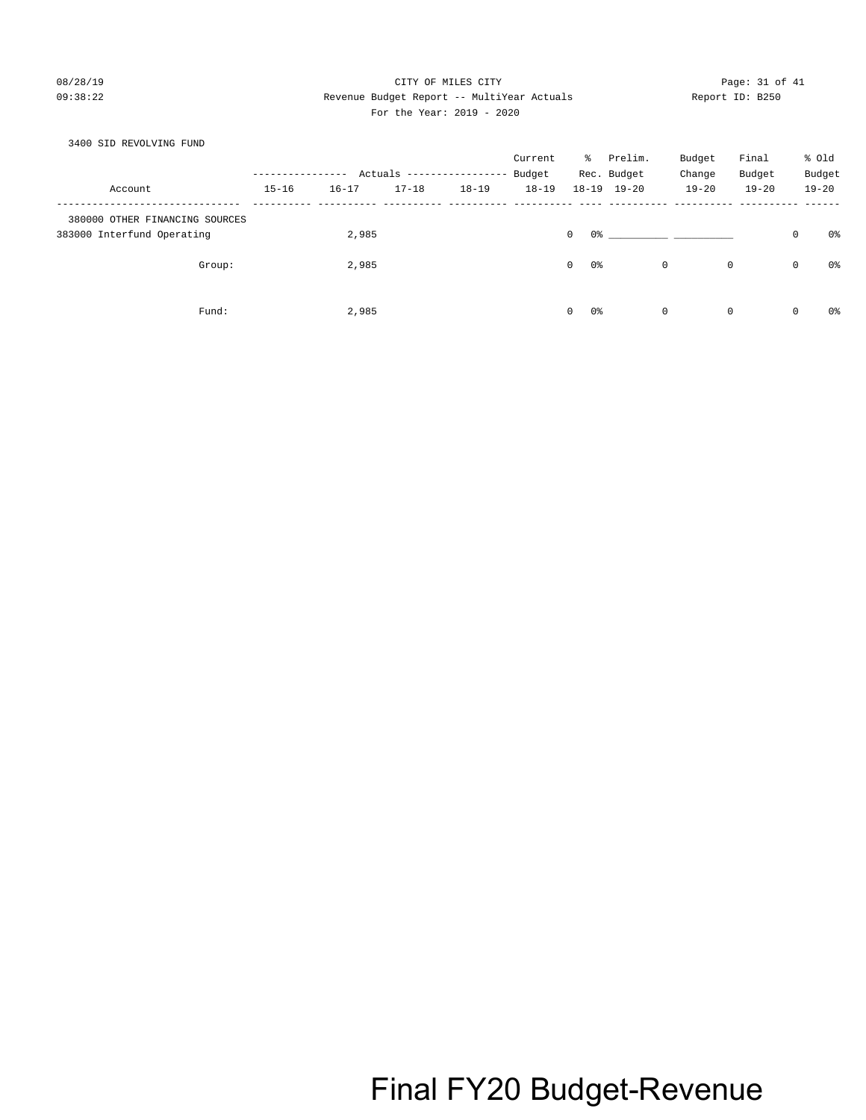## 08/28/19 Page: 31 of 41 09:38:22 Revenue Budget Report -- MultiYear Actuals Report ID: B250 For the Year: 2019 - 2020

### 3400 SID REVOLVING FUND

|                                |           |           |           |                           | Current   | ိ                  | Prelim.             | Budget    | Final       |   | % Old     |
|--------------------------------|-----------|-----------|-----------|---------------------------|-----------|--------------------|---------------------|-----------|-------------|---|-----------|
|                                |           |           |           | Actuals ----------------- | Budget    |                    | Rec. Budget         | Change    | Budget      |   | Budget    |
| Account                        | $15 - 16$ | $16 - 17$ | $17 - 18$ | $18 - 19$                 | $18 - 19$ |                    | $18 - 19$ $19 - 20$ | $19 - 20$ | $19 - 20$   |   | $19 - 20$ |
| 380000 OTHER FINANCING SOURCES |           |           |           |                           |           |                    |                     |           |             |   |           |
| 383000 Interfund Operating     |           | 2,985     |           |                           |           | 0<br>0%            |                     |           |             | 0 | 0%        |
| Group:                         |           | 2,985     |           |                           |           | $\mathbf{0}$<br>0% |                     | 0         | $\mathbf 0$ | 0 | 0%        |
| Fund:                          |           | 2,985     |           |                           |           | $\mathbf{0}$<br>0% |                     | 0         | $\mathbf 0$ | 0 | 0%        |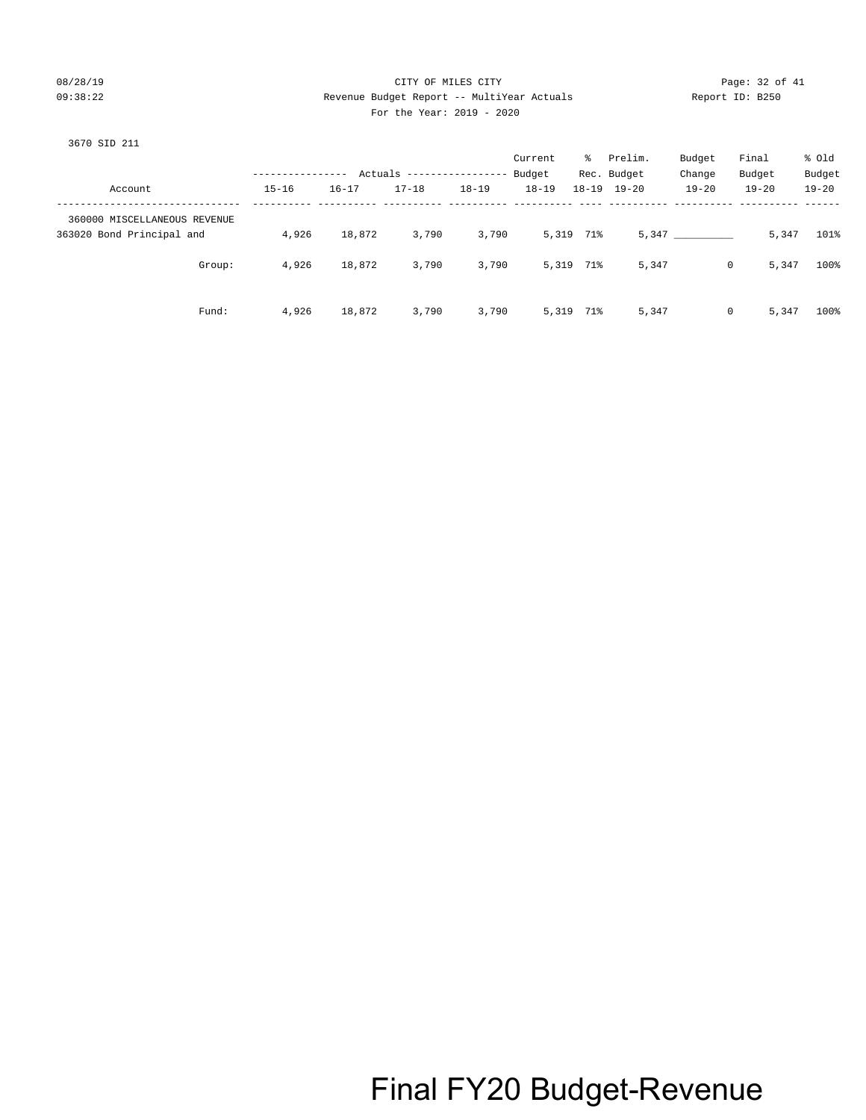## 08/28/19 Page: 32 of 41 09:38:22 Revenue Budget Report -- MultiYear Actuals Report ID: B250 For the Year: 2019 - 2020

|                              |           |           |                                         |           | Current             | ိ         | Prelim.                            | Budget              | Final                | % Old               |
|------------------------------|-----------|-----------|-----------------------------------------|-----------|---------------------|-----------|------------------------------------|---------------------|----------------------|---------------------|
| Account                      | $15 - 16$ | $16 - 17$ | Actuals ------------------<br>$17 - 18$ | $18 - 19$ | Budget<br>$18 - 19$ |           | Rec. Budget<br>$18 - 19$ $19 - 20$ | Change<br>$19 - 20$ | Budget<br>$19 - 20$  | Budget<br>$19 - 20$ |
|                              |           |           |                                         |           |                     |           |                                    |                     |                      |                     |
| 360000 MISCELLANEOUS REVENUE |           |           |                                         |           |                     |           |                                    |                     |                      |                     |
| 363020 Bond Principal and    | 4,926     | 18,872    | 3,790                                   | 3,790     |                     | 5,319 71% |                                    | 5,347               | 5,347                | 101%                |
| Group:                       | 4,926     | 18,872    | 3,790                                   | 3,790     |                     | 5,319 71% | 5,347                              |                     | 5,347<br>$\mathbf 0$ | 100%                |
| Fund:                        | 4,926     | 18,872    | 3,790                                   | 3,790     |                     | 5,319 71% | 5,347                              |                     | 5,347<br>0           | 100%                |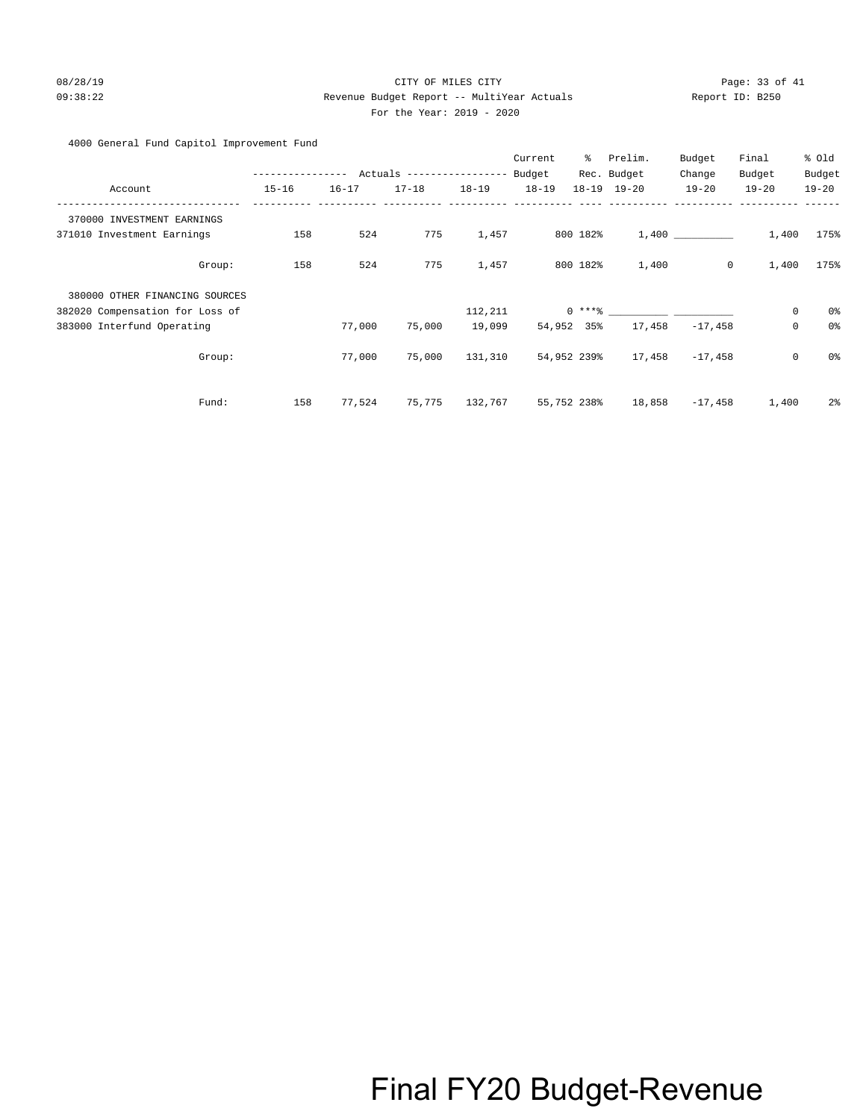### 08/28/19 Page: 33 of 41 09:38:22 Revenue Budget Report -- MultiYear Actuals Report ID: B250 For the Year: 2019 - 2020

### 4000 General Fund Capitol Improvement Fund

|                                 |                  |           |                            |           | Current   | ి           | Prelim.             | Budget       | Final               | % Old          |
|---------------------------------|------------------|-----------|----------------------------|-----------|-----------|-------------|---------------------|--------------|---------------------|----------------|
|                                 | ---------------- |           | Actuals ------------------ |           | Budget    |             | Rec. Budget         | Change       | Budget              | Budget         |
| Account                         | $15 - 16$        | $16 - 17$ | $17 - 18$                  | $18 - 19$ | $18 - 19$ |             | $18 - 19$ $19 - 20$ | $19 - 20$    | $19 - 20$           | $19 - 20$      |
| 370000 INVESTMENT EARNINGS      |                  |           |                            |           |           |             |                     |              |                     |                |
| 371010 Investment Earnings      | 158              | 524       | 775                        | 1,457     |           | 800 182%    |                     | 1,400        | 1,400               | 175%           |
| Group:                          | 158              | 524       | 775                        | 1,457     |           | 800 182%    | 1,400               | $\mathsf{O}$ | 1,400               | 175%           |
| 380000 OTHER FINANCING SOURCES  |                  |           |                            |           |           |             |                     |              |                     |                |
| 382020 Compensation for Loss of |                  |           |                            | 112,211   |           |             | $0***8$             |              | 0                   | 0%             |
| 383000 Interfund Operating      |                  | 77,000    | 75,000                     | 19,099    |           | 54,952 35%  | 17,458              | $-17,458$    | $\mathsf{O}\xspace$ | 0%             |
| Group:                          |                  | 77,000    | 75,000                     | 131,310   |           | 54,952 239% | 17,458              | $-17,458$    | $\mathsf{O}\xspace$ | 0%             |
| Fund:                           | 158              | 77,524    | 75,775                     | 132,767   |           | 55,752 238% | 18,858              | -17,458      | 1,400               | 2 <sup>°</sup> |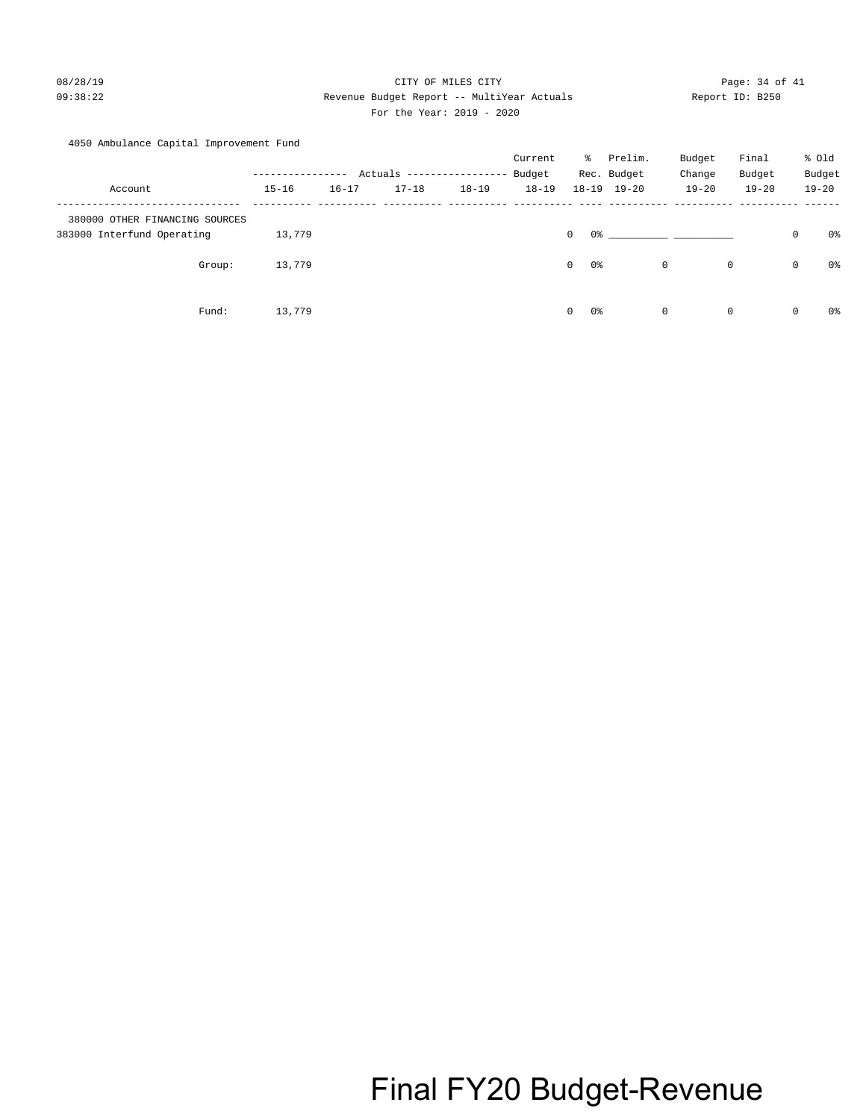## 08/28/19 Page: 34 of 41 09:38:22 Revenue Budget Report -- MultiYear Actuals Report ID: B250 For the Year: 2019 - 2020

## 4050 Ambulance Capital Improvement Fund

|                                |                |           |                            |           | Current   | ႜႜၟ                  | Prelim.             | Budget      | Final        |             | % old     |
|--------------------------------|----------------|-----------|----------------------------|-----------|-----------|----------------------|---------------------|-------------|--------------|-------------|-----------|
|                                | -------------- |           | Actuals ------------------ |           | Budget    |                      | Rec. Budget         | Change      | Budget       |             | Budget    |
| Account                        | $15 - 16$      | $16 - 17$ | $17 - 18$                  | $18 - 19$ | $18 - 19$ |                      | $18 - 19$ $19 - 20$ | $19 - 20$   | $19 - 20$    |             | $19 - 20$ |
| 380000 OTHER FINANCING SOURCES |                |           |                            |           |           |                      |                     |             |              |             |           |
| 383000 Interfund Operating     | 13,779         |           |                            |           |           | $\mathbf 0$          | 0 %                 |             |              | $\mathbf 0$ | 0%        |
| Group:                         | 13,779         |           |                            |           |           | 0 %<br>$\circ$       |                     | 0           | $\mathsf{O}$ | $\circ$     | 0%        |
| Fund:                          | 13,779         |           |                            |           |           | 0%<br>$\overline{0}$ |                     | $\mathbf 0$ | $\mathbf 0$  | $\mathbf 0$ | 0%        |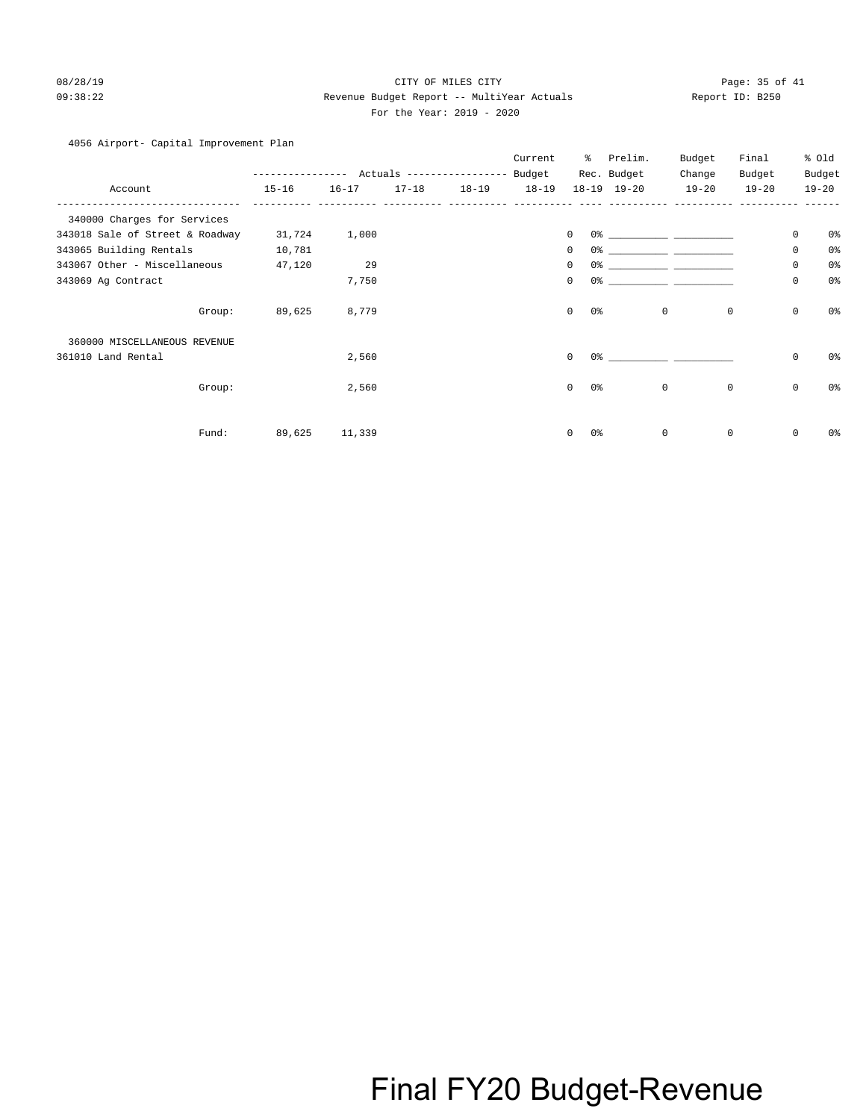### 08/28/19 Page: 35 of 41 09:38:22 Revenue Budget Report -- MultiYear Actuals Report ID: B250 For the Year: 2019 - 2020

## 4056 Airport- Capital Improvement Plan

|                                 | .         |           |           | Actuals ------------------ | Current<br>Budget | ి         | Prelim.<br>Rec. Budget | Budget<br>Change | Final<br>Budget |             | % Old<br>Budget |
|---------------------------------|-----------|-----------|-----------|----------------------------|-------------------|-----------|------------------------|------------------|-----------------|-------------|-----------------|
| Account                         | $15 - 16$ | $16 - 17$ | $17 - 18$ | $18 - 19$                  | $18 - 19$         | $18 - 19$ | $19 - 20$              | $19 - 20$        | $19 - 20$       |             | $19 - 20$       |
| 340000 Charges for Services     |           |           |           |                            |                   |           |                        |                  |                 |             |                 |
| 343018 Sale of Street & Roadway | 31,724    | 1,000     |           |                            |                   | 0         | 0%                     |                  |                 | $\mathbf 0$ | 0 <sup>o</sup>  |
| 343065 Building Rentals         | 10,781    |           |           |                            |                   | 0         | 0 <sup>o</sup>         |                  |                 | $\mathbf 0$ | 0 <sup>o</sup>  |
| 343067 Other - Miscellaneous    | 47,120    | 29        |           |                            |                   | 0         | 0%                     |                  |                 | $\mathbf 0$ | 0 <sup>o</sup>  |
| 343069 Ag Contract              |           | 7,750     |           |                            |                   | 0         | 0%                     |                  |                 | $\mathbf 0$ | 0 <sup>o</sup>  |
| Group:                          | 89,625    | 8,779     |           |                            |                   | 0         | $0\,$                  | $\mathbf 0$      | $\mathbf 0$     | $\mathsf 0$ | 0 <sup>o</sup>  |
| 360000 MISCELLANEOUS REVENUE    |           |           |           |                            |                   |           |                        |                  |                 |             |                 |
| 361010 Land Rental              |           | 2,560     |           |                            |                   | $\Omega$  | 0%                     |                  |                 | $\mathbf 0$ | 0%              |
| Group:                          |           | 2,560     |           |                            |                   | 0         | 0 <sup>o</sup>         | $\mathbf 0$      | $\mathbf 0$     | $\mathbf 0$ | 0 <sup>o</sup>  |
| Fund:                           | 89,625    | 11,339    |           |                            |                   | 0         | 0%                     | $\mathbf 0$      | $\mathbf 0$     | $\mathbf 0$ | 0%              |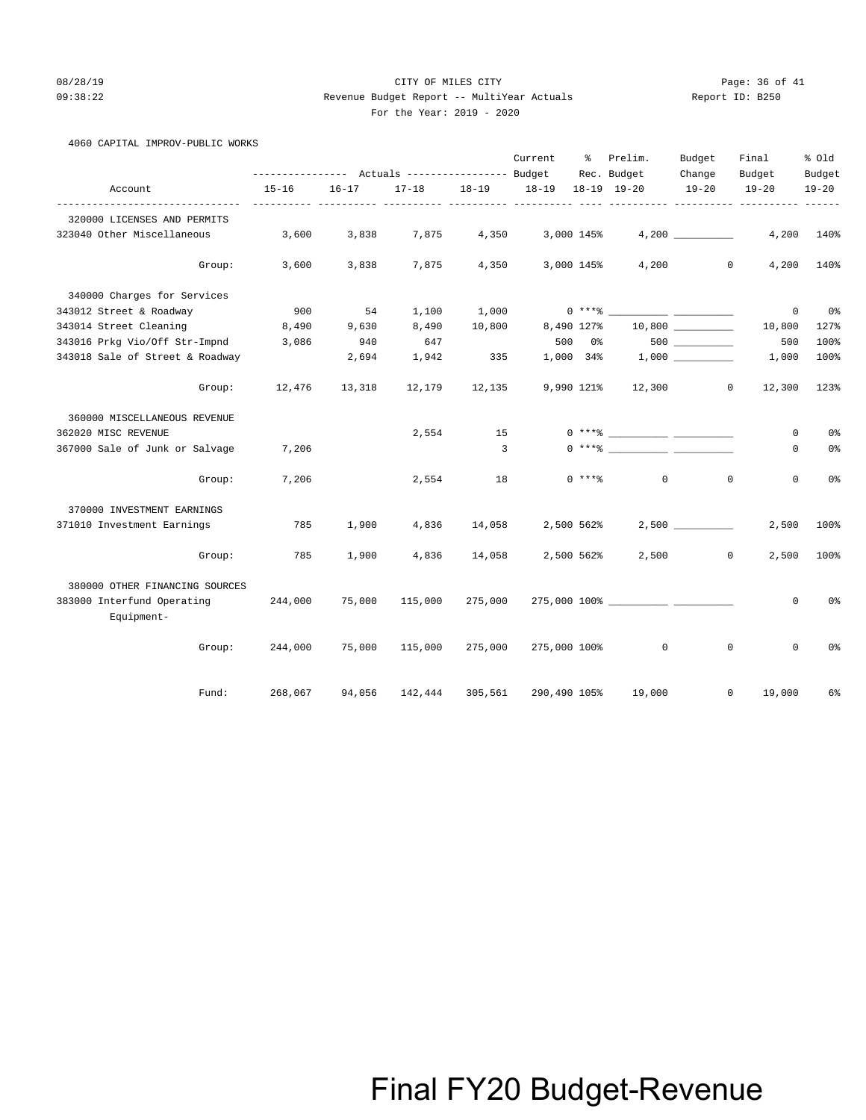### 08/28/19 Page: 36 of 41 09:38:22 Revenue Budget Report -- MultiYear Actuals Report ID: B250 For the Year: 2019 - 2020

| $\sim$ | For the rear:<br>___ |
|--------|----------------------|
|        |                      |

|  |  |  | 4060 CAPITAL IMPROV-PUBLIC WORKS |  |
|--|--|--|----------------------------------|--|
|--|--|--|----------------------------------|--|

|                                          |           |           |           |                | Current      | ႜ              | Prelim.                                                                                                                                         | Budget    | Final                      | % Old                      |
|------------------------------------------|-----------|-----------|-----------|----------------|--------------|----------------|-------------------------------------------------------------------------------------------------------------------------------------------------|-----------|----------------------------|----------------------------|
|                                          |           |           |           |                |              |                | Rec. Budget                                                                                                                                     | Change    | Budget                     | Budget                     |
| Account                                  | $15 - 16$ | $16 - 17$ | $17 - 18$ | $18 - 19$      | $18 - 19$    |                | 18-19 19-20                                                                                                                                     | $19 - 20$ | $19 - 20$                  | $19 - 20$<br>$- - - - - -$ |
| 320000 LICENSES AND PERMITS              |           |           |           |                |              |                |                                                                                                                                                 |           |                            |                            |
| 323040 Other Miscellaneous               | 3,600     | 3,838     | 7,875     | 4,350          | 3,000 145%   |                |                                                                                                                                                 | 4,200     | 4,200                      | 140%                       |
| Group:                                   | 3,600     | 3,838     | 7,875     | 4,350          | 3,000 145%   |                |                                                                                                                                                 | 4,200     | $\mathbf{0}$<br>4,200      | 140%                       |
| 340000 Charges for Services              |           |           |           |                |              |                |                                                                                                                                                 |           |                            |                            |
| 343012 Street & Roadway                  | 900       | 54        | 1,100     | 1,000          |              |                | $0***$ $****$ $1***$                                                                                                                            |           | $\mathbf 0$                | 0 <sup>8</sup>             |
| 343014 Street Cleaning                   | 8,490     | 9,630     | 8,490     | 10,800         | 8,490 127%   |                |                                                                                                                                                 |           | 10,800                     | 127%                       |
| 343016 Prkg Vio/Off Str-Impnd            | 3,086     | 940       | 647       |                | 500          | 0 <sup>8</sup> |                                                                                                                                                 |           | 500                        | 100%                       |
| 343018 Sale of Street & Roadway          |           | 2,694     | 1,942     | 335            | 1,000 34%    |                |                                                                                                                                                 |           | 1,000                      | 100%                       |
| Group:                                   | 12,476    | 13,318    | 12,179    | 12,135         | 9,990 121%   |                | 12,300                                                                                                                                          |           | $\circ$<br>12,300          | 123%                       |
| 360000 MISCELLANEOUS REVENUE             |           |           |           |                |              |                |                                                                                                                                                 |           |                            |                            |
| 362020 MISC REVENUE                      |           |           | 2,554     | 15             |              |                | $0***$ $\frac{20}{10}$                                                                                                                          |           | 0                          | 0 <sup>°</sup>             |
| 367000 Sale of Junk or Salvage           | 7,206     |           |           | $\overline{3}$ |              |                | $0 \xrightarrow{***\,} \xrightarrow{\hspace*{1.5cm}} \xrightarrow{\hspace*{1.5cm}} \xrightarrow{\hspace*{1.5cm}} \xrightarrow{\hspace*{1.5cm}}$ |           | $\mathbf{0}$               | 0 <sup>8</sup>             |
| Group:                                   | 7,206     |           | 2,554     | 18             |              | $0***$ $*$     | $\mathbf{0}$                                                                                                                                    |           | $\mathbf 0$<br>$\mathbf 0$ | 0 <sup>°</sup>             |
| 370000 INVESTMENT EARNINGS               |           |           |           |                |              |                |                                                                                                                                                 |           |                            |                            |
| 371010 Investment Earnings               | 785       | 1,900     | 4,836     | 14,058         | 2,500 562%   |                |                                                                                                                                                 |           | 2,500                      | 100%                       |
| Group:                                   | 785       | 1,900     | 4,836     | 14,058         | 2,500 562%   |                |                                                                                                                                                 | 2,500     | $\circ$<br>2,500           | 100%                       |
| 380000 OTHER FINANCING SOURCES           |           |           |           |                |              |                |                                                                                                                                                 |           |                            |                            |
| 383000 Interfund Operating<br>Equipment- | 244,000   | 75,000    | 115,000   | 275,000        |              |                |                                                                                                                                                 |           | 0                          | 0 <sup>8</sup>             |
| Group:                                   | 244,000   | 75,000    | 115,000   | 275,000        | 275,000 100% |                | $\mathbf 0$                                                                                                                                     |           | $\mathbf 0$<br>0           | 0 <sup>8</sup>             |
| Fund:                                    | 268,067   | 94,056    | 142,444   | 305,561        | 290,490 105% |                | 19,000                                                                                                                                          |           | 0<br>19,000                | 6%                         |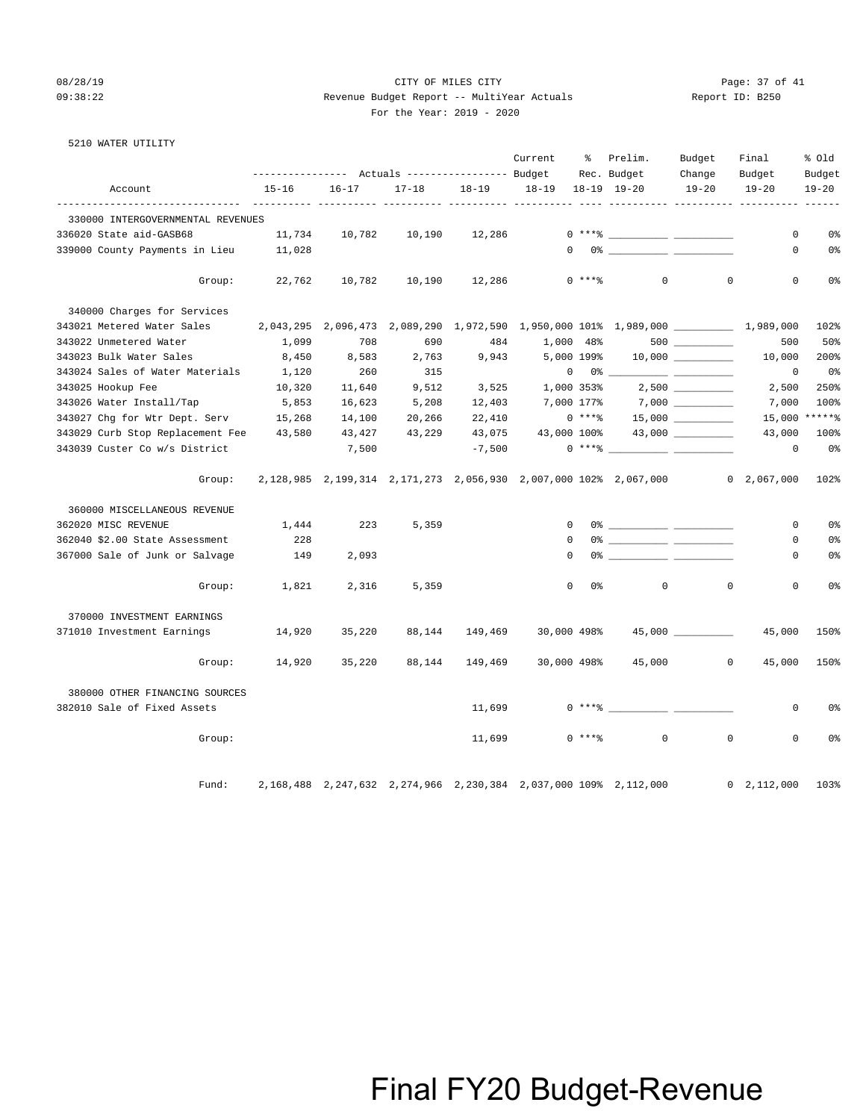### 08/28/19 Page: 37 of 41 09:38:22 Revenue Budget Report -- MultiYear Actuals Report ID: B250 For the Year: 2019 - 2020

|  | 5210 WATER UTILITY |
|--|--------------------|

|                                   |           |                     | ---------------    Actuals ----------------    Budget |           | Current      | ႜ              | Prelim.<br>Rec. Budget                                                                                                                                                                                                                                                                                                                                                                                                                                                                                              | Budget<br>Change     | Final<br>Budget     | % old<br>Budget |
|-----------------------------------|-----------|---------------------|-------------------------------------------------------|-----------|--------------|----------------|---------------------------------------------------------------------------------------------------------------------------------------------------------------------------------------------------------------------------------------------------------------------------------------------------------------------------------------------------------------------------------------------------------------------------------------------------------------------------------------------------------------------|----------------------|---------------------|-----------------|
| Account                           | $15 - 16$ | $16 - 17$           | $17 - 18$                                             | $18 - 19$ | $18 - 19$    |                | $18-19$ $19-20$                                                                                                                                                                                                                                                                                                                                                                                                                                                                                                     | $19 - 20$            | $19 - 20$           | $19 - 20$       |
| 330000 INTERGOVERNMENTAL REVENUES |           |                     |                                                       |           |              |                |                                                                                                                                                                                                                                                                                                                                                                                                                                                                                                                     |                      |                     |                 |
| 336020 State aid-GASB68           | 11,734    | 10,782              | 10,190                                                | 12,286    |              |                |                                                                                                                                                                                                                                                                                                                                                                                                                                                                                                                     |                      | 0                   | 0 <sup>°</sup>  |
| 339000 County Payments in Lieu    | 11,028    |                     |                                                       |           |              |                | $\begin{picture}(150,10) \put(0,0){\vector(1,0){100}} \put(15,0){\vector(1,0){100}} \put(15,0){\vector(1,0){100}} \put(15,0){\vector(1,0){100}} \put(15,0){\vector(1,0){100}} \put(15,0){\vector(1,0){100}} \put(15,0){\vector(1,0){100}} \put(15,0){\vector(1,0){100}} \put(15,0){\vector(1,0){100}} \put(15,0){\vector(1,0){100}} \put(15,0){\vector(1,0){100}}$                                                                                                                                                  |                      | 0                   | 0%              |
| Group:                            | 22,762    | 10,782              | 10,190                                                | 12,286    |              | $0$ ****       | $\mathbf{0}$                                                                                                                                                                                                                                                                                                                                                                                                                                                                                                        | $\mathbf 0$          | 0                   | 0%              |
| 340000 Charges for Services       |           |                     |                                                       |           |              |                |                                                                                                                                                                                                                                                                                                                                                                                                                                                                                                                     |                      |                     |                 |
| 343021 Metered Water Sales        |           | 2,043,295 2,096,473 |                                                       |           |              |                | 2,089,290 1,972,590 1,950,000 101% 1,989,000 ___________ 1,989,000                                                                                                                                                                                                                                                                                                                                                                                                                                                  |                      |                     | 102%            |
| 343022 Unmetered Water            | 1,099     | 708                 | 690                                                   | 484       | 1,000 48%    |                |                                                                                                                                                                                                                                                                                                                                                                                                                                                                                                                     |                      | 500                 | 50%             |
| 343023 Bulk Water Sales           | 8,450     | 8,583               | 2,763                                                 | 9,943     | 5,000 199%   |                |                                                                                                                                                                                                                                                                                                                                                                                                                                                                                                                     | $10,000$ ___________ | 10,000              | 200%            |
| 343024 Sales of Water Materials   | 1,120     | 260                 | 315                                                   |           |              | $0 \t 0$ % ___ |                                                                                                                                                                                                                                                                                                                                                                                                                                                                                                                     |                      | $^{\circ}$          | 0%              |
| 343025 Hookup Fee                 | 10,320    | 11,640              | 9,512                                                 | 3,525     | 1,000 353%   |                |                                                                                                                                                                                                                                                                                                                                                                                                                                                                                                                     |                      | 2,500               | 250%            |
| 343026 Water Install/Tap          | 5,853     | 16,623              | 5,208                                                 | 12,403    | 7,000 177%   |                |                                                                                                                                                                                                                                                                                                                                                                                                                                                                                                                     |                      | 7,000               | 100%            |
| 343027 Chg for Wtr Dept. Serv     | 15,268    | 14,100              | 20,266                                                | 22,410    |              | $0***$ $*$     |                                                                                                                                                                                                                                                                                                                                                                                                                                                                                                                     |                      |                     | 15,000 ******   |
| 343029 Curb Stop Replacement Fee  | 43,580    | 43,427              | 43,229                                                | 43,075    | 43,000 100%  |                |                                                                                                                                                                                                                                                                                                                                                                                                                                                                                                                     | 43,000 __________    | 43,000              | 100%            |
| 343039 Custer Co w/s District     |           | 7,500               |                                                       | $-7,500$  |              | $0***$ $*$     |                                                                                                                                                                                                                                                                                                                                                                                                                                                                                                                     |                      | $\mathbf 0$         | 0%              |
| Group:                            |           |                     |                                                       |           |              |                | 2, 128, 985 2, 199, 314 2, 171, 273 2, 056, 930 2, 007, 000 102% 2, 067, 000                                                                                                                                                                                                                                                                                                                                                                                                                                        |                      | $0 \quad 2,067,000$ | 102%            |
| 360000 MISCELLANEOUS REVENUE      |           |                     |                                                       |           |              |                |                                                                                                                                                                                                                                                                                                                                                                                                                                                                                                                     |                      |                     |                 |
| 362020 MISC REVENUE               | 1,444     | 223                 | 5,359                                                 |           | $\Omega$     |                | $0$ $\frac{2}{\sqrt{2}}$ $\frac{2}{\sqrt{2}}$ $\frac{2}{\sqrt{2}}$ $\frac{2}{\sqrt{2}}$ $\frac{2}{\sqrt{2}}$ $\frac{2}{\sqrt{2}}$ $\frac{2}{\sqrt{2}}$ $\frac{2}{\sqrt{2}}$ $\frac{2}{\sqrt{2}}$ $\frac{2}{\sqrt{2}}$ $\frac{2}{\sqrt{2}}$ $\frac{2}{\sqrt{2}}$ $\frac{2}{\sqrt{2}}$ $\frac{2}{\sqrt{2}}$ $\frac{2}{\sqrt{2}}$ $\frac{2}{\sqrt{2}}$ $\frac{2}{\sqrt{$                                                                                                                                               |                      | 0                   | 0%              |
| 362040 \$2.00 State Assessment    | 228       |                     |                                                       |           | $\mathbf{0}$ |                |                                                                                                                                                                                                                                                                                                                                                                                                                                                                                                                     |                      | 0                   | 0%              |
| 367000 Sale of Junk or Salvage    | 149       | 2,093               |                                                       |           | $\Omega$     |                |                                                                                                                                                                                                                                                                                                                                                                                                                                                                                                                     |                      | 0                   | 0%              |
| Group:                            | 1,821     | 2,316               | 5,359                                                 |           | $\mathbf 0$  | 0%             | $\mathbf{0}$                                                                                                                                                                                                                                                                                                                                                                                                                                                                                                        | $\mathbf{0}$         | 0                   | 0%              |
| 370000 INVESTMENT EARNINGS        |           |                     |                                                       |           |              |                |                                                                                                                                                                                                                                                                                                                                                                                                                                                                                                                     |                      |                     |                 |
| 371010 Investment Earnings        | 14,920    | 35,220              | 88,144                                                | 149,469   | 30,000 498%  |                |                                                                                                                                                                                                                                                                                                                                                                                                                                                                                                                     |                      | 45,000              | 150%            |
| Group:                            | 14,920    | 35,220              | 88,144                                                | 149,469   | 30,000 498%  |                | 45,000                                                                                                                                                                                                                                                                                                                                                                                                                                                                                                              | $\overline{0}$       | 45,000              | 150%            |
| 380000 OTHER FINANCING SOURCES    |           |                     |                                                       |           |              |                |                                                                                                                                                                                                                                                                                                                                                                                                                                                                                                                     |                      |                     |                 |
| 382010 Sale of Fixed Assets       |           |                     |                                                       | 11,699    |              |                | $0 \xrightarrow{***\text{\texttt{\%}}}\xrightarrow{\hspace*{1.5cm}}\xrightarrow{\hspace*{1.5cm}}\xrightarrow{\hspace*{1.5cm}}\xrightarrow{\hspace*{1.5cm}}\xrightarrow{\hspace*{1.5cm}}\xrightarrow{\hspace*{1.5cm}}\xrightarrow{\hspace*{1.5cm}}\xrightarrow{\hspace*{1.5cm}}\xrightarrow{\hspace*{1.5cm}}\xrightarrow{\hspace*{1.5cm}}\xrightarrow{\hspace*{1.5cm}}\xrightarrow{\hspace*{1.5cm}}\xrightarrow{\hspace*{1.5cm}}\xrightarrow{\hspace*{1.5cm}}\xrightarrow{\hspace*{1.5cm}}\xrightarrow{\hspace*{1.5$ |                      | 0                   | 0%              |
| Group:                            |           |                     |                                                       | 11,699    |              | $0$ ****       | $\Omega$                                                                                                                                                                                                                                                                                                                                                                                                                                                                                                            | $\Omega$             | $\Omega$            | 0 <sup>8</sup>  |
| Fund:                             |           |                     |                                                       |           |              |                | 2, 168, 488 2, 247, 632 2, 274, 966 2, 230, 384 2, 037, 000 109% 2, 112, 000                                                                                                                                                                                                                                                                                                                                                                                                                                        |                      | $0 \quad 2,112,000$ | 103%            |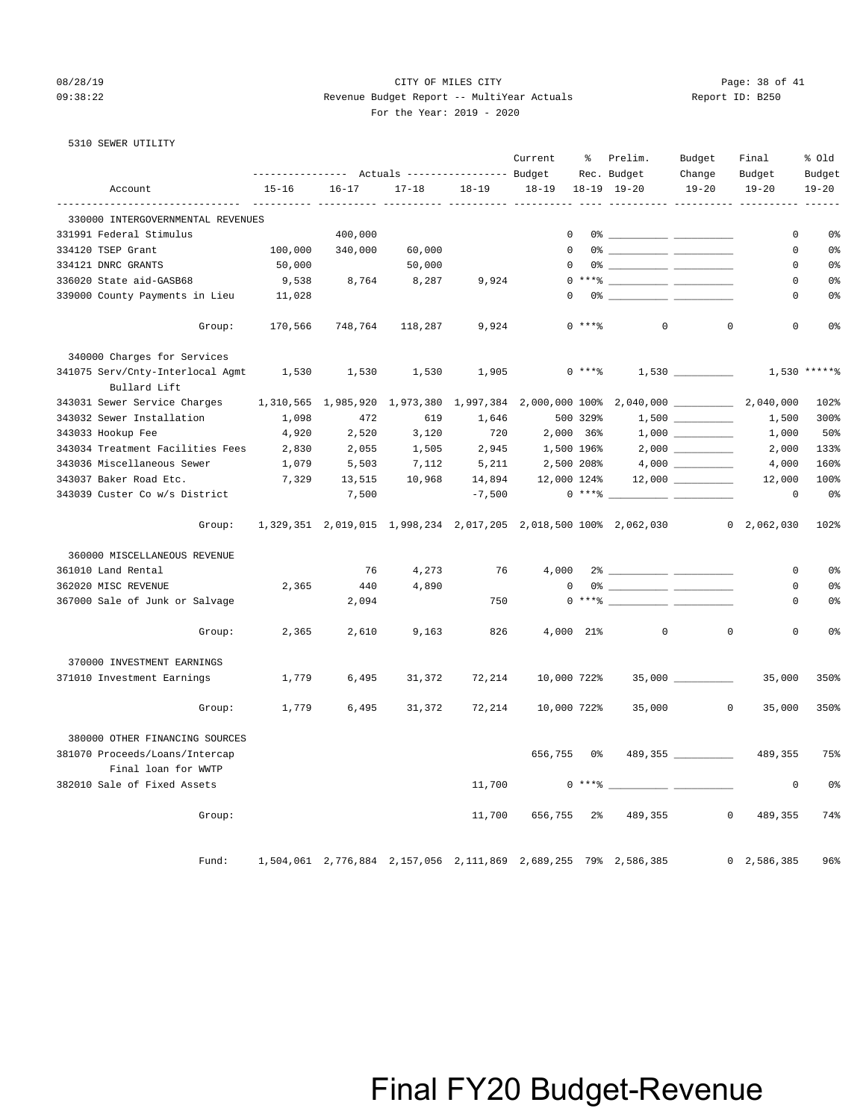### 08/28/19 Page: 38 of 41 09:38:22 Revenue Budget Report -- MultiYear Actuals Report ID: B250 For the Year: 2019 - 2020

|  | 5310 SEWER UTILITY |  |
|--|--------------------|--|
|  |                    |  |

|                                                  |           |                                | Actuals ----------------- Budget |                                | Current     | ွေ         | Prelim.<br>Rec. Budget                                                                                                                                                                                                                                                                                                 | Budget<br>Change  | Final<br>Budget     | % old<br>Budget |
|--------------------------------------------------|-----------|--------------------------------|----------------------------------|--------------------------------|-------------|------------|------------------------------------------------------------------------------------------------------------------------------------------------------------------------------------------------------------------------------------------------------------------------------------------------------------------------|-------------------|---------------------|-----------------|
| Account                                          | $15 - 16$ | $16 - 17$<br>------ ---------- | $17 - 18$                        | $18 - 19$<br>----------- ----- | $18 - 19$   |            | $18 - 19$ $19 - 20$                                                                                                                                                                                                                                                                                                    | $19 - 20$         | $19 - 20$           | $19 - 20$       |
| 330000 INTERGOVERNMENTAL REVENUES                |           |                                |                                  |                                |             |            |                                                                                                                                                                                                                                                                                                                        |                   |                     |                 |
| 331991 Federal Stimulus                          |           | 400,000                        |                                  |                                | $\Omega$    |            | $0$ $\frac{1}{2}$ $\frac{1}{2}$ $\frac{1}{2}$ $\frac{1}{2}$ $\frac{1}{2}$ $\frac{1}{2}$ $\frac{1}{2}$ $\frac{1}{2}$ $\frac{1}{2}$ $\frac{1}{2}$ $\frac{1}{2}$ $\frac{1}{2}$ $\frac{1}{2}$ $\frac{1}{2}$ $\frac{1}{2}$ $\frac{1}{2}$ $\frac{1}{2}$ $\frac{1}{2}$ $\frac{1}{2}$ $\frac{1}{2}$ $\frac{1}{2}$ $\frac{1}{2$ |                   | $\mathbf 0$         | 0%              |
| 334120 TSEP Grant                                | 100,000   | 340,000                        | 60,000                           |                                | $\Omega$    |            |                                                                                                                                                                                                                                                                                                                        |                   | 0                   | 0%              |
| 334121 DNRC GRANTS                               | 50,000    |                                | 50,000                           |                                | $\mathbf 0$ |            |                                                                                                                                                                                                                                                                                                                        |                   | 0                   | 0 <sup>8</sup>  |
| 336020 State aid-GASB68                          | 9,538     | 8,764                          | 8,287                            | 9,924                          |             |            | $0***$ $\frac{20}{100}$                                                                                                                                                                                                                                                                                                |                   | $\mathbf 0$         | 0 <sup>°</sup>  |
| 339000 County Payments in Lieu                   | 11,028    |                                |                                  |                                | $\Omega$    |            |                                                                                                                                                                                                                                                                                                                        |                   | $\Omega$            | 0 <sup>°</sup>  |
| Group:                                           | 170,566   | 748,764                        | 118,287                          | 9,924                          |             | $0$ ****   | $\mathbf{0}$                                                                                                                                                                                                                                                                                                           | $\Omega$          | $\Omega$            | 0 <sup>°</sup>  |
| 340000 Charges for Services                      |           |                                |                                  |                                |             |            |                                                                                                                                                                                                                                                                                                                        |                   |                     |                 |
| 341075 Serv/Cnty-Interlocal Agmt<br>Bullard Lift | 1,530     | 1,530                          | 1,530                            | 1,905                          |             | $0***8$    |                                                                                                                                                                                                                                                                                                                        |                   |                     | 1,530 ******    |
| 343031 Sewer Service Charges                     |           | 1,310,565 1,985,920 1,973,380  |                                  |                                |             |            | $1,997,384$ 2,000,000 100% 2,040,000 _________                                                                                                                                                                                                                                                                         |                   | 2,040,000           | 102%            |
| 343032 Sewer Installation                        | 1,098     | 472                            | 619                              | 1,646                          |             | 500 329%   |                                                                                                                                                                                                                                                                                                                        |                   | 1,500               | 300%            |
| 343033 Hookup Fee                                | 4,920     | 2,520                          | 3,120                            | 720                            | 2,000 36%   |            |                                                                                                                                                                                                                                                                                                                        |                   | 1,000               | 50%             |
| 343034 Treatment Facilities Fees                 | 2,830     | 2,055                          | 1,505                            | 2,945                          | 1,500 196%  |            |                                                                                                                                                                                                                                                                                                                        | $2,000$ _________ | 2,000               | 133%            |
| 343036 Miscellaneous Sewer                       | 1,079     | 5,503                          | 7,112                            | 5,211                          | 2,500 208%  |            |                                                                                                                                                                                                                                                                                                                        |                   | 4,000               | 160%            |
| 343037 Baker Road Etc.                           | 7,329     | 13,515                         | 10,968                           | 14,894                         | 12,000 124% |            |                                                                                                                                                                                                                                                                                                                        |                   | 12,000              | 100%            |
| 343039 Custer Co w/s District                    |           | 7,500                          |                                  | $-7,500$                       |             | $0***$ $*$ |                                                                                                                                                                                                                                                                                                                        |                   | 0                   | 0%              |
| Group:                                           |           |                                |                                  |                                |             |            | 1,329,351 2,019,015 1,998,234 2,017,205 2,018,500 100% 2,062,030                                                                                                                                                                                                                                                       |                   | $0 \quad 2,062,030$ | 102%            |
| 360000 MISCELLANEOUS REVENUE                     |           |                                |                                  |                                |             |            |                                                                                                                                                                                                                                                                                                                        |                   |                     |                 |
| 361010 Land Rental                               |           | 76                             | 4,273                            | 76                             | 4,000       |            |                                                                                                                                                                                                                                                                                                                        |                   | $\mathbf{0}$        | 0 <sup>°</sup>  |
| 362020 MISC REVENUE                              | 2,365     | 440                            | 4,890                            |                                | $\mathbf 0$ |            |                                                                                                                                                                                                                                                                                                                        |                   | 0                   | 0%              |
| 367000 Sale of Junk or Salvage                   |           | 2,094                          |                                  | 750                            |             |            | $0***$ $\frac{1}{2}$                                                                                                                                                                                                                                                                                                   |                   | 0                   | 0 <sup>°</sup>  |
| Group:                                           | 2,365     | 2,610                          | 9,163                            | 826                            | 4,000 21%   |            | $\mathbf 0$                                                                                                                                                                                                                                                                                                            | $\Omega$          | $\Omega$            | 0 <sup>°</sup>  |
| 370000 INVESTMENT EARNINGS                       |           |                                |                                  |                                |             |            |                                                                                                                                                                                                                                                                                                                        |                   |                     |                 |
| 371010 Investment Earnings                       | 1,779     | 6,495                          | 31,372                           | 72,214                         | 10,000 722% |            |                                                                                                                                                                                                                                                                                                                        | 35,000            | 35,000              | 350%            |
| Group:                                           | 1,779     | 6,495                          | 31,372                           | 72,214                         | 10,000 722% |            | 35,000                                                                                                                                                                                                                                                                                                                 | $\overline{0}$    | 35,000              | 350%            |
| 380000 OTHER FINANCING SOURCES                   |           |                                |                                  |                                |             |            |                                                                                                                                                                                                                                                                                                                        |                   |                     |                 |
| 381070 Proceeds/Loans/Intercap                   |           |                                |                                  |                                | 656,755     | 0%         |                                                                                                                                                                                                                                                                                                                        | 489,355           | 489,355             | 75%             |
| Final loan for WWTP                              |           |                                |                                  |                                |             |            |                                                                                                                                                                                                                                                                                                                        |                   |                     |                 |
| 382010 Sale of Fixed Assets                      |           |                                |                                  | 11,700                         |             | $0***$ $*$ |                                                                                                                                                                                                                                                                                                                        |                   | $\mathbf 0$         | 0%              |
| Group:                                           |           |                                |                                  | 11,700                         | 656,755 2%  |            | 489,355                                                                                                                                                                                                                                                                                                                | $\circ$           | 489,355             | 74%             |
| Fund:                                            |           |                                |                                  |                                |             |            | 1,504,061 2,776,884 2,157,056 2,111,869 2,689,255 79% 2,586,385                                                                                                                                                                                                                                                        |                   | 0, 2, 586, 385      | 96%             |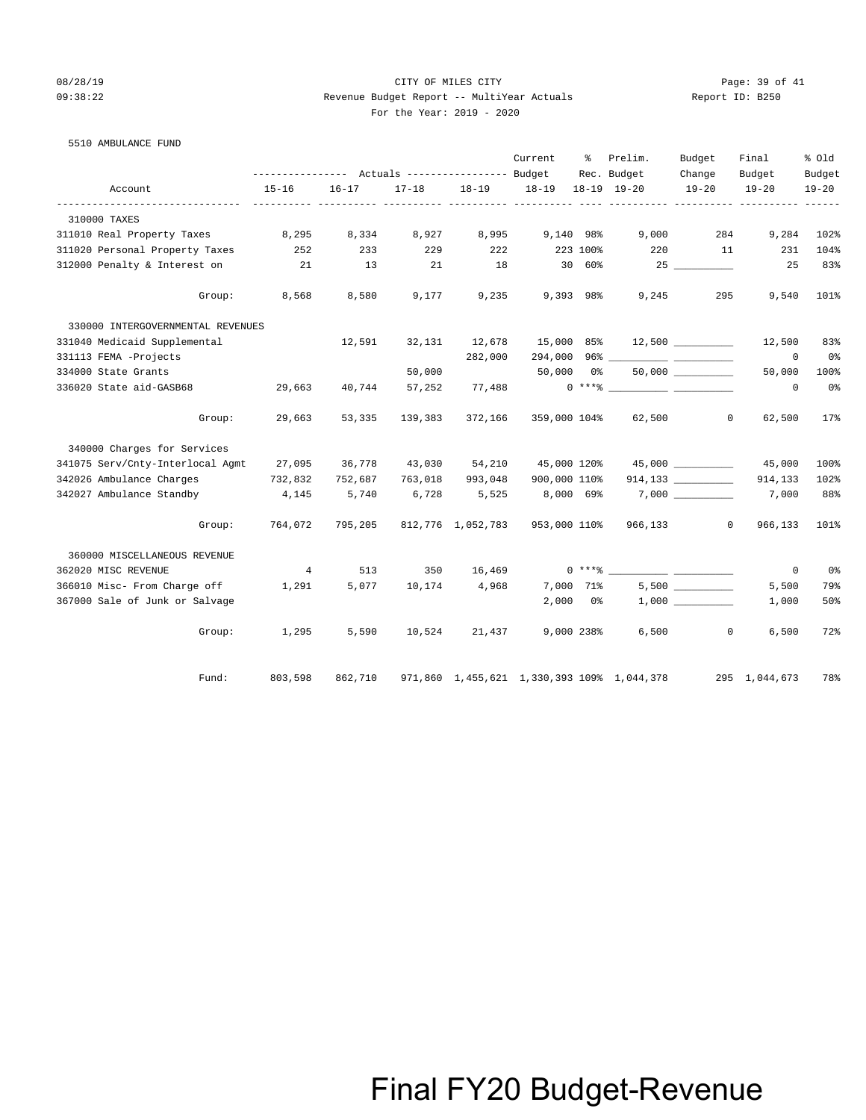## 08/28/19 Page: 39 of 41 09:38:22 Revenue Budget Report -- MultiYear Actuals Report ID: B250 For the Year: 2019 - 2020

5510 AMBULANCE FUND

|                                   |                                                 |           |           |                   | Current      | နွ         | Prelim.                                    | Budget                  | Final         | % Old     |
|-----------------------------------|-------------------------------------------------|-----------|-----------|-------------------|--------------|------------|--------------------------------------------|-------------------------|---------------|-----------|
|                                   | --------------- Actuals ---------------- Budget |           |           |                   |              |            | Rec. Budget                                | Change                  | Budget        | Budget    |
| Account                           | $15 - 16$                                       | $16 - 17$ | $17 - 18$ | $18 - 19$         | $18 - 19$    |            | 18-19 19-20                                | $19 - 20$               | $19 - 20$     | $19 - 20$ |
| 310000 TAXES                      |                                                 |           |           |                   |              |            |                                            |                         |               |           |
| 311010 Real Property Taxes        | 8,295                                           | 8,334     | 8,927     | 8,995             | 9,140 98%    |            | 9,000                                      | 284                     | 9,284         | 102%      |
| 311020 Personal Property Taxes    | 252                                             | 233       | 229       | 222               |              | 223 100%   | 220                                        | 11                      | 231           | 104%      |
| 312000 Penalty & Interest on      | 21                                              | 13        | 21        | 18                |              | 30 60%     |                                            |                         | 25            | 83%       |
| Group:                            | 8,568                                           | 8,580     | 9,177     | 9,235             | 9,393 98%    |            | 9,245                                      | 295                     | 9,540         | 101%      |
| 330000 INTERGOVERNMENTAL REVENUES |                                                 |           |           |                   |              |            |                                            |                         |               |           |
| 331040 Medicaid Supplemental      |                                                 | 12,591    | 32,131    | 12,678            | 15,000 85%   |            |                                            |                         | 12,500        | 83%       |
| 331113 FEMA -Projects             |                                                 |           |           | 282,000           |              |            |                                            |                         | 0             | 0%        |
| 334000 State Grants               |                                                 |           | 50,000    |                   | 50,000       | $0\,$ %    |                                            | $50,000$ ___________    | 50,000        | 100%      |
| 336020 State aid-GASB68           | 29,663                                          | 40,744    | 57,252    | 77,488            |              |            | $0***$ $\frac{1}{2}$                       |                         | $\circ$       | 0%        |
| Group:                            | 29,663                                          | 53,335    | 139,383   | 372,166           |              |            | 359,000 104% 62,500                        | $\mathbf{0}$            | 62,500        | $17$ %    |
| 340000 Charges for Services       |                                                 |           |           |                   |              |            |                                            |                         |               |           |
| 341075 Serv/Cnty-Interlocal Agmt  | 27,095                                          | 36,778    |           | 43,030 54,210     | 45,000 120%  |            |                                            | 45,000                  | 45,000        | 100%      |
| 342026 Ambulance Charges          | 732,832                                         | 752,687   | 763,018   | 993,048           | 900,000 110% |            |                                            |                         | 914,133       | 102%      |
| 342027 Ambulance Standby          | 4,145                                           | 5,740     | 6,728     | 5,525             | 8,000 69%    |            |                                            |                         | 7,000         | 88%       |
| Group:                            | 764,072                                         | 795,205   |           | 812,776 1,052,783 | 953,000 110% |            |                                            | 966,133<br>$\mathbf{0}$ | 966,133       | 101%      |
| 360000 MISCELLANEOUS REVENUE      |                                                 |           |           |                   |              |            |                                            |                         |               |           |
| 362020 MISC REVENUE               | 4                                               | 513       | 350       | 16,469            |              | $0***$ $*$ |                                            |                         | $\circ$       | 0%        |
| 366010 Misc- From Charge off      | 1,291                                           | 5,077     | 10,174    | 4,968             | 7,000 71%    |            |                                            | $5,500$ __________      | 5,500         | 79%       |
| 367000 Sale of Junk or Salvage    |                                                 |           |           |                   | 2,000        | 0 %        |                                            |                         | 1,000         | 50%       |
| Group:                            | 1,295                                           | 5,590     | 10,524    | 21,437            |              | 9,000 238% |                                            | 6,500<br>$\mathbf{0}$   | 6,500         | 72%       |
| Fund:                             | 803,598                                         | 862,710   |           |                   |              |            | 971,860 1,455,621 1,330,393 109% 1,044,378 |                         | 295 1,044,673 | 78%       |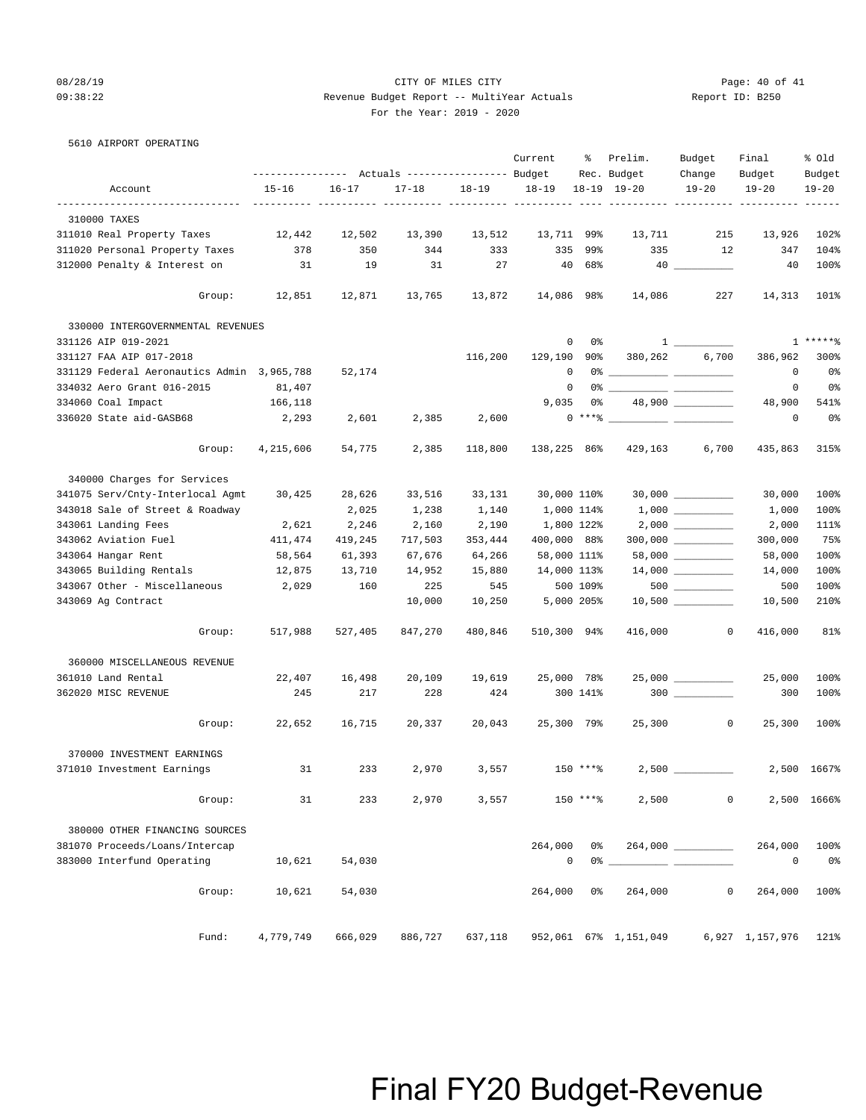### 08/28/19 Page: 40 of 41 09:38:22 Revenue Budget Report -- MultiYear Actuals Report ID: B250 For the Year: 2019 - 2020

| $\sim$ | ror une rear.<br>___ |
|--------|----------------------|
|        |                      |
|        |                      |

|  |  | 5610 AIRPORT OPERATING |
|--|--|------------------------|
|--|--|------------------------|

|                                                  | ---------------    Actuals ----------------    Budget |           |                      |           | Current        | ႜႜ                   | Prelim.<br>Rec. Budget | Budget<br>Change                                                                                                                                                                                                                                                                                                    | Final<br>Budget | % Old<br>Budget |
|--------------------------------------------------|-------------------------------------------------------|-----------|----------------------|-----------|----------------|----------------------|------------------------|---------------------------------------------------------------------------------------------------------------------------------------------------------------------------------------------------------------------------------------------------------------------------------------------------------------------|-----------------|-----------------|
| Account                                          | $15 - 16$                                             | $16 - 17$ | $17 - 18$            | $18 - 19$ | $18 - 19$      |                      | $18-19$ $19-20$        | $19 - 20$                                                                                                                                                                                                                                                                                                           | $19 - 20$       | $19 - 20$       |
| --------------------------------<br>310000 TAXES |                                                       |           |                      |           |                |                      | ----------- ---------- |                                                                                                                                                                                                                                                                                                                     |                 |                 |
| 311010 Real Property Taxes                       | 12,442                                                | 12,502    | 13,390               | 13,512    | 13,711 99%     |                      | 13,711                 | 215                                                                                                                                                                                                                                                                                                                 | 13,926          | 102%            |
| 311020 Personal Property Taxes                   | 378                                                   | 350       | 344                  | 333       | 335            | 99%                  | 335                    | 12                                                                                                                                                                                                                                                                                                                  | 347             | 104%            |
| 312000 Penalty & Interest on                     | 31                                                    | 19        | 31                   | 27        | 40             | 68%                  |                        |                                                                                                                                                                                                                                                                                                                     | 40              | 100%            |
|                                                  |                                                       |           |                      |           |                |                      |                        |                                                                                                                                                                                                                                                                                                                     |                 |                 |
| Group:                                           | 12,851                                                |           | 12,871 13,765 13,872 |           | 14,086 98%     |                      | 14,086                 | 227                                                                                                                                                                                                                                                                                                                 | 14,313          | 101%            |
| 330000 INTERGOVERNMENTAL REVENUES                |                                                       |           |                      |           |                |                      |                        |                                                                                                                                                                                                                                                                                                                     |                 |                 |
| 331126 AIP 019-2021                              |                                                       |           |                      |           |                | $\overline{0}$<br>0% |                        | $\frac{1}{1}$ $\frac{1}{1}$ $\frac{1}{1}$ $\frac{1}{1}$ $\frac{1}{1}$ $\frac{1}{1}$ $\frac{1}{1}$ $\frac{1}{1}$ $\frac{1}{1}$ $\frac{1}{1}$ $\frac{1}{1}$ $\frac{1}{1}$ $\frac{1}{1}$ $\frac{1}{1}$ $\frac{1}{1}$ $\frac{1}{1}$ $\frac{1}{1}$ $\frac{1}{1}$ $\frac{1}{1}$ $\frac{1}{1}$ $\frac{1}{1}$ $\frac{1}{1}$ |                 | $1****8$        |
| 331127 FAA AIP 017-2018                          |                                                       |           |                      | 116,200   | 129,190 90%    |                      | 380,262                | 6,700                                                                                                                                                                                                                                                                                                               | 386,962         | 300%            |
| 331129 Federal Aeronautics Admin 3,965,788       |                                                       | 52,174    |                      |           | 0              |                      |                        |                                                                                                                                                                                                                                                                                                                     | $^{\circ}$      | 0%              |
| 334032 Aero Grant 016-2015                       | 81,407                                                |           |                      |           | $\overline{0}$ |                      |                        |                                                                                                                                                                                                                                                                                                                     | 0               | 0%              |
| 334060 Coal Impact                               | 166,118                                               |           |                      |           | 9,035          |                      | 0 %                    | 48,900 _________                                                                                                                                                                                                                                                                                                    | 48,900          | 541%            |
| 336020 State aid-GASB68                          | 2,293                                                 | 2,601     | 2,385                | 2,600     |                |                      | $0***$ $\sim$          |                                                                                                                                                                                                                                                                                                                     | 0               | 0 <sup>°</sup>  |
| Group:                                           | 4,215,606                                             | 54,775    | 2,385                | 118,800   | 138,225 86%    |                      | 429,163                | 6,700                                                                                                                                                                                                                                                                                                               | 435,863         | 315%            |
| 340000 Charges for Services                      |                                                       |           |                      |           |                |                      |                        |                                                                                                                                                                                                                                                                                                                     |                 |                 |
| 341075 Serv/Cnty-Interlocal Agmt                 | 30,425                                                | 28,626    | 33,516               | 33,131    | 30,000 110%    |                      |                        |                                                                                                                                                                                                                                                                                                                     | 30,000          | 100%            |
| 343018 Sale of Street & Roadway                  |                                                       | 2,025     | 1,238                | 1,140     | 1,000 114%     |                      |                        |                                                                                                                                                                                                                                                                                                                     | 1,000           | 100%            |
| 343061 Landing Fees                              | 2,621                                                 | 2,246     | 2,160                | 2,190     | 1,800 122%     |                      |                        |                                                                                                                                                                                                                                                                                                                     | 2,000           | 111%            |
| 343062 Aviation Fuel                             | 411,474                                               | 419,245   | 717,503              | 353,444   | 400,000 88%    |                      |                        |                                                                                                                                                                                                                                                                                                                     | 300,000         | 75%             |
| 343064 Hangar Rent                               | 58,564                                                | 61,393    | 67,676               | 64,266    | 58,000 111%    |                      |                        | $58,000$ __________                                                                                                                                                                                                                                                                                                 | 58,000          | 100%            |
| 343065 Building Rentals                          | 12,875                                                | 13,710    | 14,952               | 15,880    | 14,000 113%    |                      |                        |                                                                                                                                                                                                                                                                                                                     | 14,000          | 100%            |
| 343067 Other - Miscellaneous 2,029               |                                                       | 160       | 225                  | 545       |                | 500 109%             |                        | $500$ _________                                                                                                                                                                                                                                                                                                     | 500             | 100%            |
| 343069 Ag Contract                               |                                                       |           | 10,000               | 10,250    | 5,000 205%     |                      |                        |                                                                                                                                                                                                                                                                                                                     | 10,500          | 210%            |
|                                                  |                                                       |           |                      |           |                |                      |                        |                                                                                                                                                                                                                                                                                                                     |                 |                 |
| Group:                                           | 517,988                                               | 527,405   | 847,270              | 480,846   | 510,300 94%    |                      | 416,000                | $\mathbf{0}$                                                                                                                                                                                                                                                                                                        | 416,000         | 81%             |
| 360000 MISCELLANEOUS REVENUE                     |                                                       |           |                      |           |                |                      |                        |                                                                                                                                                                                                                                                                                                                     |                 |                 |
| 361010 Land Rental                               | 22,407                                                | 16,498    | 20,109               | 19,619    | 25,000 78%     |                      |                        | 25,000 _________                                                                                                                                                                                                                                                                                                    | 25,000          | 100%            |
| 362020 MISC REVENUE                              | 245                                                   | 217       | 228                  | 424       |                | 300 141%             |                        |                                                                                                                                                                                                                                                                                                                     | 300             | 100%            |
| Group:                                           | 22,652                                                | 16,715    | 20,337               | 20,043    | 25,300 79%     |                      |                        | 25,300 0                                                                                                                                                                                                                                                                                                            | 25,300          | 100%            |
| 370000 INVESTMENT EARNINGS                       |                                                       |           |                      |           |                |                      |                        |                                                                                                                                                                                                                                                                                                                     |                 |                 |
| 371010 Investment Earnings                       | 31                                                    | 233       | 2,970                | 3,557     |                | 150 ****             |                        |                                                                                                                                                                                                                                                                                                                     |                 | 2,500 1667%     |
| Group:                                           | 31                                                    | 233       | 2,970                | 3,557     |                | $150$ ****           | 2,500                  | 0                                                                                                                                                                                                                                                                                                                   |                 | 2,500 1666%     |
|                                                  |                                                       |           |                      |           |                |                      |                        |                                                                                                                                                                                                                                                                                                                     |                 |                 |
| 380000 OTHER FINANCING SOURCES                   |                                                       |           |                      |           |                |                      |                        |                                                                                                                                                                                                                                                                                                                     |                 |                 |
| 381070 Proceeds/Loans/Intercap                   |                                                       |           |                      |           | 264,000        | 0%                   |                        |                                                                                                                                                                                                                                                                                                                     | 264,000         | 100%            |
| 383000 Interfund Operating                       | 10,621                                                | 54,030    |                      |           | $\mathbf 0$    | 0%                   |                        |                                                                                                                                                                                                                                                                                                                     | $\circ$         | 0%              |
| Group:                                           | 10,621                                                | 54,030    |                      |           | 264,000        | 0%                   | 264,000                | 0                                                                                                                                                                                                                                                                                                                   | 264,000         | 100%            |
| Fund:                                            | 4,779,749                                             | 666,029   | 886,727              | 637,118   |                |                      | 952,061 67% 1,151,049  |                                                                                                                                                                                                                                                                                                                     | 6,927 1,157,976 | 121%            |